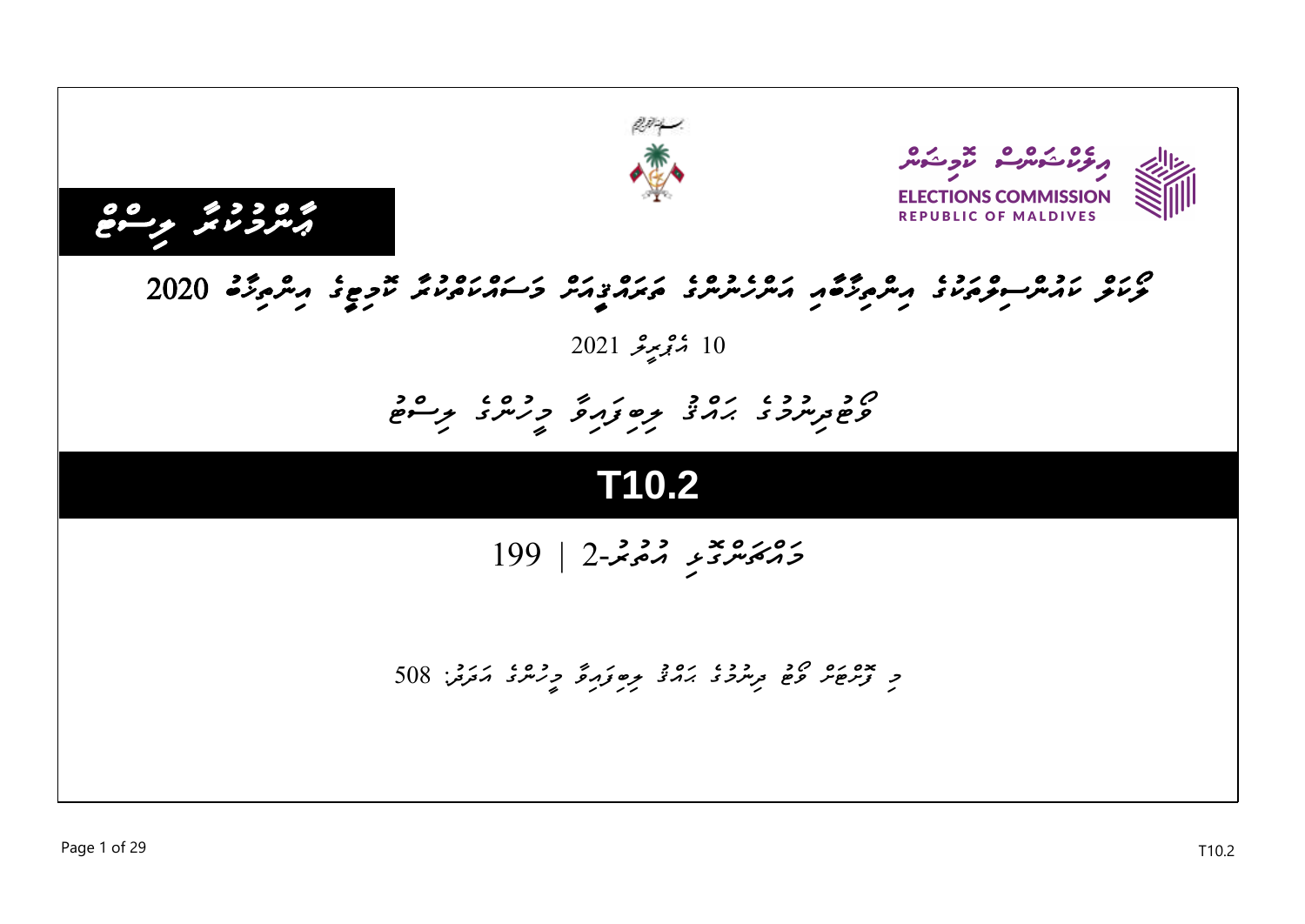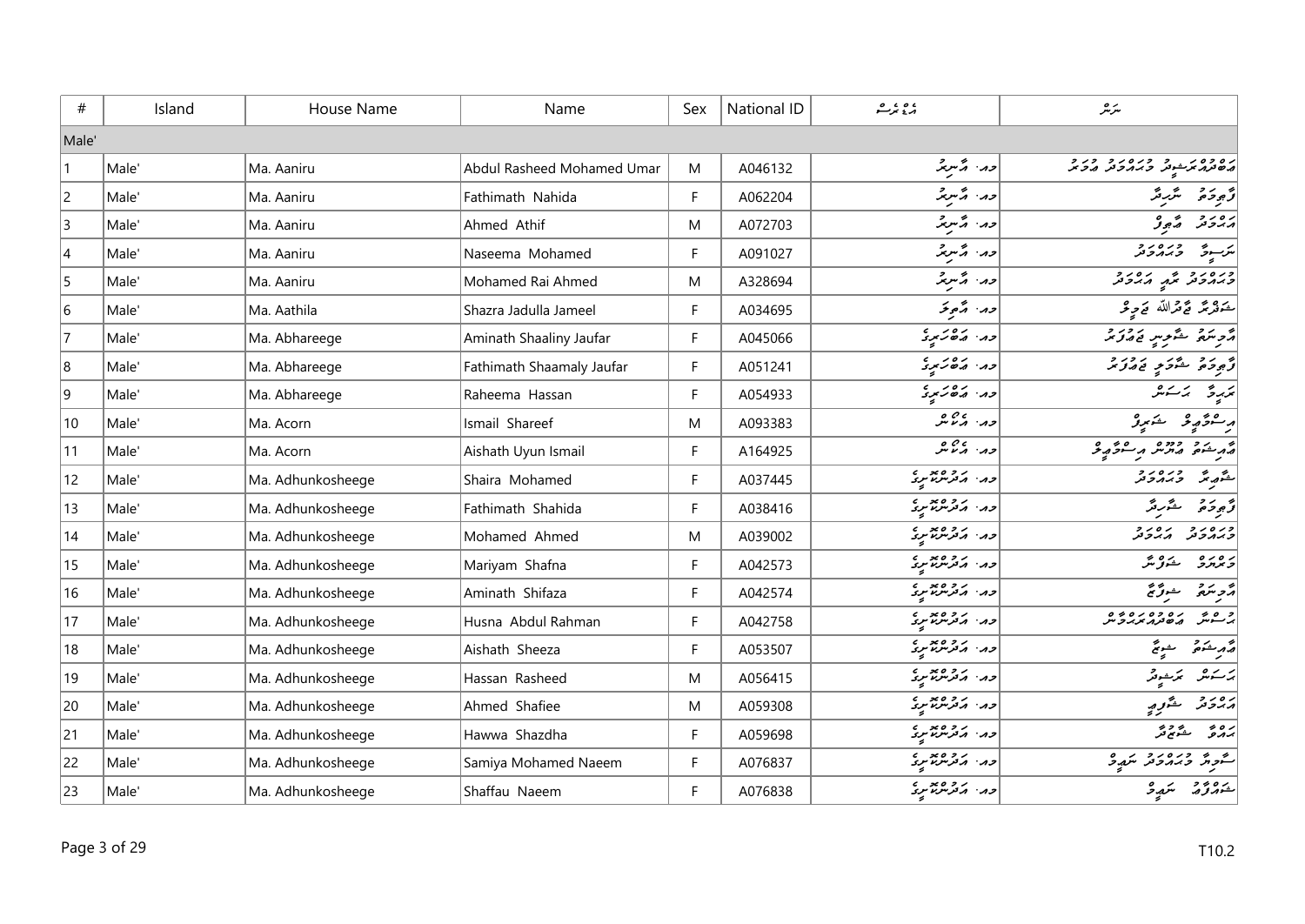| #              | Island | House Name        | Name                       | Sex | National ID | ، ه ، ره<br>مر: تر                                                  | ىئرىتر                                             |
|----------------|--------|-------------------|----------------------------|-----|-------------|---------------------------------------------------------------------|----------------------------------------------------|
| Male'          |        |                   |                            |     |             |                                                                     |                                                    |
|                | Male'  | Ma. Aaniru        | Abdul Rasheed Mohamed Umar | M   | A046132     | حەر، ئەسىرىگە                                                       | נס כס ניים פנסנים וכנים<br>השנה הייבה כמהכני הכיני |
| $ 2\rangle$    | Male'  | Ma. Aaniru        | Fathimath Nahida           | F   | A062204     | دە. ئەسرىمە                                                         | و و دو شریر                                        |
| $\vert$ 3      | Male'  | Ma. Aaniru        | Ahmed Athif                | M   | A072703     | ور. رمج سرچر                                                        | رەرد ئەر                                           |
| $\overline{4}$ | Male'  | Ma. Aaniru        | Naseema Mohamed            | F   | A091027     | دە. ئەسرىمە                                                         | شرسوش وبره رو                                      |
| $\overline{5}$ | Male'  | Ma. Aaniru        | Mohamed Rai Ahmed          | M   | A328694     | حەر، ئەسىرىمە                                                       | ورەرو مەر ئەدەرو                                   |
| $\overline{6}$ | Male'  | Ma. Aathila       | Shazra Jadulla Jameel      | F   | A034695     | در. رٌوځ                                                            | خۇنرىگە قەتراللە قەرىچ                             |
| 7              | Male'  | Ma. Abhareege     | Aminath Shaaliny Jaufar    | F   | A045066     | وړ٠ د ۲۵ کړي                                                        | أأوسم كأوس فأورد                                   |
| $\overline{8}$ | Male'  | Ma. Abhareege     | Fathimath Shaamaly Jaufar  | F   | A051241     | وړ٠ د ۲۵ کړي                                                        | ژُودَهْ څُرَمٍ يَهرَمُ                             |
| 9              | Male'  | Ma. Abhareege     | Raheema Hassan             | F   | A054933     | وړ٠ د ۲۵ کړي                                                        | ىمىي كەسكىر                                        |
| $ 10\rangle$   | Male'  | Ma. Acorn         | Ismail Shareef             | M   | A093383     | وړ٠ مړينگ                                                           | ر شۇر ئىسىر                                        |
| 11             | Male'  | Ma. Acorn         | Aishath Uyun Ismail        | F   | A164925     | وړ٠ مرغش                                                            |                                                    |
| 12             | Male'  | Ma. Adhunkosheege | Shaira Mohamed             | F   | A037445     | وړ٠ روه پورځ<br><i>در٠ د ترسربا پ</i> ره                            | شگهرنگ وبرورو                                      |
| 13             | Male'  | Ma. Adhunkosheege | Fathimath Shahida          | F   | A038416     | وړ٠ د ترمرمو ره<br>در٠ د ترمرمو پرو                                 | تؤجر فتحرقه                                        |
| 14             | Male'  | Ma. Adhunkosheege | Mohamed Ahmed              | M   | A039002     | وړ٠ دکترسرين سر د کا                                                | כנסנכ נסנכ<br>כ <i>ה</i> תכת הגכת                  |
| 15             | Male'  | Ma. Adhunkosheege | Mariyam Shafna             | F   | A042573     | כו. הבנייטית ב                                                      | رەرە شۇرىگە                                        |
| 16             | Male'  | Ma. Adhunkosheege | Aminath Shifaza            | F   | A042574     | כו. הבניינט תב                                                      | أزويتهم خرزمج                                      |
| 17             | Male'  | Ma. Adhunkosheege | Husna Abdul Rahman         | F   | A042758     | وړ٠ رکورمرم <sub>مړ</sub> ر<br>در٠ رکوم <i>رما</i> م <sub>ی</sub> ر | و ورو ده ده ده وه.<br>برگستر انه مورد برگرش        |
| 18             | Male'  | Ma. Adhunkosheege | Aishath Sheeza             | F   | A053507     | وړ٠ دکترسرين سرچ<br>در٠ دکترسرين سرچ                                | وكرم شوكم في الشوكم                                |
| 19             | Male'  | Ma. Adhunkosheege | Hassan Rasheed             | M   | A056415     | כו. הבנייטות ב                                                      | ىزىسەنلار ئىزىشوقر                                 |
| 20             | Male'  | Ma. Adhunkosheege | Ahmed Shafiee              | M   | A059308     | כו הכסיב<br>כו הבנייטית                                             | برەر دېم ستۇرىي                                    |
| 21             | Male'  | Ma. Adhunkosheege | Hawwa Shazdha              | F   | A059698     | כ מ- הבנייט בי ג'<br>כ מ- הבנייט בי ייט                             | رەپ <sub>ە س</sub> ەرپە<br>بەيرە شەر               |
| 22             | Male'  | Ma. Adhunkosheege | Samiya Mohamed Naeem       | F   | A076837     | כו. ומנשיט תש<br>כו. ומנשיט תש                                      | گروگر وره دو شهره                                  |
| 23             | Male'  | Ma. Adhunkosheege | Shaffau Naeem              | F   | A076838     | כו. הבנייטית ב                                                      | شەرقە شەرق                                         |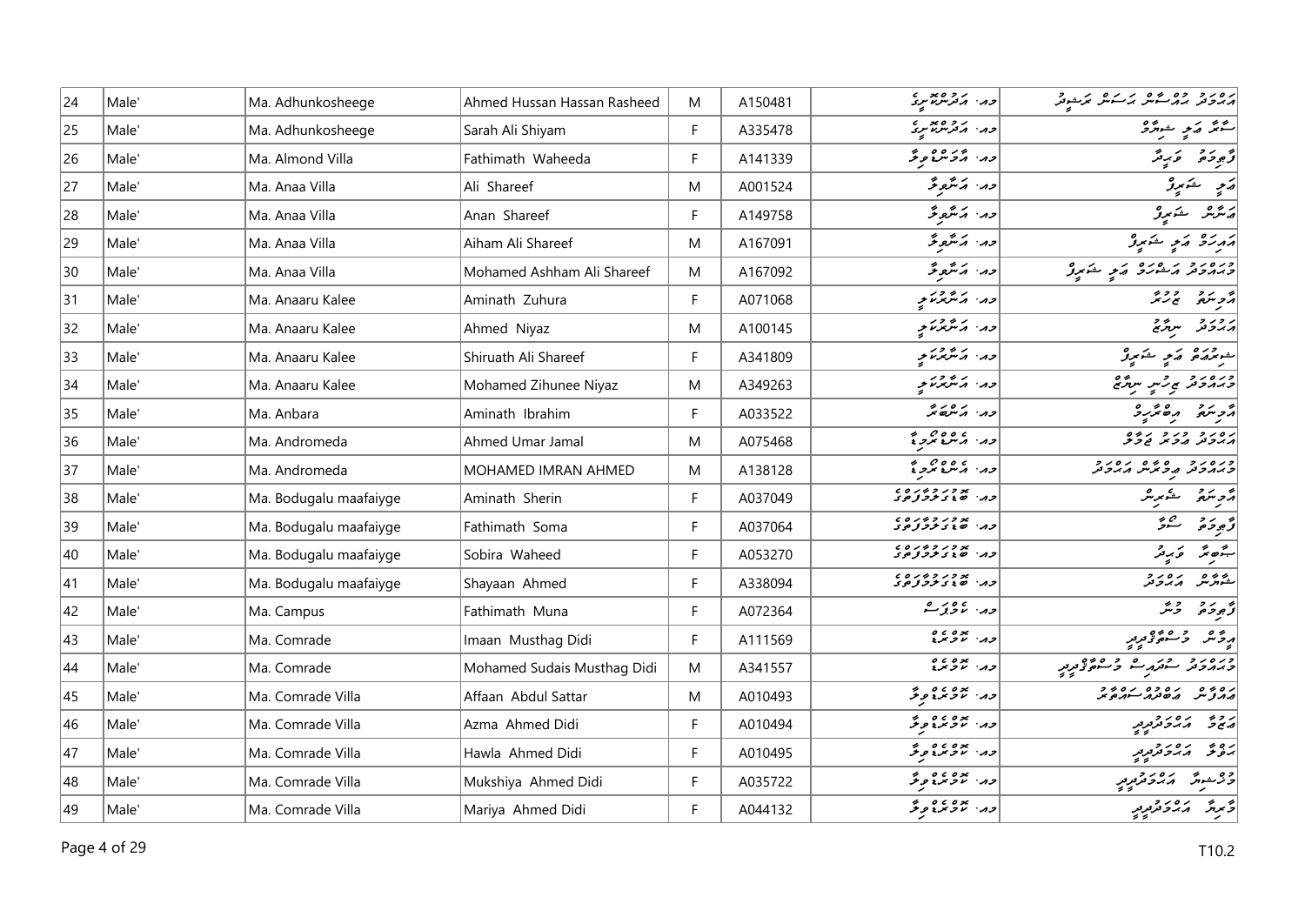| 24 | Male' | Ma. Adhunkosheege      | Ahmed Hussan Hassan Rasheed | M  | A150481 | دړ و ترسرو د د                               | ره رو وه ده ور ره برخود                                      |
|----|-------|------------------------|-----------------------------|----|---------|----------------------------------------------|--------------------------------------------------------------|
| 25 | Male' | Ma. Adhunkosheege      | Sarah Ali Shiyam            | F  | A335478 | وړ٠ د ترسر پنې<br>وړ٠ د ترسر پنې             | سەنئە كەي ھەدگە                                              |
| 26 | Male' | Ma. Almond Villa       | Fathimath Waheeda           | F  | A141339 | در. نەر ئەرە                                 | أوالمحتجر وتمايته                                            |
| 27 | Male' | Ma. Anaa Villa         | Ali Shareef                 | M  | A001524 | دە. ئەنگ <sub>ى</sub> بۇ                     | پر پور شکو <i>پور</i> گر<br>                                 |
| 28 | Male' | Ma. Anaa Villa         | Anan Shareef                | F  | A149758 | دە· م <sup>ە</sup> ست <sub>ى</sub> بۇ        | كەشرىش ئىكەنبور                                              |
| 29 | Male' | Ma. Anaa Villa         | Aiham Ali Shareef           | M  | A167091 | دە. ئەنئ <sub>ى</sub> بۇ                     | أتاركرى أتامج المتامونى                                      |
| 30 | Male' | Ma. Anaa Villa         | Mohamed Ashham Ali Shareef  | M  | A167092 | در م <i>م</i> تگرفته                         | ورەر د رەرە كەر خەرد                                         |
| 31 | Male' | Ma. Anaaru Kalee       | Aminath Zuhura              | F  | A071068 | در، ئەنگەنزىكى يە                            | رژحر سرچ پر جم                                               |
| 32 | Male' | Ma. Anaaru Kalee       | Ahmed Niyaz                 | M  | A100145 | در، ئەنگەنزىكى يە                            | נ כני כי ייטרובי                                             |
| 33 | Male' | Ma. Anaaru Kalee       | Shiruath Ali Shareef        | F  | A341809 | در مستر برو کر                               | أخو بزرده أركب التكامرو                                      |
| 34 | Male' | Ma. Anaaru Kalee       | Mohamed Zihunee Niyaz       | M  | A349263 | در مستر برو ب                                | ورورو پر مر سرگرمی                                           |
| 35 | Male' | Ma. Anbara             | Aminath Ibrahim             | F  | A033522 | وړ٠ د سرچنځ                                  | أأدبتكم المقتررة                                             |
| 36 | Male' | Ma. Andromeda          | Ahmed Umar Jamal            | M  | A075468 | حەر، ئەشقەتبىرى ئە                           | ג ם ג כ כ ג ב ג ב ם ב                                        |
| 37 | Male' | Ma. Andromeda          | MOHAMED IMRAN AHMED         | M  | A138128 | حەر، ئەشقەتمىزچ                              | כנסנים נפשים נסנים<br>כמחכת הכתית המכת                       |
| 38 | Male' | Ma. Bodugalu maafaiyge | Aminath Sherin              | F  | A037049 | c o 1 4 7 1 7 7 x<br>5 9 J J 2 2 2 0 · 1 7   | أقرجتم لتحميش                                                |
| 39 | Male' | Ma. Bodugalu maafaiyge | Fathimath Soma              | F  | A037064 | c o 1 4 7 1 7 7 x<br>5 9 J 7 7 2 5 2 0 · 1 7 | وَجوحر مع                                                    |
| 40 | Male' | Ma. Bodugalu maafaiyge | Sobira Waheed               | F  | A053270 | c o 1 4 3 1 3 x<br>5 q 3 3 3 4 5 2 3 4 7     | بەھ ئە ئەبەتر                                                |
| 41 | Male' | Ma. Bodugalu maafaiyge | Shayaan Ahmed               | F  | A338094 | c o 1 4 3 1 3 x<br>5 9 3 3 4 5 4 0 - 1 3     | شەھ بەر دەر                                                  |
| 42 | Male' | Ma. Campus             | Fathimath Muna              | F  | A072364 | وړ ، ۱۶۶ ک                                   | وٌجوحو ويرٌ                                                  |
| 43 | Male' | Ma. Comrade            | Imaan Musthag Didi          | F  | A111569 | $0.00 \times 0.00$                           | .<br>د شر د حسورت در د                                       |
| 44 | Male' | Ma. Comrade            | Mohamed Sudais Musthag Didi | M  | A341557 | $0.0000$<br>$2.700$                          | ورەرو مەدرە 3000 كىلىم بولىر<br>3000 كىلىم مەدرىك 3000 كىلىم |
| 45 | Male' | Ma. Comrade Villa      | Affaan Abdul Sattar         | M  | A010493 | در . سوه ، ه ه و گ                           | נסמם נסכם נסמכ<br>ההצייני הסינה ייחודיות                     |
| 46 | Male' | Ma. Comrade Villa      | Azma Ahmed Didi             | F  | A010494 | در موره و و ځه کل                            | ر ده درورورور<br>منحر مدرومومر                               |
| 47 | Male' | Ma. Comrade Villa      | Hawla Ahmed Didi            | F  | A010495 | وړ٠ توم، وگ                                  | رە يەر دەرىر<br>ئىق ئەرە ئەرىرىر                             |
| 48 | Male' | Ma. Comrade Villa      | Mukshiya Ahmed Didi         | F. | A035722 | وړ٠ توم، وگ                                  | ده شورگر   در در در در در این<br>  در شورگر   در در در در د  |
| 49 | Male' | Ma. Comrade Villa      | Mariya Ahmed Didi           | F  | A044132 | در به ۵۷۵۰ و گ                               | <br>  د بر پر د بر د بر د بر بر                              |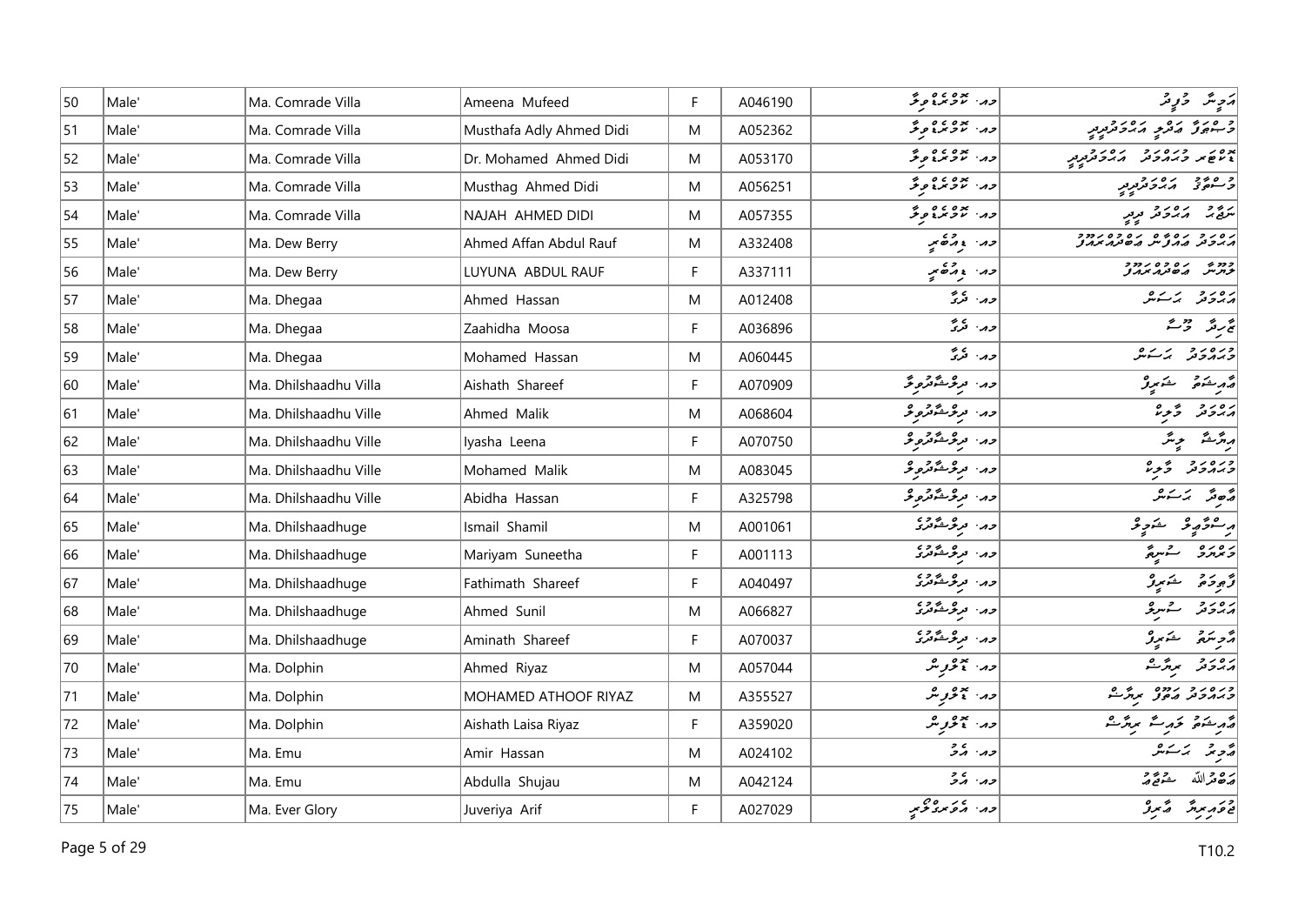| 50 | Male' | Ma. Comrade Villa     | Ameena Mufeed            | F  | A046190 | وړ٠ تده ، ه ه وگ             | أرَوِيثر التحويض                                                                                               |
|----|-------|-----------------------|--------------------------|----|---------|------------------------------|----------------------------------------------------------------------------------------------------------------|
| 51 | Male' | Ma. Comrade Villa     | Musthafa Adly Ahmed Didi | M  | A052362 | در بره ۵،۰۰۶ وگ              | و ورو رو رورودر                                                                                                |
| 52 | Male' | Ma. Comrade Villa     | Dr. Mohamed Ahmed Didi   | M  | A053170 | در بره ۵،۰۰۶<br>در نادنده وگ | x0 ג coss ומקבקת<br>ציעים <i>אי כ</i> גולכת הגל מקבקת                                                          |
| 53 | Male' | Ma. Comrade Villa     | Musthag Ahmed Didi       | M  | A056251 | در عروره و ع                 | و معبود از در در در در در در در در این کار در این در این در این در این در این در این در این در این در این در ا |
| 54 | Male' | Ma. Comrade Villa     | NAJAH AHMED DIDI         | M  | A057355 | وړ٠ پوه په وه وگ             |                                                                                                                |
| 55 | Male' | Ma. Dew Berry         | Ahmed Affan Abdul Rauf   | M  | A332408 | כתי יותים <sub>וק</sub>      | ג ם ג כ ג ס ג ס ב ס ג <mark>בכ כ דורך</mark><br>הג ב تג ה ה ה ב ה ש בה ה <i>ג</i> ה צ                          |
| 56 | Male' | Ma. Dew Berry         | LUYUNA ABDUL RAUF        | F  | A337111 | در. <b>ء</b> رضمبر           | כחי נסכם נחיב<br>תחיית הסטה <i>מ</i> את                                                                        |
| 57 | Male' | Ma. Dhegaa            | Ahmed Hassan             | M  | A012408 | وە بىر                       | رەرد پرسەر                                                                                                     |
| 58 | Male' | Ma. Dhegaa            | Zaahidha Moosa           | F. | A036896 | وە بىر                       | يج په ده د حق                                                                                                  |
| 59 | Male' | Ma. Dhegaa            | Mohamed Hassan           | M  | A060445 | ود. توتح                     | ورەرو پەسەس                                                                                                    |
| 60 | Male' | Ma. Dhilshaadhu Villa | Aishath Shareef          | F  | A070909 | وە · برۇشگەر <i>ە</i> ئ      | وكرم شكور فتكامرو                                                                                              |
| 61 | Male' | Ma. Dhilshaadhu Ville | Ahmed Malik              | M  | A068604 | وړ· تروڅونوو و               | رەرد ئەرە                                                                                                      |
| 62 | Male' | Ma. Dhilshaadhu Ville | Iyasha Leena             | F  | A070750 | وړ٠ تروگړو وو                | بربڑے چیئر                                                                                                     |
| 63 | Male' | Ma. Dhilshaadhu Ville | Mohamed Malik            | M  | A083045 | وړ٠ تروگوگوو                 | ورەر د ئور                                                                                                     |
| 64 | Male' | Ma. Dhilshaadhu Ville | Abidha Hassan            | F  | A325798 | دە. مرگىشەترەپ               | ړُهِ تَرَ سَنَر                                                                                                |
| 65 | Male' | Ma. Dhilshaadhuge     | Ismail Shamil            | M  | A001061 | وړ٠ ترنوشگ <sup>وي</sup>     |                                                                                                                |
| 66 | Male' | Ma. Dhilshaadhuge     | Mariyam Suneetha         | F  | A001113 | وړ٠ تر توس <sup>ه و د</sup>  |                                                                                                                |
| 67 | Male' | Ma. Dhilshaadhuge     | Fathimath Shareef        | F. | A040497 | وړ٠ توگوسته وي               | ۇ <sub>ج</sub> وڭ ھەرۋ                                                                                         |
| 68 | Male' | Ma. Dhilshaadhuge     | Ahmed Sunil              | M  | A066827 | وړ٠ تروگور <sup>و و</sup> ٤  | رەرو ئەرو                                                                                                      |
| 69 | Male' | Ma. Dhilshaadhuge     | Aminath Shareef          | F  | A070037 | وړ٠ ترگرشه وي                | ړې سرچ<br>شەمرىر                                                                                               |
| 70 | Male' | Ma. Dolphin           | Ahmed Riyaz              | M  | A057044 | در بیمورید                   | رەرو بروگ                                                                                                      |
| 71 | Male' | Ma. Dolphin           | MOHAMED ATHOOF RIYAZ     | M  | A355527 | دە. ئېڅوپىگە                 | כנסגב גדם הק"ם                                                                                                 |
| 72 | Male' | Ma. Dolphin           | Aishath Laisa Riyaz      | F  | A359020 | دە.، ئېڅورىثر                | وأوجأه كروك بروزة                                                                                              |
| 73 | Male' | Ma. Emu               | Amir Hassan              | M  | A024102 | בני הב                       | مجاج محر مكاشر                                                                                                 |
| 74 | Male' | Ma. Emu               | Abdulla Shujau           | M  | A042124 | כו <i>גי</i> ובכ             | صصرالله<br>ے جو مجے ور                                                                                         |
| 75 | Male' | Ma. Ever Glory        | Juveriya Arif            | F  | A027029 | בו הפינציביה                 | ور<br>مع <i>قام بعد الم</i> حمد المحمد                                                                         |
|    |       |                       |                          |    |         |                              |                                                                                                                |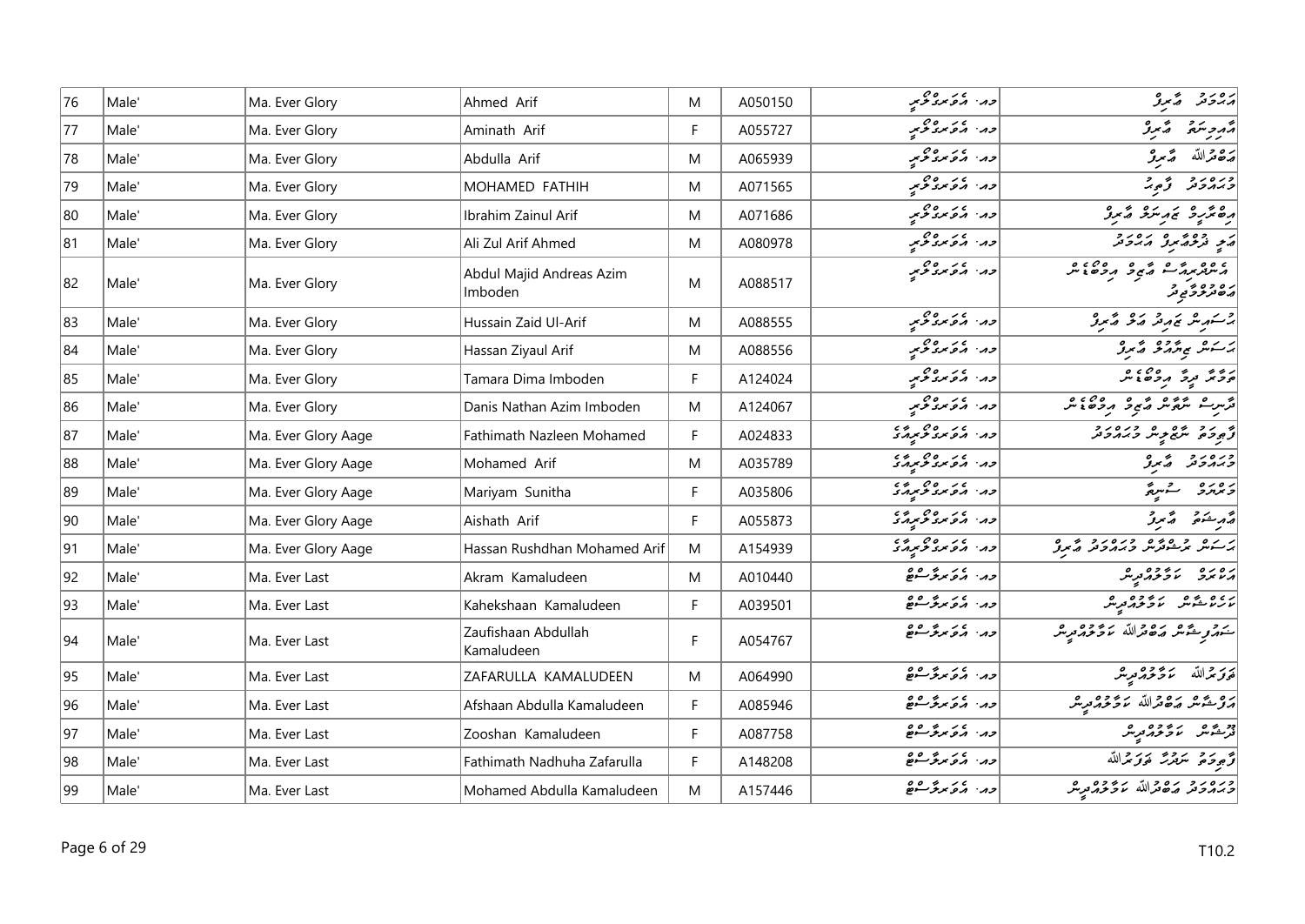| وړ٠ د وکرو وکړ<br>Male'<br>Ahmed Arif<br>A050150<br>76<br>Ma. Ever Glory<br>M<br>وړ٠ روکورونو لمړ<br>E<br>77<br>Male'<br>Ma. Ever Glory<br>Aminath Arif<br>A055727<br>وړ٠ کمرکوري کلمري کلمبر<br>د کمرکوري<br>78<br>Ma. Ever Glory<br>Abdulla Arif<br>A065939<br>Male'<br>M<br>وړ٠ روکورونو لمړ<br>79<br>Ma. Ever Glory<br><b>MOHAMED FATHIH</b><br>A071565<br>Male'<br>M<br>وړ٠ کمرکوري کلمري کلمبر<br>د کمرکوري<br>80<br>A071686<br>Male'<br>Ma. Ever Glory<br>Ibrahim Zainul Arif<br>M<br>وړ٠ د و برو وي<br>81<br>Ali Zul Arif Ahmed<br>A080978<br>Male'<br>Ma. Ever Glory<br>M<br>وړ٠ کمرۍ <i>مري څې</i><br>Abdul Majid Andreas Azim<br>82<br>Male'<br>Ma. Ever Glory<br>M<br>A088517<br>Imboden<br>وړ٠ روکړۍ لومړ<br> 83<br>Male'<br>Hussain Zaid Ul-Arif<br>M<br>A088555<br>Ma. Ever Glory<br>حەربە ئەھەرى ئۈسىيە<br>مەنبەر ئەھەمدى ئۈسىيە<br> 84<br>Ma. Ever Glory<br>Hassan Ziyaul Arif<br>A088556<br>Male'<br>M<br>وړ٠ روکورونو لمړ<br>85<br>Male'<br>Ma. Ever Glory<br>Tamara Dima Imboden<br>F<br>A124024<br>در مرکز ده د<br>86<br>Male'<br>Ma. Ever Glory<br>Danis Nathan Azim Imboden<br>A124067<br>M<br>בגי הפימביצימה<br>87<br>Fathimath Nazleen Mohamed<br>F<br>A024833<br>Male'<br>Ma. Ever Glory Aage<br>ג ג בר פר בי<br>בגי הפינגציקיקה<br>88<br>Mohamed Arif<br>A035789<br>Male'<br>Ma. Ever Glory Aage<br>M<br>י הפינדי קיים.<br>כגי הפינדי בינה<br>89<br>Male'<br>Mariyam Sunitha<br>F<br>A035806<br>Ma. Ever Glory Aage<br>כג י הפינגיפינה.<br>כגי הפינגיפינה<br>90<br>F<br>A055873<br>Male'<br>Ma. Ever Glory Aage<br>Aishath Arif<br>בג' הפינגיפינגי<br> 91<br>Male'<br>Hassan Rushdhan Mohamed Arif<br>A154939<br>Ma. Ever Glory Aage<br>M<br>رە. ئەڭ بىر <i>ۇ ش</i> ھ<br>92<br>A010440<br>Ma. Ever Last<br>Akram Kamaludeen<br>Male'<br>M | أرور و حمومى<br>و دېر په کړه<br>مړينې<br>أرَجْعَتْراللَّهُ مَرْمَرْتَر<br>ورەر د د<br>رە ئرىر ، ئەر ئىك ئەبرۇ<br>ړي ده په ده ده د د<br>גים כי הם היום הפסגים<br>ر ٥ ۶ ۶ ۶ ق قر |
|----------------------------------------------------------------------------------------------------------------------------------------------------------------------------------------------------------------------------------------------------------------------------------------------------------------------------------------------------------------------------------------------------------------------------------------------------------------------------------------------------------------------------------------------------------------------------------------------------------------------------------------------------------------------------------------------------------------------------------------------------------------------------------------------------------------------------------------------------------------------------------------------------------------------------------------------------------------------------------------------------------------------------------------------------------------------------------------------------------------------------------------------------------------------------------------------------------------------------------------------------------------------------------------------------------------------------------------------------------------------------------------------------------------------------------------------------------------------------------------------------------------------------------------------------------------------------------------------------------------------------------------------------------------------------------------------------------------------------------------------------------------------|--------------------------------------------------------------------------------------------------------------------------------------------------------------------------------|
|                                                                                                                                                                                                                                                                                                                                                                                                                                                                                                                                                                                                                                                                                                                                                                                                                                                                                                                                                                                                                                                                                                                                                                                                                                                                                                                                                                                                                                                                                                                                                                                                                                                                                                                                                                      |                                                                                                                                                                                |
|                                                                                                                                                                                                                                                                                                                                                                                                                                                                                                                                                                                                                                                                                                                                                                                                                                                                                                                                                                                                                                                                                                                                                                                                                                                                                                                                                                                                                                                                                                                                                                                                                                                                                                                                                                      |                                                                                                                                                                                |
|                                                                                                                                                                                                                                                                                                                                                                                                                                                                                                                                                                                                                                                                                                                                                                                                                                                                                                                                                                                                                                                                                                                                                                                                                                                                                                                                                                                                                                                                                                                                                                                                                                                                                                                                                                      |                                                                                                                                                                                |
|                                                                                                                                                                                                                                                                                                                                                                                                                                                                                                                                                                                                                                                                                                                                                                                                                                                                                                                                                                                                                                                                                                                                                                                                                                                                                                                                                                                                                                                                                                                                                                                                                                                                                                                                                                      |                                                                                                                                                                                |
|                                                                                                                                                                                                                                                                                                                                                                                                                                                                                                                                                                                                                                                                                                                                                                                                                                                                                                                                                                                                                                                                                                                                                                                                                                                                                                                                                                                                                                                                                                                                                                                                                                                                                                                                                                      |                                                                                                                                                                                |
|                                                                                                                                                                                                                                                                                                                                                                                                                                                                                                                                                                                                                                                                                                                                                                                                                                                                                                                                                                                                                                                                                                                                                                                                                                                                                                                                                                                                                                                                                                                                                                                                                                                                                                                                                                      |                                                                                                                                                                                |
|                                                                                                                                                                                                                                                                                                                                                                                                                                                                                                                                                                                                                                                                                                                                                                                                                                                                                                                                                                                                                                                                                                                                                                                                                                                                                                                                                                                                                                                                                                                                                                                                                                                                                                                                                                      |                                                                                                                                                                                |
|                                                                                                                                                                                                                                                                                                                                                                                                                                                                                                                                                                                                                                                                                                                                                                                                                                                                                                                                                                                                                                                                                                                                                                                                                                                                                                                                                                                                                                                                                                                                                                                                                                                                                                                                                                      | چە سەر سى ئەرەپر ئەنجە ئەسرى                                                                                                                                                   |
|                                                                                                                                                                                                                                                                                                                                                                                                                                                                                                                                                                                                                                                                                                                                                                                                                                                                                                                                                                                                                                                                                                                                                                                                                                                                                                                                                                                                                                                                                                                                                                                                                                                                                                                                                                      | برسكس بإراز والمجرو                                                                                                                                                            |
|                                                                                                                                                                                                                                                                                                                                                                                                                                                                                                                                                                                                                                                                                                                                                                                                                                                                                                                                                                                                                                                                                                                                                                                                                                                                                                                                                                                                                                                                                                                                                                                                                                                                                                                                                                      | ړو پر پرو وه ده.<br>مرکز پرو مرده و                                                                                                                                            |
|                                                                                                                                                                                                                                                                                                                                                                                                                                                                                                                                                                                                                                                                                                                                                                                                                                                                                                                                                                                                                                                                                                                                                                                                                                                                                                                                                                                                                                                                                                                                                                                                                                                                                                                                                                      |                                                                                                                                                                                |
|                                                                                                                                                                                                                                                                                                                                                                                                                                                                                                                                                                                                                                                                                                                                                                                                                                                                                                                                                                                                                                                                                                                                                                                                                                                                                                                                                                                                                                                                                                                                                                                                                                                                                                                                                                      | و وده شهر شده در د                                                                                                                                                             |
|                                                                                                                                                                                                                                                                                                                                                                                                                                                                                                                                                                                                                                                                                                                                                                                                                                                                                                                                                                                                                                                                                                                                                                                                                                                                                                                                                                                                                                                                                                                                                                                                                                                                                                                                                                      | ورەر د پرو                                                                                                                                                                     |
|                                                                                                                                                                                                                                                                                                                                                                                                                                                                                                                                                                                                                                                                                                                                                                                                                                                                                                                                                                                                                                                                                                                                                                                                                                                                                                                                                                                                                                                                                                                                                                                                                                                                                                                                                                      | رەرە ئەر                                                                                                                                                                       |
|                                                                                                                                                                                                                                                                                                                                                                                                                                                                                                                                                                                                                                                                                                                                                                                                                                                                                                                                                                                                                                                                                                                                                                                                                                                                                                                                                                                                                                                                                                                                                                                                                                                                                                                                                                      | ومرشكو ومجرو                                                                                                                                                                   |
|                                                                                                                                                                                                                                                                                                                                                                                                                                                                                                                                                                                                                                                                                                                                                                                                                                                                                                                                                                                                                                                                                                                                                                                                                                                                                                                                                                                                                                                                                                                                                                                                                                                                                                                                                                      | ر ره د و و و د درو د د و د<br>پرسش پرشوترس و بر دونر او برو                                                                                                                    |
|                                                                                                                                                                                                                                                                                                                                                                                                                                                                                                                                                                                                                                                                                                                                                                                                                                                                                                                                                                                                                                                                                                                                                                                                                                                                                                                                                                                                                                                                                                                                                                                                                                                                                                                                                                      | ره ره درووه موره<br>مرحمو عام مورد م                                                                                                                                           |
| رە. ئەڭ بىر <i>ۇ ش</i> ھ<br>93<br>Ma. Ever Last<br>Kahekshaan Kamaludeen<br>F<br>A039501<br>Male'                                                                                                                                                                                                                                                                                                                                                                                                                                                                                                                                                                                                                                                                                                                                                                                                                                                                                                                                                                                                                                                                                                                                                                                                                                                                                                                                                                                                                                                                                                                                                                                                                                                                    | ر ٥٥٠٠ م د وه وه.<br>پارلاشگان بالمحرور مورنگر                                                                                                                                 |
| ى بەر ئەھەر يەم<br>19. مۇمۇسى<br>Zaufishaan Abdullah<br>F<br> 94<br>Male'<br>Ma. Ever Last<br>A054767<br>Kamaludeen                                                                                                                                                                                                                                                                                                                                                                                                                                                                                                                                                                                                                                                                                                                                                                                                                                                                                                                                                                                                                                                                                                                                                                                                                                                                                                                                                                                                                                                                                                                                                                                                                                                  | برو بشور روورالله مذكور مرعر                                                                                                                                                   |
| رە. ئەڭ بىر <i>ۇ ش</i> ق<br>95<br>Male'<br>Ma. Ever Last<br>ZAFARULLA KAMALUDEEN<br>A064990<br>M                                                                                                                                                                                                                                                                                                                                                                                                                                                                                                                                                                                                                                                                                                                                                                                                                                                                                                                                                                                                                                                                                                                                                                                                                                                                                                                                                                                                                                                                                                                                                                                                                                                                     |                                                                                                                                                                                |
| ى دىكى ئەرەپ كەنتى<br>ئىستادىكى ئىستان<br>96<br>Male'<br>Ma. Ever Last<br>Afshaan Abdulla Kamaludeen<br>F<br>A085946                                                                                                                                                                                                                                                                                                                                                                                                                                                                                                                                                                                                                                                                                                                                                                                                                                                                                                                                                                                                                                                                                                                                                                                                                                                                                                                                                                                                                                                                                                                                                                                                                                                 | رويع محمد ماده مالله متحافه مرسمه                                                                                                                                              |
| رە. مۇمۇسۇ<br> 97<br>Ma. Ever Last<br>Zooshan Kamaludeen<br>F<br>A087758<br>Male'                                                                                                                                                                                                                                                                                                                                                                                                                                                                                                                                                                                                                                                                                                                                                                                                                                                                                                                                                                                                                                                                                                                                                                                                                                                                                                                                                                                                                                                                                                                                                                                                                                                                                    | دو ه و مرود و مره<br>تر شو سر مرحمد مره                                                                                                                                        |
| ر پر کار محمد تر معنی<br>حرابہ اس کار محمد مختلف<br>98<br>F<br>A148208<br>Male'<br>Ma. Ever Last<br>Fathimath Nadhuha Zafarulla                                                                                                                                                                                                                                                                                                                                                                                                                                                                                                                                                                                                                                                                                                                                                                                                                                                                                                                                                                                                                                                                                                                                                                                                                                                                                                                                                                                                                                                                                                                                                                                                                                      | و برد بردو برر و الله                                                                                                                                                          |
| ى مەر ئەر ئەرە<br>2- ئىس ئەر<br> 99<br>A157446<br>Mohamed Abdulla Kamaludeen<br>M<br>Male'<br>Ma. Ever Last                                                                                                                                                                                                                                                                                                                                                                                                                                                                                                                                                                                                                                                                                                                                                                                                                                                                                                                                                                                                                                                                                                                                                                                                                                                                                                                                                                                                                                                                                                                                                                                                                                                          | ورورو روور الله برؤوه مره                                                                                                                                                      |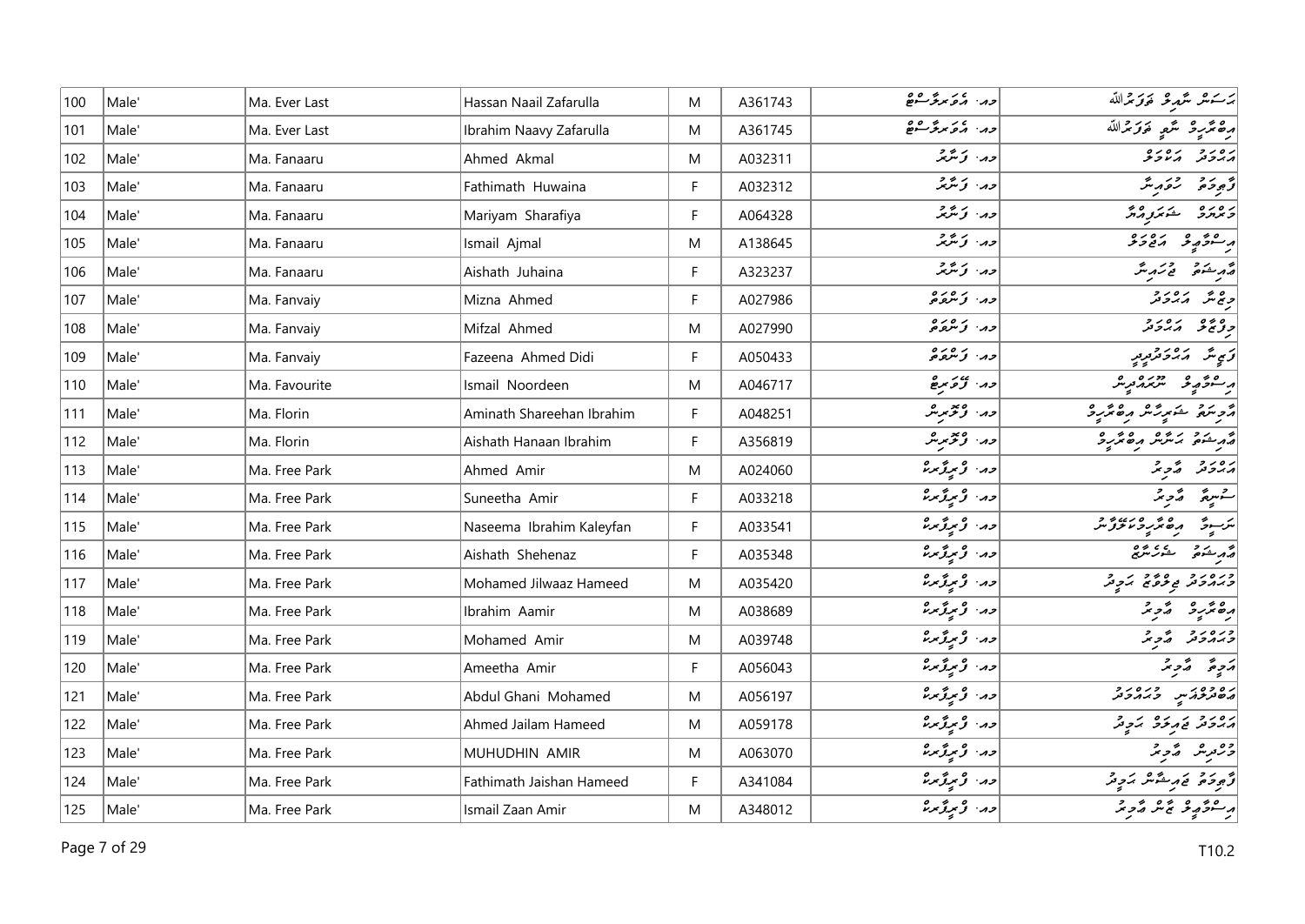| 100 | Male' | Ma. Ever Last | Hassan Naail Zafarulla    | M  | A361743 | رە. ئەڭ بىر <i>ۇ ش</i> ق     | برسەش شەرقى مەزىمەللە                                                                                          |
|-----|-------|---------------|---------------------------|----|---------|------------------------------|----------------------------------------------------------------------------------------------------------------|
| 101 | Male' | Ma. Ever Last | Ibrahim Naavy Zafarulla   | M  | A361745 | دە. ئەنە ئەستىسى             | رە ئرىيە ئىر ئوزىتەللە                                                                                         |
| 102 | Male' | Ma. Fanaaru   | Ahmed Akmal               | M  | A032311 | وە . ئەنگەنى                 | رەر رەرە                                                                                                       |
| 103 | Male' | Ma. Fanaaru   | Fathimath Huwaina         | F  | A032312 | ورستخ بتريمر                 | أوجوده ودريتي                                                                                                  |
| 104 | Male' | Ma. Fanaaru   | Mariyam Sharafiya         | F  | A064328 | وړ کوتگر                     | בינות ביונית                                                                                                   |
| 105 | Male' | Ma. Fanaaru   | Ismail Ajmal              | M  | A138645 | وړ ژنگر                      | بر عرم پر بر بر بر بر بر بر استفاده بر استفاده بر استاده کر                                                    |
| 106 | Male' | Ma. Fanaaru   | Aishath Juhaina           | F  | A323237 | وە . ئەنگەنگە                | قەرشقى قىزىرىگە                                                                                                |
| 107 | Male' | Ma. Fanvaiy   | Mizna Ahmed               | F  | A027986 | وړ کوسوه                     | د چې په کار د د                                                                                                |
| 108 | Male' | Ma. Fanvaiy   | Mifzal Ahmed              | M  | A027990 | وړ کوسوه                     | وويحو برورد                                                                                                    |
| 109 | Male' | Ma. Fanvaiy   | Fazeena Ahmed Didi        | F  | A050433 | وړ کړ شوه                    | توپە ئىش ئەرەپ ئەرەپىر<br>  توپە ئىش ئىش ئىش                                                                   |
| 110 | Male' | Ma. Favourite | Ismail Noordeen           | M  | A046717 | ورسمي يمره                   | ת ביצוע ברום ה                                                                                                 |
| 111 | Male' | Ma. Florin    | Aminath Shareehan Ibrahim | F  | A048251 | دە ۋىۋىرىگە                  | شوبرتشر مرکبرد<br>ر<br>مرگ سرچ                                                                                 |
| 112 | Male' | Ma. Florin    | Aishath Hanaan Ibrahim    | F  | A356819 | در. ومحرمر                   | و من المسلم و المسلم و المسلم و المسلم و المسلم و المسلم و المسلم و المسلم و المسلم و المسلم و الله و المسلم و |
| 113 | Male' | Ma. Free Park | Ahmed Amir                | M  | A024060 | حەر، ئۇ <i>بېرتى بىرى</i> نا | أرور والمحافية                                                                                                 |
| 114 | Male' | Ma. Free Park | Suneetha Amir             | F  | A033218 | در و مرژمره                  | سنسرچ مُرجمہ                                                                                                   |
| 115 | Male' | Ma. Free Park | Naseema Ibrahim Kaleyfan  | F  | A033541 | در و مروَّ مره               | بكر دو مەھكرىدىدىن دەر                                                                                         |
| 116 | Male' | Ma. Free Park | Aishath Shehenaz          | F  | A035348 | در و مروَّ مره               | وأرشده شركتهم                                                                                                  |
| 117 | Male' | Ma. Free Park | Mohamed Jilwaaz Hameed    | M  | A035420 | در و مروَّ مره               | ورەر دې وگړ د کړې د                                                                                            |
| 118 | Male' | Ma. Free Park | Ibrahim Aamir             | M  | A038689 | دە. ئۇم <sub>ىر</sub> تۇبرى  | رە ئۆر ئەرىر                                                                                                   |
| 119 | Male' | Ma. Free Park | Mohamed Amir              | M  | A039748 | دە. ئۇ برۇ برى               | בגםגב בבב                                                                                                      |
| 120 | Male' | Ma. Free Park | Ameetha Amir              | F  | A056043 | دە. ئ <sub>ۇ مو</sub> تەبرى  | أرْجِعُ أَرْجَرْ                                                                                               |
| 121 | Male' | Ma. Free Park | Abdul Ghani Mohamed       | M  | A056197 | حەر، ئۇ ئورگە ئىرىنا         | גפלפגית להחכת                                                                                                  |
| 122 | Male' | Ma. Free Park | Ahmed Jailam Hameed       | M  | A059178 | در و مرژمره                  | גפלב בתוכל גבל                                                                                                 |
| 123 | Male' | Ma. Free Park | MUHUDHIN AMIR             | M  | A063070 | در و مرژ مره                 | ورمر شهر المجموعه                                                                                              |
| 124 | Male' | Ma. Free Park | Fathimath Jaishan Hameed  | F. | A341084 | دړ٠ ژېږ ژُبر،                | تجوده فهر مقشر بزوير                                                                                           |
| 125 | Male' | Ma. Free Park | Ismail Zaan Amir          | M  | A348012 | دە. بۇ ئېرتزىرىئا            | أره و و و و و د د                                                                                              |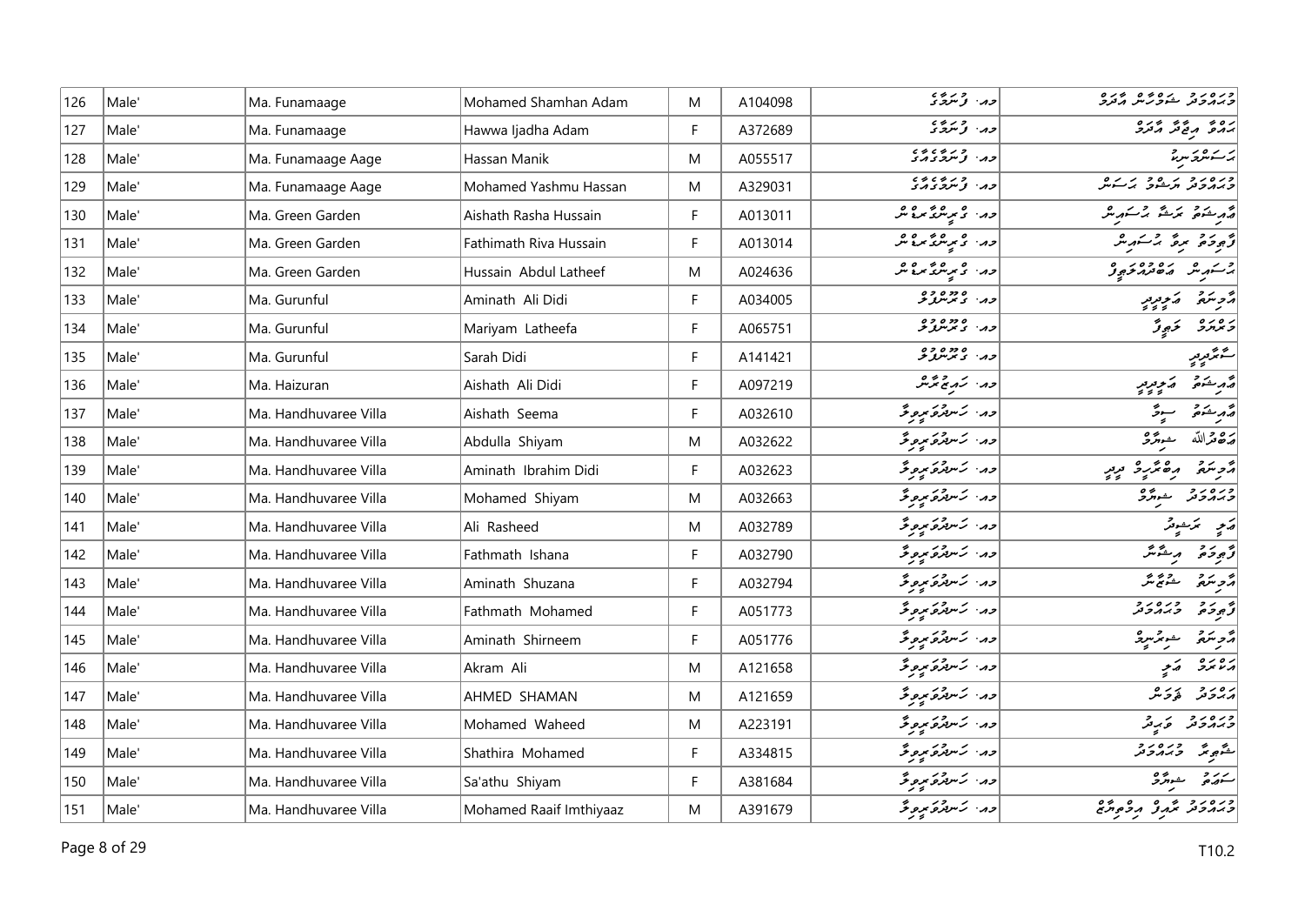| 126 | Male' | Ma. Funamaage         | Mohamed Shamhan Adam    | M  | A104098 | وړ وسره پ                                 | ورەر دېم دەھ ئەرە<br><i>دىد</i> ەرىر شەرىرس مەدر |
|-----|-------|-----------------------|-------------------------|----|---------|-------------------------------------------|--------------------------------------------------|
| 127 | Male' | Ma. Funamaage         | Hawwa Ijadha Adam       | F  | A372689 | בני ציינביב                               | بروء " مقر " " " محدد                            |
| 128 | Male' | Ma. Funamaage Aage    | Hassan Manik            | M  | A055517 | و در پره ده ده<br>در از کرد کرد د         | ئەسە ئىرى ئىرىد                                  |
| 129 | Male' | Ma. Funamaage Aage    | Mohamed Yashmu Hassan   | M  | A329031 | و د و د و د و د و د<br>و د ۰ و سرچ د بر د | ورەر و بر ە و بر كىش                             |
| 130 | Male' | Ma. Green Garden      | Aishath Rasha Hussain   | F  | A013011 | <i>وه کو پر هرگانگ</i> را مگر             | مەر خىقى ترىش برگىتىر بىر                        |
| 131 | Male' | Ma. Green Garden      | Fathimath Riva Hussain  | F  | A013014 | در کو پر مر <sub>ک</sub> ور مرد مر        | قەددە بىرق بر ئىرىش                              |
| 132 | Male' | Ma. Green Garden      | Hussain Abdul Latheef   | M  | A024636 | <i>دە. ، ئېرىترىگىرى ش</i>                |                                                  |
| 133 | Male' | Ma. Gurunful          | Aminath Ali Didi        | F  | A034005 | ه ده وه وه<br>وړ کومبرونو                 | أأدوسكم أأكرو وموقور                             |
| 134 | Male' | Ma. Gurunful          | Mariyam Latheefa        | F  | A065751 | ם ברי הם בס<br>כני " ג' זה ייטר ב         | رەرە ئەچ                                         |
| 135 | Male' | Ma. Gurunful          | Sarah Didi              | F  | A141421 | ه دو ه و ه<br>وړ کو بورس                  | استمتر ورور<br>استمتر ورور                       |
| 136 | Male' | Ma. Haizuran          | Aishath Ali Didi        | F. | A097219 | <i>دە. ئەيغ</i> ىر                        | وكركوكو وكمحص                                    |
| 137 | Male' | Ma. Handhuvaree Villa | Aishath Seema           | F  | A032610 | وە · ئەسترەكبرە ئ                         | سبوشح<br>و مرکز در<br>مرکز مشور                  |
| 138 | Male' | Ma. Handhuvaree Villa | Abdulla Shiyam          | M  | A032622 | ور. ئەر <i>وتۇ بېرو</i> نۇ                | شەدگرى<br>ەھىراللە                               |
| 139 | Male' | Ma. Handhuvaree Villa | Aminath Ibrahim Didi    | F  | A032623 | وړ٠ زسور <i>و نړ</i> و تر                 | أأوسع المصرار والمرور                            |
| 140 | Male' | Ma. Handhuvaree Villa | Mohamed Shiyam          | M  | A032663 | ور. ئەر <i>تۇۋى</i> روگ                   | ورەرو ھەدە<br><i>دىدە</i> رىر ھەد <i>ە</i> ر     |
| 141 | Male' | Ma. Handhuvaree Villa | Ali Rasheed             | M  | A032789 | وە · ئەسترەكىرە ئ <sup>ۇ</sup>            | أركمني أترك وكر                                  |
| 142 | Male' | Ma. Handhuvaree Villa | Fathmath Ishana         | F  | A032790 | رە. ئەرەۋە <sub>بو</sub> رۇ               | قهوخوه مشتر                                      |
| 143 | Male' | Ma. Handhuvaree Villa | Aminath Shuzana         | F  | A032794 | رە. ئەرە <i>تمۇم بې</i> رونۇ              | و سره شو شو شو شر                                |
| 144 | Male' | Ma. Handhuvaree Villa | Fathmath Mohamed        | F. | A051773 | رە. ئەس <i>ترەً بى</i> رو ئ               | و ره ر و<br>تر پر ژنر<br>ۇ ب <sub>و</sub> ر د    |
| 145 | Male' | Ma. Handhuvaree Villa | Aminath Shirneem        | F  | A051776 | رە. ئەرە <i>تمۇم بې</i> رونۇ              | أرمز تر<br>مسوندسرير                             |
| 146 | Male' | Ma. Handhuvaree Villa | Akram Ali               | M  | A121658 | دە. ئىر <i>تۇۋىرو</i> ۋ                   | ړه پره په په                                     |
| 147 | Male' | Ma. Handhuvaree Villa | AHMED SHAMAN            | M  | A121659 | ور. ئەر <i>وتۇم</i> رو ئ                  | رەرو رىر                                         |
| 148 | Male' | Ma. Handhuvaree Villa | Mohamed Waheed          | M  | A223191 | ور. ئەر <i>وتۇ بېرو</i> ئ                 | دره در در در<br>  دبر دبر در در در               |
| 149 | Male' | Ma. Handhuvaree Villa | Shathira Mohamed        | F  | A334815 | <i>دە. . ئەمەتمۇ ئېرو</i> ئ <sup>ۇ</sup>  | شهره دره در د                                    |
| 150 | Male' | Ma. Handhuvaree Villa | Sa'athu Shiyam          | F  | A381684 | وە · ئەسترۇپرى <i>رى</i>                  | ریر د شورد                                       |
| 151 | Male' | Ma. Handhuvaree Villa | Mohamed Raaif Imthiyaaz | M  | A391679 | وړ٠ رَسِيْرَوَ بِرِهِ تَرُّ               | כמחכת תחצ תכתתים                                 |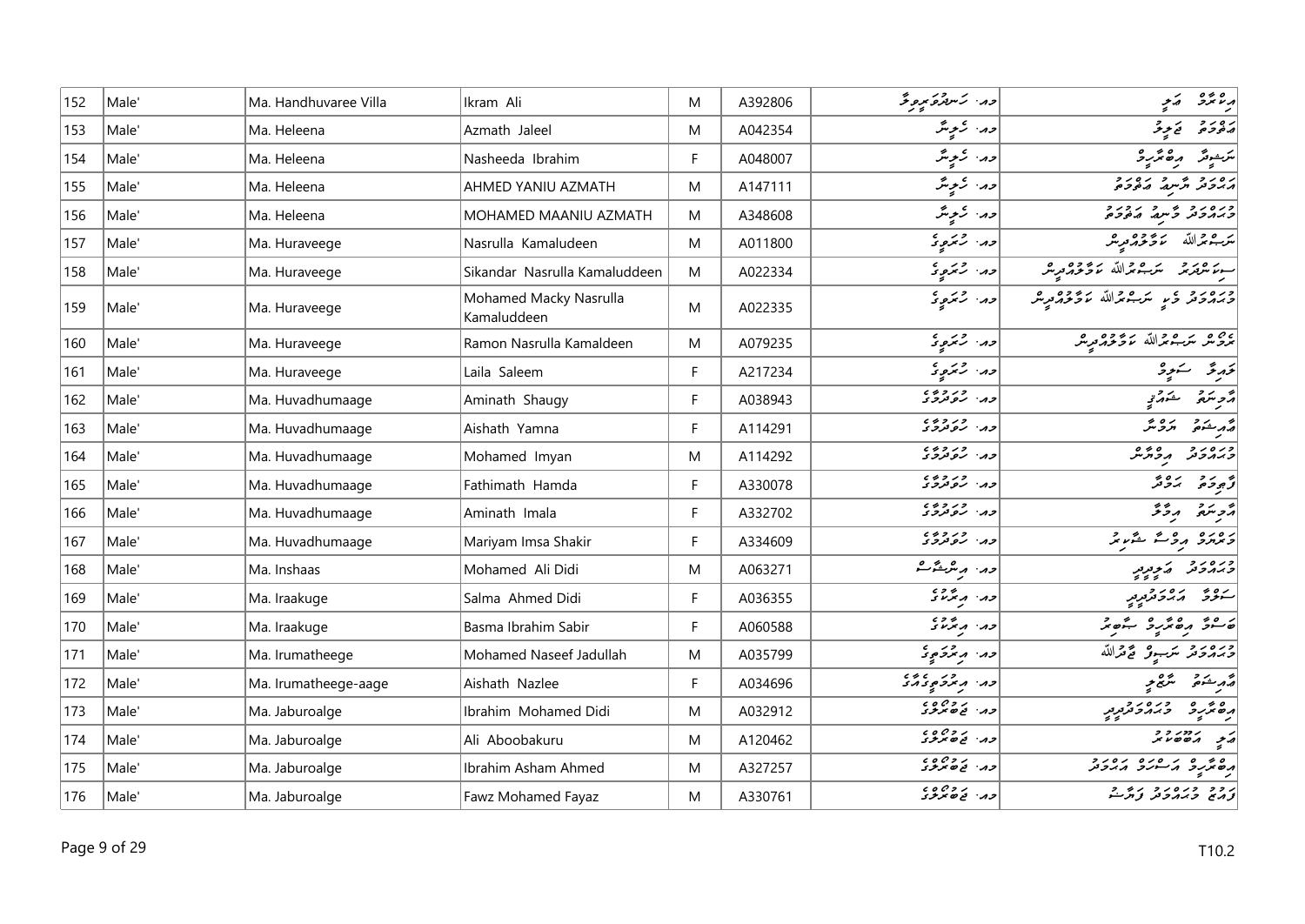| 152 | Male' | Ma. Handhuvaree Villa | Ikram Ali                             | M         | A392806 | وړ٠ زسرونو <sub>مرون</sub> و   | لرعوجر<br>ەتەپىر                                                     |
|-----|-------|-----------------------|---------------------------------------|-----------|---------|--------------------------------|----------------------------------------------------------------------|
| 153 | Male' | Ma. Heleena           | Azmath Jaleel                         | M         | A042354 | دە. ئېچىگە                     | رەرد ئەرۇ                                                            |
| 154 | Male' | Ma. Heleena           | Nasheeda Ibrahim                      | F         | A048007 | د ۱۸۰ گرمیگر                   | سَ شومَد رە مۇر ج                                                    |
| 155 | Male' | Ma. Heleena           | AHMED YANIU AZMATH                    | M         | A147111 | د ۱۸۰ گرمیگر                   | رور و محسن مقدم و                                                    |
| 156 | Male' | Ma. Heleena           | MOHAMED MAANIU AZMATH                 | M         | A348608 | دە. ئېچىگە                     |                                                                      |
| 157 | Male' | Ma. Huraveege         | Nasrulla Kamaludeen                   | M         | A011800 | در کا ترکمور                   | ىر مەزاللە بەر مەرەبەر                                               |
| 158 | Male' | Ma. Huraveege         | Sikandar Nasrulla Kamaluddeen         | M         | A022334 | دە. رىمكوكە                    | ره د د د د م والله ندوده ده و<br>مستوس سربر بر موسیح الله ندو در موس |
| 159 | Male' | Ma. Huraveege         | Mohamed Macky Nasrulla<br>Kamaluddeen | M         | A022335 | دە. زىر ئ                      | وبرورد وسترجع بترابية الله المتحدد والمرامل                          |
| 160 | Male' | Ma. Huraveege         | Ramon Nasrulla Kamaldeen              | ${\sf M}$ | A079235 | دە. ئەتمۇتى                    | <i>، م</i> ه مره چرالله عڅوړمر مه                                    |
| 161 | Male' | Ma. Huraveege         | Laila Saleem                          | F         | A217234 | در به رحموی                    | قەرق سىموق                                                           |
| 162 | Male' | Ma. Huvadhumaage      | Aminath Shaugy                        | F         | A038943 | ور و ده د<br>وړ کوترو ی        | ومحر المتفرقي                                                        |
| 163 | Male' | Ma. Huvadhumaage      | Aishath Yamna                         | F         | A114291 | ور وه ء<br>وړ رولرون           | أصم شكوته المرحر مكر                                                 |
| 164 | Male' | Ma. Huvadhumaage      | Mohamed Imyan                         | M         | A114292 | ور وه وه<br>وړ کوترون          | כנסנכ הפתיק<br><i>בג</i> ובני ובתית                                  |
| 165 | Male' | Ma. Huvadhumaage      | Fathimath Hamda                       | F.        | A330078 | ور و» ،<br>وەس سەھەرى          | أَوَّجْ حَمَّ مَحَمَّد                                               |
| 166 | Male' | Ma. Huvadhumaaqe      | Aminath Imala                         | F         | A332702 | ور و ده<br>وړ کوفرو ت          | ړې شرقه پرځنځ                                                        |
| 167 | Male' | Ma. Huvadhumaaqe      | Mariyam Imsa Shakir                   | F         | A334609 | ور و ده<br>وړ کوترو ت          | دەرە روش شەرىر                                                       |
| 168 | Male' | Ma. Inshaas           | Mohamed Ali Didi                      | M         | A063271 | <i>حەن مەنگۇ</i> ش             | وره رو<br> ور مروتر مستحدث                                           |
| 169 | Male' | Ma. Iraakuge          | Salma Ahmed Didi                      | F         | A036355 | כו. ו پڑי ג                    | ره د مسرور در در در برد.<br>سنورش مسرو در در در بر                   |
| 170 | Male' | Ma. Iraakuge          | Basma Ibrahim Sabir                   | F         | A060588 | כו. ו پڑי ב                    | $\frac{2}{3}$                                                        |
| 171 | Male' | Ma. Irumatheege       | Mohamed Naseef Jadullah               | M         | A035799 | כו. ו <sub>א</sub> יבקים ב     | وبروبرو ترسور قم قرالله                                              |
| 172 | Male' | Ma. Irumatheege-aage  | Aishath Nazlee                        | F.        | A034696 | <br>  כוזי וקיינדים בוזיב      | لأمر يئوم للتنجمج                                                    |
| 173 | Male' | Ma. Jaburoalge        | Ibrahim Mohamed Didi                  | M         | A032912 | ק ק כ ה ה ה<br>כ ה - ים הייב ב | رە ئەرە دىرەر دىرىر                                                  |
| 174 | Male' | Ma. Jaburoalge        | Ali Aboobakuru                        | M         | A120462 | ر و ۵ ۵ م<br>وړ کے حامزوی      |                                                                      |
| 175 | Male' | Ma. Jaburoalge        | Ibrahim Asham Ahmed                   | M         | A327257 | ر و ۵ ۵ م<br>وړ کو ځاندنور     | ם מים גם גם גם גב                                                    |
| 176 | Male' | Ma. Jaburoalge        | Fawz Mohamed Fayaz                    | M         | A330761 | ر و ۵ ۵ م<br>وړ کے حامزو ک     | ر د د د د د د د د د د.<br>زړي تر پر د تر ز ټر ت                      |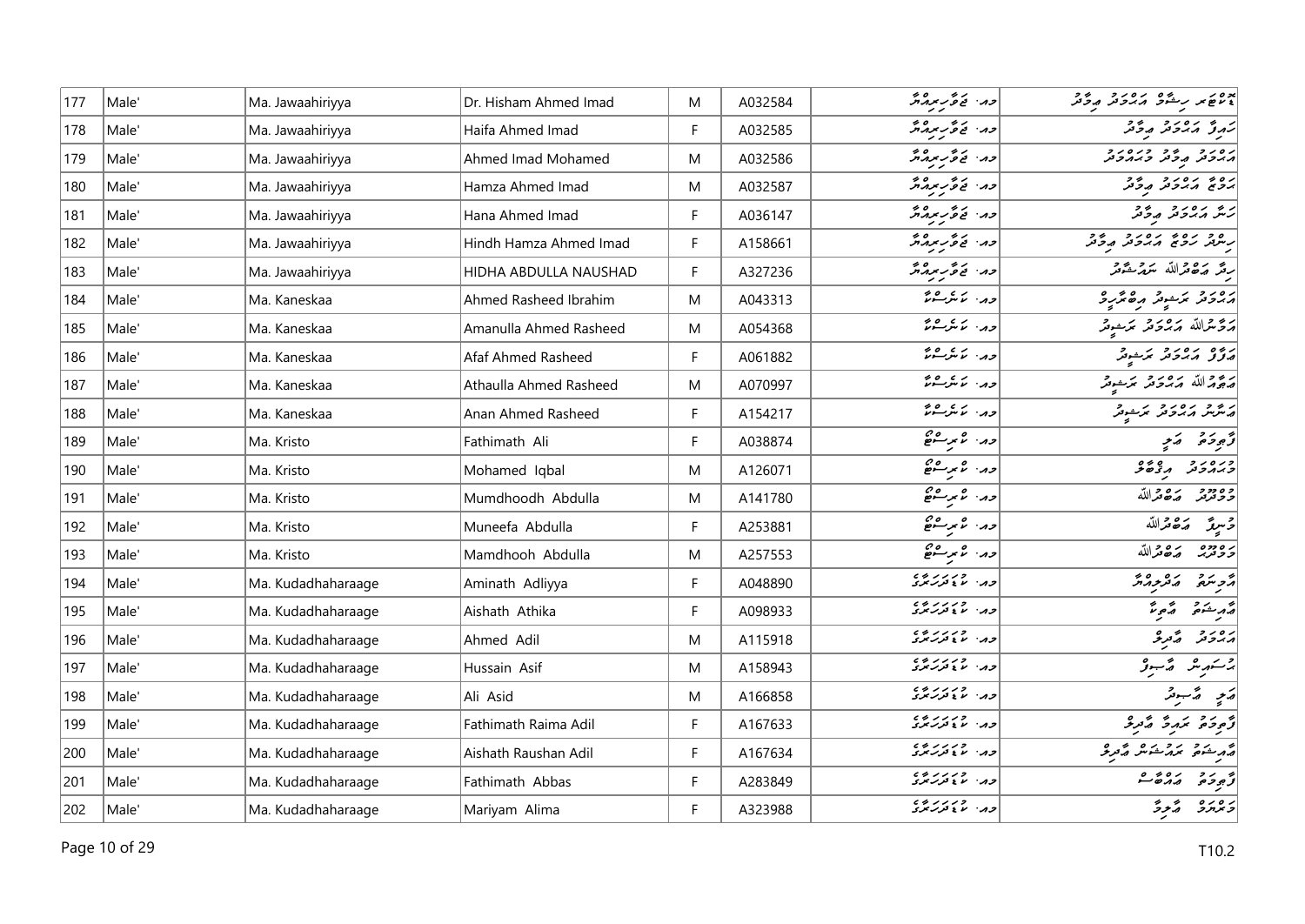| 177 | Male' | Ma. Jawaahiriyya   | Dr. Hisham Ahmed Imad  | M           | A032584 | حەر ئەتق <i>ىر بىر</i> مەمگە                         | ×٥ م م م م د د د د د و د و د         |
|-----|-------|--------------------|------------------------|-------------|---------|------------------------------------------------------|--------------------------------------|
| 178 | Male' | Ma. Jawaahiriyya   | Haifa Ahmed Imad       | F           | A032585 | وړ٠ ځوکر بروگر                                       | پَهرِوٌ مَدَوَمٌ مِروَمٌ             |
| 179 | Male' | Ma. Jawaahiriyya   | Ahmed Imad Mohamed     | M           | A032586 |                                                      | ر ور د په د در ور د                  |
| 180 | Male' | Ma. Jawaahiriyya   | Hamza Ahmed Imad       | M           | A032587 | وړ٠ ځوگر <sub>پروگ</sub> و                           | גם 2 גם גב בייבריק.<br>גבה הגבת ביכת |
| 181 | Male' | Ma. Jawaahiriyya   | Hana Ahmed Imad        | $\mathsf F$ | A036147 | בגי <u>ב</u> 'פל <sub>ו ז</sub> באת.<br>ק            | ر پر در در در در د                   |
| 182 | Male' | Ma. Jawaahiriyya   | Hindh Hamza Ahmed Imad | F           | A158661 | وړ٠ ځوگر بروگر                                       | ر 20 روم رور و 20 د                  |
| 183 | Male' | Ma. Jawaahiriyya   | HIDHA ABDULLA NAUSHAD  | $\mathsf F$ | A327236 | כו <sub>בי</sub> ה <sub>פ</sub> ל <sub> ה</sub> בליק | برقر وكافرالله سمد شور               |
| 184 | Male' | Ma. Kaneskaa       | Ahmed Rasheed Ibrahim  | M           | A043313 | <i>دە. ئ</i> ەنئەر م <sup>ەي</sup>                   | ړه رو پرېشونز پره پر ره              |
| 185 | Male' | Ma. Kaneskaa       | Amanulla Ahmed Rasheed | M           | A054368 | <i>وە. ئە</i> ترىش <sup>ى</sup>                      | أروح الله زبردتر برحوتر              |
| 186 | Male' | Ma. Kaneskaa       | Afaf Ahmed Rasheed     | F           | A061882 | حەر ، سۈركەت ئىس                                     | روه رورد برشوتر                      |
| 187 | Male' | Ma. Kaneskaa       | Athaulla Ahmed Rasheed | M           | A070997 | جەر ، ئەنئ <i>ەر 2</i> 0                             | برء والله برور و برشوتر              |
| 188 | Male' | Ma. Kaneskaa       | Anan Ahmed Rasheed     | F           | A154217 | حەر ، ئەنئەر شە <i>ن</i> گە                          | أرشر وبروير برشوش                    |
| 189 | Male' | Ma. Kristo         | Fathimath Ali          | F           | A038874 | בו. לתפי                                             | توجوجو المامح                        |
| 190 | Male' | Ma. Kristo         | Mohamed Iqbal          | M           | A126071 | כו <i>גי י</i> ל זק הפי                              | כנסנכ הפישיב                         |
| 191 | Male' | Ma. Kristo         | Mumdhoodh Abdulla      | M           | A141780 | בו ישתיים                                            | وه دو به ده دالله                    |
| 192 | Male' | Ma. Kristo         | Muneefa Abdulla        | F           | A253881 | در. کاموره چ                                         | وكحصرالله<br> 3سرپر                  |
| 193 | Male' | Ma. Kristo         | Mamdhooh Abdulla       | M           | A257553 | ور. لا يوسطى                                         | رەددە رەۋاللە                        |
| 194 | Male' | Ma. Kudadhaharaage | Aminath Adliyya        | F           | A048890 | و در در در در<br>وړ ۱۰ ما پا تور تور                 | ە ئەرجەمە<br>ړ د سره په              |
| 195 | Male' | Ma. Kudadhaharaage | Aishath Athika         | F           | A098933 | و در ۱۵ دره در ۵<br>ورسد تا ۶ تورنوی                 | وكرشكو وكولا                         |
| 196 | Male' | Ma. Kudadhaharaage | Ahmed Adil             | M           | A115918 | و در در در د<br>وړ ۱۰ ع تورندی                       | رەر ئەرۋ                             |
| 197 | Male' | Ma. Kudadhaharaage | Hussain Asif           | M           | A158943 | و در در در د<br>وړ ۱۰ ع تورندی                       | 2 سىمەمىر ھەسبور<br>م                |
| 198 | Male' | Ma. Kudadhaharaage | Ali Asid               | M           | A166858 | و در رور و د<br>وړ ۱۰ ما د تورندۍ                    | ەكتىر ەئىسىدىم                       |
| 199 | Male' | Ma. Kudadhaharaage | Fathimath Raima Adil   | F.          | A167633 | و در در در د<br>وړ ۱۰ تا تور بوي                     | وٌودَءٌ مَدِدٌ مُدِرْ                |
| 200 | Male' | Ma. Kudadhaharaage | Aishath Raushan Adil   | F.          | A167634 | و در رور و د<br>وړ ۱۰ تا تور بوی                     | مەر ئىكى ئىمار ئىكى مەر ئى           |
| 201 | Male' | Ma. Kudadhaharaage | Fathimath Abbas        | F           | A283849 | و در ۱۵۷۷ ورو په د                                   | 250/<br>ۇ بوخ <sup>ى</sup>           |
| 202 | Male' | Ma. Kudadhaharaage | Mariyam Alima          | F           | A323988 | و در رور و د<br>وړ ۱۰ ما د تورندۍ                    | رەرە شەپ                             |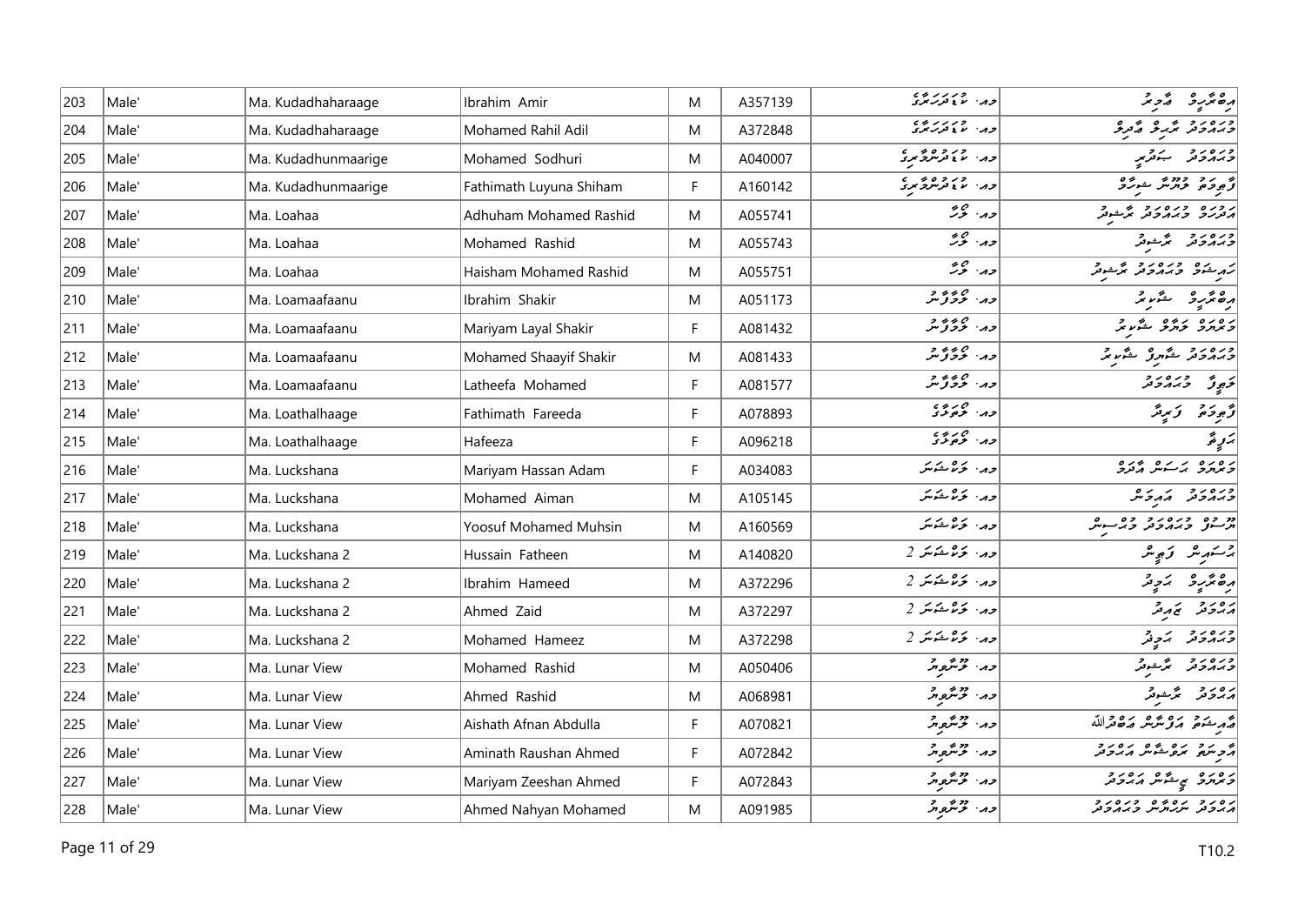| 203 | Male' | Ma. Kudadhaharaage  | Ibrahim Amir                 | M  | A357139 | و در رور و د<br>وړ ۱۰ تا تور بوی              | رەنزىرى ئەدىر                                            |
|-----|-------|---------------------|------------------------------|----|---------|-----------------------------------------------|----------------------------------------------------------|
|     |       |                     |                              |    |         | و در ۱۵ دره در ۵<br>ور۲۰ ما ٤ تورنتوی         |                                                          |
| 204 | Male' | Ma. Kudadhaharaage  | Mohamed Rahil Adil           | M  | A372848 |                                               | ورەرو پژبرى ھىرى                                         |
| 205 | Male' | Ma. Kudadhunmaarige | Mohamed Sodhuri              | M  | A040007 | وړ .   د د وه و د .<br>د د .   سا د ترسرد مرد | ورەرو بەدىر                                              |
| 206 | Male' | Ma. Kudadhunmaarige | Fathimath Luyuna Shiham      | F. | A160142 | در و د ده و د                                 | تو دو دود شوره                                           |
| 207 | Male' | Ma. Loahaa          | Adhuham Mohamed Rashid       | M  | A055741 | وړ کوگ                                        | ر وره مده در و گرشونگر<br>مانگرسان حاکمان می گرشونگر     |
| 208 | Male' | Ma. Loahaa          | Mohamed Rashid               | M  | A055743 | وړ کوگ                                        | ورەرو گەشەتر                                             |
| 209 | Male' | Ma. Loahaa          | Haisham Mohamed Rashid       | M  | A055751 | وړ گرگ                                        | ر مشروح وره دو محمد بر                                   |
| 210 | Male' | Ma. Loamaafaanu     | Ibrahim Shakir               | M  | A051173 | בו בכציב                                      | رە ئەر ئىسىم                                             |
| 211 | Male' | Ma. Loamaafaanu     | Mariyam Layal Shakir         | F. | A081432 | ە پە بەر يەر<br><i>دە</i> بە ئەركەش           | - 2010 - 2014 محمد محمد جم                               |
| 212 | Male' | Ma. Loamaafaanu     | Mohamed Shaayif Shakir       | M  | A081433 | ور، ئۇۋۇش                                     | ورەرو ئۇرۇ ئۇرىگر                                        |
| 213 | Male' | Ma. Loamaafaanu     | Latheefa Mohamed             | F. | A081577 | ور. ووژنر                                     | كروي وره رد                                              |
| 214 | Male' | Ma. Loathalhaage    | Fathimath Fareeda            | F  | A078893 | ەر پەر<br>چەن ئۈچۈن ي                         | وٌموده وَبِرِمَّ                                         |
| 215 | Male' | Ma. Loathalhaage    | Hafeeza                      | F  | A096218 | ەر پەر<br>3رە ئەھمى                           | برَوٍهُ                                                  |
| 216 | Male' | Ma. Luckshana       | Mariyam Hassan Adam          | F  | A034083 | ورستى شەكى                                    | קסקס קבוע הקס<br>בינו <i>ק</i> ב הבינו <sub>ר</sub> הנקב |
| 217 | Male' | Ma. Luckshana       | Mohamed Aiman                | M  | A105145 | ورستى شەكىر                                   | כנים ני התבית                                            |
| 218 | Male' | Ma. Luckshana       | <b>Yoosuf Mohamed Muhsin</b> | M  | A160569 | <i>حەن ئۇناھىتى</i> كە                        | ח כם כנסגב כם<br>תיינו בגובת בגיית                       |
| 219 | Male' | Ma. Luckshana 2     | Hussain Fatheen              | M  | A140820 | ور. ئۇناشكىتى 2                               | رژىسىم تۇمچىر                                            |
| 220 | Male' | Ma. Luckshana 2     | Ibrahim Hameed               | M  | A372296 | ور. ئۇناشكىتى 2                               | رەپرىي بەدىر                                             |
| 221 | Male' | Ma. Luckshana 2     | Ahmed Zaid                   | M  | A372297 | ور، ئۇرۇشكىر 2                                | دەرو پەرو                                                |
| 222 | Male' | Ma. Luckshana 2     | Mohamed Hameez               | M  | A372298 | ور. ئۇناشكىتى 2                               | ورەر دىر برون                                            |
| 223 | Male' | Ma. Lunar View      | Mohamed Rashid               | M  | A050406 | دە. ئۇش <sub>رە م</sub>                       | ورەر د پژخوش<br><i>دېرم</i> ونر برخوش                    |
| 224 | Male' | Ma. Lunar View      | Ahmed Rashid                 | M  | A068981 | در ود عموم                                    | رەر ئەشەر                                                |
| 225 | Male' | Ma. Lunar View      | Aishath Afnan Abdulla        | F  | A070821 | در. ژگروگر                                    | و مدد و بره و و بره و الله                               |
| 226 | Male' | Ma. Lunar View      | Aminath Raushan Ahmed        | F  | A072842 |                                               | ه در د ده ده د در د<br>مرح شهر مرو شوش مار د د           |
| 227 | Male' | Ma. Lunar View      | Mariyam Zeeshan Ahmed        | F. | A072843 | در بیشور                                      | رەرە بېشەھ رەرد                                          |
| 228 | Male' | Ma. Lunar View      | Ahmed Nahyan Mohamed         | M  | A091985 | در. تژنگویز                                   | נפני נפשים כנסנים<br>הגבת ייקגותיית כגובת                |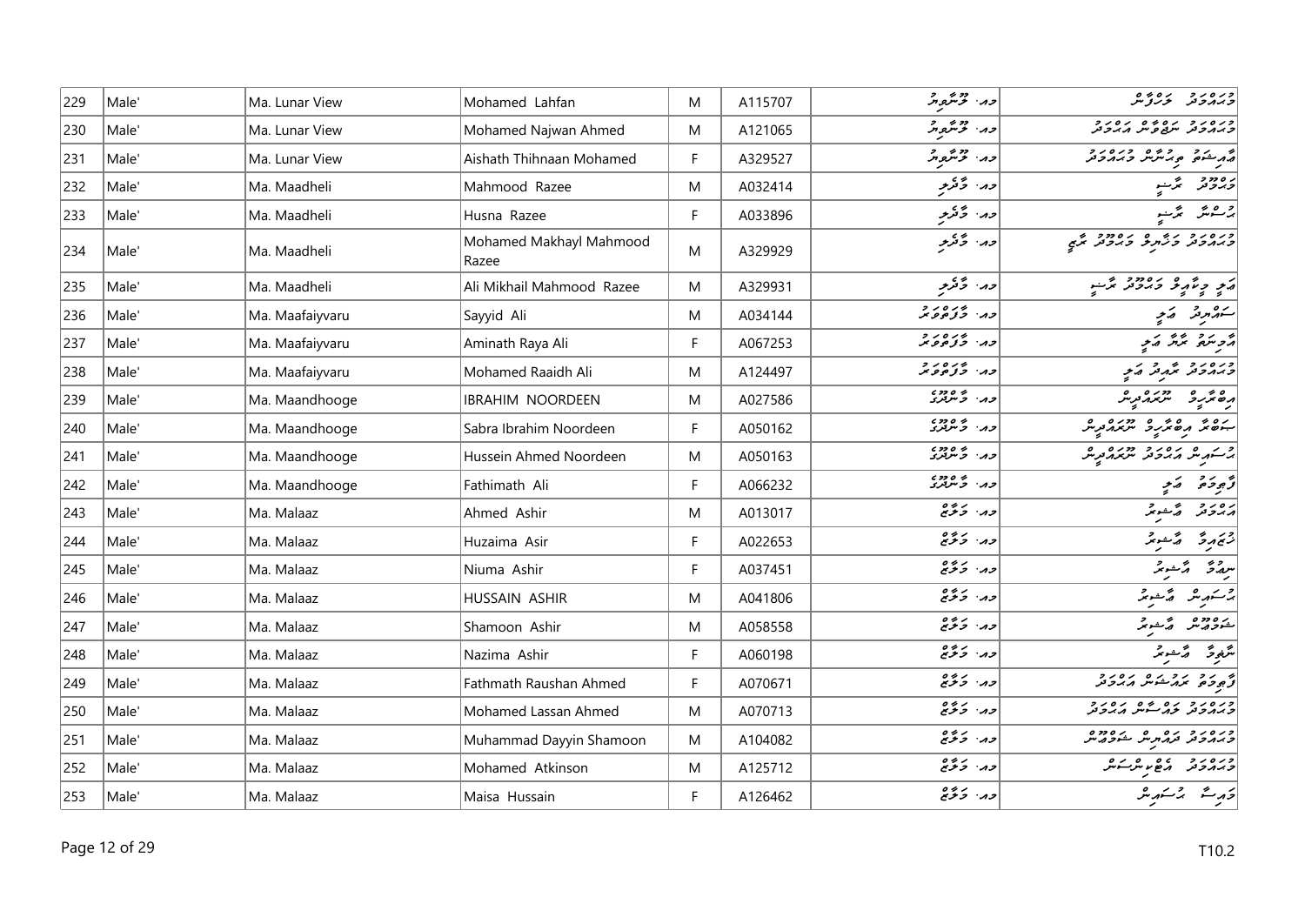| 229 | Male' | Ma. Lunar View  | Mohamed Lahfan                   | M         | A115707 | בני ביתפת                        | ورەرد رەپەە<br><i>دىد</i> ىرى ئ <i>ورۇ</i> س                    |
|-----|-------|-----------------|----------------------------------|-----------|---------|----------------------------------|-----------------------------------------------------------------|
| 230 | Male' | Ma. Lunar View  | Mohamed Najwan Ahmed             | M         | A121065 | دړ٠ تر ش <u>و</u> بر             | ورەر د رەپە رەر د<br><i>دىد</i> ەردىر س <sub>ى</sub> رۇس ەبردىر |
| 231 | Male' | Ma. Lunar View  | Aishath Thihnaan Mohamed         | F         | A329527 | أحه ومحتفوه                      | و مشوم و د مهر و دره د و                                        |
| 232 | Male' | Ma. Maadheli    | Mahmood Razee                    | M         | A032414 | وړ٤ وگرمو                        | ره دور گرجو<br>درگرفتر گرجو                                     |
| 233 | Male' | Ma. Maadheli    | Husna Razee                      | F.        | A033896 | دە. دۇرو                         | ر مار میں مقرر ہے<br>مسلمانیہ میں مقرر ہے                       |
| 234 | Male' | Ma. Maadheli    | Mohamed Makhayl Mahmood<br>Razee | ${\sf M}$ | A329929 | در. دُنگرمو                      | ورەر د رژمر و رەدد د پر<br>وبرارولر و ژمر وبرولر برې            |
| 235 | Male' | Ma. Maadheli    | Ali Mikhail Mahmood Razee        | M         | A329931 | وړ٤ وگرمو                        | ړې د پرو دره ده پرې                                             |
| 236 | Male' | Ma. Maafaiyvaru | Sayyid Ali                       | M         | A034144 | وړ ورور د<br>در وروونر           |                                                                 |
| 237 | Male' | Ma. Maafaiyvaru | Aminath Raya Ali                 | F         | A067253 | وړ وره د د<br><i>ده</i> رووه د   |                                                                 |
| 238 | Male' | Ma. Maafaiyvaru | Mohamed Raaidh Ali               | M         | A124497 | وړ وره رو<br>وړ ونونونو          | כנסגב הוב בי                                                    |
| 239 | Male' | Ma. Maandhooge  | IBRAHIM NOORDEEN                 | M         | A027586 | و د. و دود ،<br>و د. و سربر د    | ת פיציב מאת על                                                  |
| 240 | Male' | Ma. Maandhooge  | Sabra Ibrahim Noordeen           | F.        | A050162 | و در په دوده<br>و در که کردن     | - ده د مه ده ده دره مورد بر                                     |
| 241 | Male' | Ma. Maandhooge  | Hussein Ahmed Noordeen           | M         | A050163 | و در به دود و<br>و در به مرکبوری |                                                                 |
| 242 | Male' | Ma. Maandhooge  | Fathimath Ali                    | F         | A066232 | و در په دوده<br>و در که کردن     | توجوجو المامي                                                   |
| 243 | Male' | Ma. Malaaz      | Ahmed Ashir                      | M         | A013017 | وړ کوگړه                         | أرور والمسور                                                    |
| 244 | Male' | Ma. Malaaz      | Huzaima Asir                     | F         | A022653 | وړ کونځ                          | ترىج مرگز مەشىرىمى                                              |
| 245 | Male' | Ma. Malaaz      | Niuma Ashir                      | F         | A037451 | وړ ژوگړه                         | سروق أرشوند                                                     |
| 246 | Male' | Ma. Malaaz      | HUSSAIN ASHIR                    | M         | A041806 | وړ٠ وگړه                         | بركستهريش كمتحضر                                                |
| 247 | Male' | Ma. Malaaz      | Shamoon Ashir                    | M         | A058558 | وړ کونځ                          | شەەدەم ئەسىر                                                    |
| 248 | Male' | Ma. Malaaz      | Nazima Ashir                     | F         | A060198 | وړ ژوگو                          | أستنجرته وترشوش                                                 |
| 249 | Male' | Ma. Malaaz      | Fathmath Raushan Ahmed           | F         | A070671 | وړ کونځ                          | و د د د دره ده د د                                              |
| 250 | Male' | Ma. Malaaz      | Mohamed Lassan Ahmed             | M         | A070713 | وړ کونځ                          | ورەر د رە بەھ رەر د<br><i>دېدو دې خهر ش</i> مر م <i>برو</i> تر  |
| 251 | Male' | Ma. Malaaz      | Muhammad Dayyin Shamoon          | M         | A104082 | وړ کونځ                          | وره رو بره ره بره دوه<br>دبرمردنر ترمهرس شودمهس                 |
| 252 | Male' | Ma. Malaaz      | Mohamed Atkinson                 | M         | A125712 | وړ٠ وگړه                         | ورەرو يەھرىرىكىر                                                |
| 253 | Male' | Ma. Malaaz      | Maisa Hussain                    | F.        | A126462 | وړ کونځ                          | خەرشە جەستەرىش                                                  |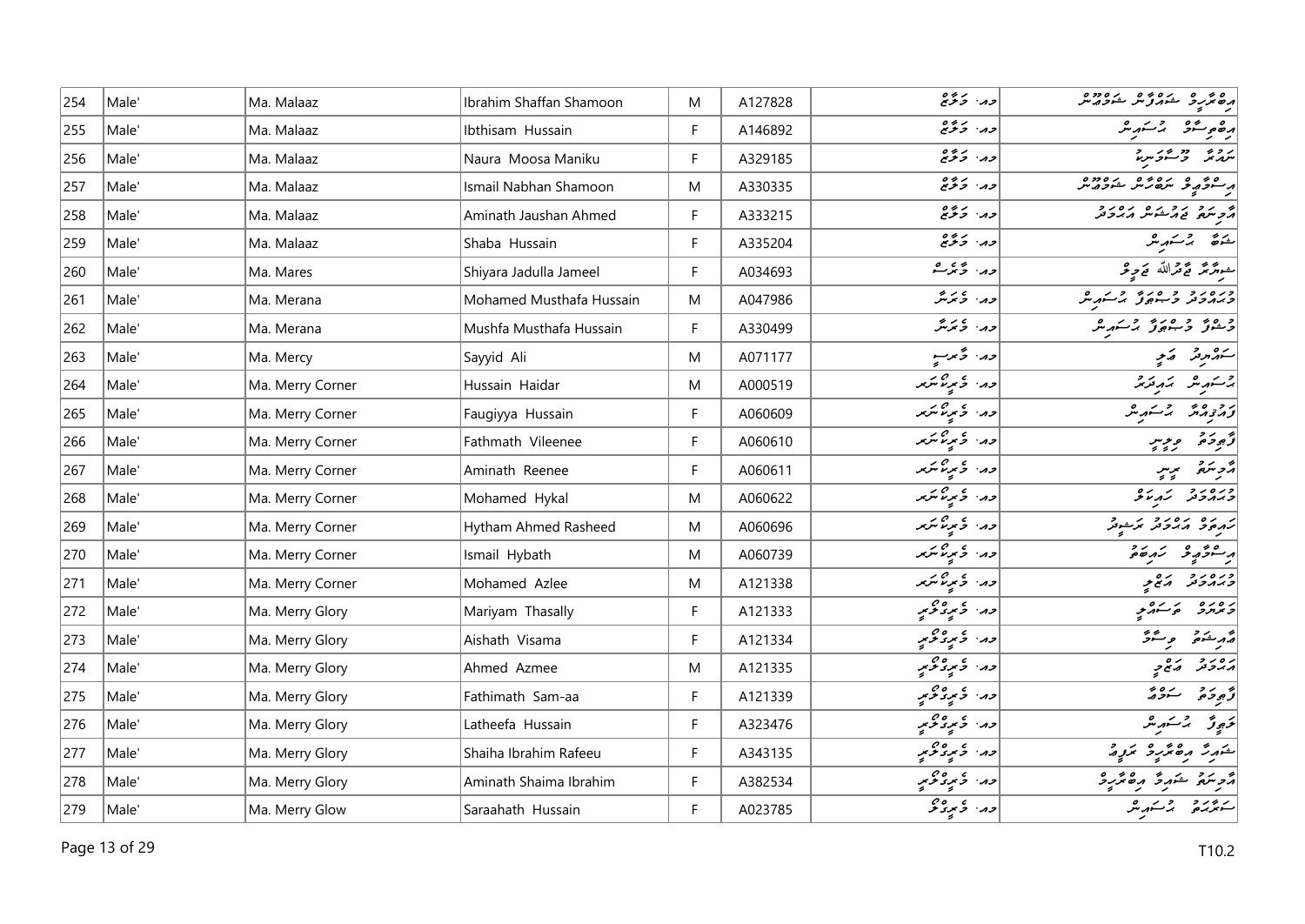| 254 | Male' | Ma. Malaaz       | Ibrahim Shaffan Shamoon  | M         | A127828 | وړ کونځ ع               | دە ئەرەب دەبەھ دەدە                                                                                                                                                                                                           |
|-----|-------|------------------|--------------------------|-----------|---------|-------------------------|-------------------------------------------------------------------------------------------------------------------------------------------------------------------------------------------------------------------------------|
| 255 | Male' | Ma. Malaaz       | Ibthisam Hussain         | F         | A146892 | وړ کونځ                 | 1999 - 1999 - 1999 - 1999 - 1999 - 1999 - 1999 - 1999 - 1999 - 1999 - 1999 - 1999 - 1999 - 1999 - 1999 - 1999 - 1999 - 1999 - 1999 - 1999 - 1999 - 1999 - 1999 - 1999 - 1999 - 1999 - 1999 - 1999 - 1999 - 1999 - 1999 - 1999 |
| 256 | Male' | Ma. Malaaz       | Naura Moosa Maniku       | F         | A329185 | وړ کو نو ه              |                                                                                                                                                                                                                               |
| 257 | Male' | Ma. Malaaz       | Ismail Nabhan Shamoon    | M         | A330335 | وړ کوگړه                | ە بەرە بەرە بەرەدە<br>مەسوئەت سەھەس شەرەس                                                                                                                                                                                     |
| 258 | Male' | Ma. Malaaz       | Aminath Jaushan Ahmed    | F         | A333215 | وړ کوگړه                | و در در دره ده در د                                                                                                                                                                                                           |
| 259 | Male' | Ma. Malaaz       | Shaba Hussain            | F         | A335204 | כו <i>ני ב</i> יבים     | خترقة بركتمبريش                                                                                                                                                                                                               |
| 260 | Male' | Ma. Mares        | Shiyara Jadulla Jameel   | F         | A034693 | وړ٠ وګرگ                | حْمِثَرَتَمْ يُرَتَّرُاللَّهُ يَوَجِّرُ                                                                                                                                                                                       |
| 261 | Male' | Ma. Merana       | Mohamed Musthafa Hussain | M         | A047986 | وړ کويونگر              | ورەرو وەرە وىمبر                                                                                                                                                                                                              |
| 262 | Male' | Ma. Merana       | Mushfa Musthafa Hussain  | F         | A330499 | دە . دىمەش              | و ە ئە دەر ئەر ئەر                                                                                                                                                                                                            |
| 263 | Male' | Ma. Mercy        | Sayyid Ali               | ${\sf M}$ | A071177 | در. ڈیرب                | سەھرىتى ھەمچ                                                                                                                                                                                                                  |
| 264 | Male' | Ma. Merry Corner | Hussain Haidar           | M         | A000519 | در و پر مرکز            | برستهرش بمهرفريز                                                                                                                                                                                                              |
| 265 | Male' | Ma. Merry Corner | Faugiyya Hussain         | F         | A060609 | در کا پر محمد کر        | ومقدم يحسبه                                                                                                                                                                                                                   |
| 266 | Male' | Ma. Merry Corner | Fathmath Vileenee        | F         | A060610 | وړ کو پر تکرير          | قرموقر ومبير                                                                                                                                                                                                                  |
| 267 | Male' | Ma. Merry Corner | Aminath Reenee           | F         | A060611 | وړ کو پر نامر پر        | أأروبتهم بربير                                                                                                                                                                                                                |
| 268 | Male' | Ma. Merry Corner | Mohamed Hykal            | ${\sf M}$ | A060622 | وړ کو پر نامر پر        | ورەرو ئەركو                                                                                                                                                                                                                   |
| 269 | Male' | Ma. Merry Corner | Hytham Ahmed Rasheed     | ${\sf M}$ | A060696 | در که پر محمد           | ر ده ده ده کرد و                                                                                                                                                                                                              |
| 270 | Male' | Ma. Merry Corner | Ismail Hybath            | M         | A060739 | در که پر محمد           | وستوصفي متصفقه                                                                                                                                                                                                                |
| 271 | Male' | Ma. Merry Corner | Mohamed Azlee            | M         | A121338 | در که پر شهر            | ورەرد رەپر                                                                                                                                                                                                                    |
| 272 | Male' | Ma. Merry Glory  | Mariyam Thasally         | F         | A121333 | در و پروگړ              | גם גם גים                                                                                                                                                                                                                     |
| 273 | Male' | Ma. Merry Glory  | Aishath Visama           | F         | A121334 | وړ٠ د پروتوپر           | أقهر شكاة والشرقر                                                                                                                                                                                                             |
| 274 | Male' | Ma. Merry Glory  | Ahmed Azmee              | M         | A121335 | در کوروگور              | أرور ورو                                                                                                                                                                                                                      |
| 275 | Male' | Ma. Merry Glory  | Fathimath Sam-aa         | F         | A121339 | در و نړۍ لمړ            | أوجوده سنور                                                                                                                                                                                                                   |
| 276 | Male' | Ma. Merry Glory  | Latheefa Hussain         | F         | A323476 | وړ٠ د پروتوپر           | خَيْرٍ ثُمْ سَنَ سَرِ سُرْ                                                                                                                                                                                                    |
| 277 | Male' | Ma. Merry Glory  | Shaiha Ibrahim Rafeeu    | F         | A343135 |                         | شەر ئەھ ئەر ئە ئەرە                                                                                                                                                                                                           |
| 278 | Male' | Ma. Merry Glory  | Aminath Shaima Ibrahim   | F         | A382534 |                         | أدوسكم يتمرد وهتريده                                                                                                                                                                                                          |
| 279 | Male' | Ma. Merry Glow   | Saraahath Hussain        | F         | A023785 | כו. לתְצ <sup>פ</sup> ל | سەمدىق برىسىرىش                                                                                                                                                                                                               |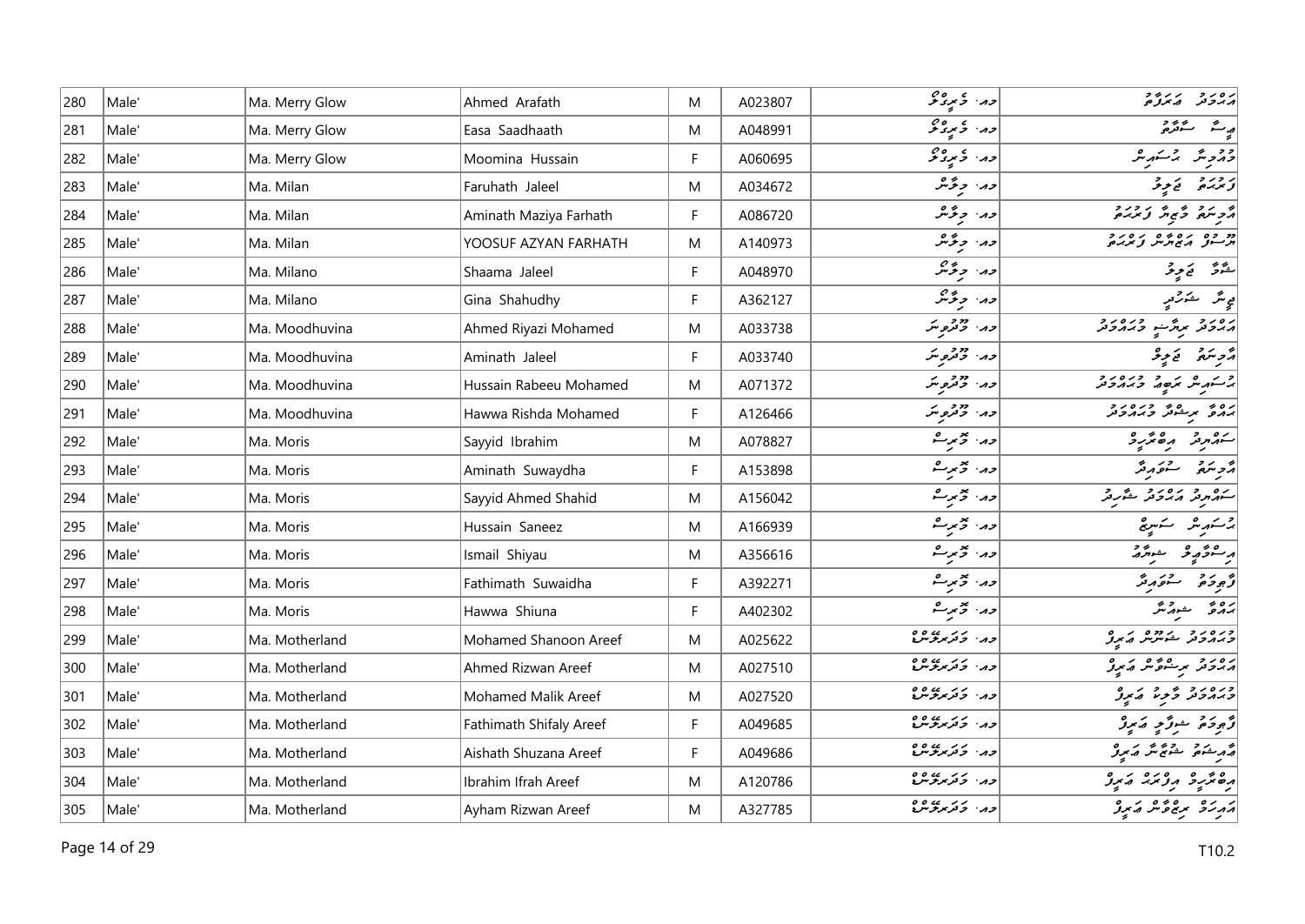| 280 | Male' | Ma. Merry Glow | Ahmed Arafath           | M           | A023807 | دە. ئىردىگ                        | ג ס ג כ ג ב ב<br>ג ג כ ב ג ב ב ב ב ב ה                  |
|-----|-------|----------------|-------------------------|-------------|---------|-----------------------------------|---------------------------------------------------------|
| 281 | Male' | Ma. Merry Glow | Easa Saadhaath          | M           | A048991 | وړ٠ ځ پرونو                       | ار شهر مقرمی<br>اوسته مستوره                            |
| 282 | Male' | Ma. Merry Glow | Moomina Hussain         | F           | A060695 | כו. אי ישריק                      | وړولنګ پر شهر شر                                        |
| 283 | Male' | Ma. Milan      | Faruhath Jaleel         | M           | A034672 | دە رۇش                            | ترورو تموتى                                             |
| 284 | Male' | Ma. Milan      | Aminath Maziya Farhath  | F           | A086720 | دە بەۋىر                          | أأدمره ومجار وبرد                                       |
| 285 | Male' | Ma. Milan      | YOOSUF AZYAN FARHATH    | M           | A140973 | دە. دۇش                           | ח כם גם זם גם גביב<br>ת—تو הזהתית צינגים                |
| 286 | Male' | Ma. Milano     | Shaama Jaleel           | $\mathsf F$ | A048970 | ادر. دِ ڈِیْر                     | شَرَقَ نَے مُحٍ مِنْ                                    |
| 287 | Male' | Ma. Milano     | Gina Shahudhy           | F           | A362127 | در. دِ ڈِسگ                       | محي شمكر تعميد حسن محمد السياسي                         |
| 288 | Male' | Ma. Moodhuvina | Ahmed Riyazi Mohamed    | M           | A033738 | در ودور                           | גפנד <sub>מ</sub> ת- 1975.<br>הגבת <sub>מ</sub> ת- 1975 |
| 289 | Male' | Ma. Moodhuvina | Aminath Jaleel          | F           | A033740 | وړ٠ وفرونتر                       | أزويتم فيحوفه                                           |
| 290 | Male' | Ma. Moodhuvina | Hussain Rabeeu Mohamed  | M           | A071372 | در دوره شر                        | ר אית יו האסף כמחכת                                     |
| 291 | Male' | Ma. Moodhuvina | Hawwa Rishda Mohamed    | $\mathsf F$ | A126466 | در ودوسر                          | ره و مرت و دره د و<br>بروغ مرتشنر و برو و تر            |
| 292 | Male' | Ma. Moris      | Sayyid Ibrahim          | M           | A078827 | دە. ئ <sup>ې</sup> رت             | شورور مصرور                                             |
| 293 | Male' | Ma. Moris      | Aminath Suwaydha        | $\mathsf F$ | A153898 | دە. ئېرى                          | و الله عن المعلم المحمد و المحمد الم                    |
| 294 | Male' | Ma. Moris      | Sayyid Ahmed Shahid     | M           | A156042 | دە. ئېرىش                         | سكە بەر ئەر ئەر ئەر ئىش بەر                             |
| 295 | Male' | Ma. Moris      | Hussain Saneez          | M           | A166939 | دړ به مخبوب ه                     | يرت مريثر التكسير                                       |
| 296 | Male' | Ma. Moris      | Ismail Shiyau           | M           | A356616 | در به سمبر ه                      | وسنو ومحموقه المستور                                    |
| 297 | Male' | Ma. Moris      | Fathimath Suwaidha      | F           | A392271 | ا در به بخبر م                    | وموجود منفرمة                                           |
| 298 | Male' | Ma. Moris      | Hawwa Shiuna            | F           | A402302 | جه محمر م                         | رەپ شەرىر<br>بەرى شەرىر                                 |
| 299 | Male' | Ma. Motherland | Mohamed Shanoon Areef   | M           | A025622 | وړ٠ وتر دي ٥٥<br>وړ٠ وتر د ژمن    | وره رو در دوه در و<br>وبرووند شهرس مرموثی               |
| 300 | Male' | Ma. Motherland | Ahmed Rizwan Areef      | M           | A027510 | وړ٠ وتر پره ٥٥<br>وړ٠ وتر پر پر س | رەر دېرىنوڭ كەيدۇ                                       |
| 301 | Male' | Ma. Motherland | Mohamed Malik Areef     | M           | A027520 | وړ· د <i>کوپرنژ</i> مره           | ورەر د د در كړر                                         |
| 302 | Male' | Ma. Motherland | Fathimath Shifaly Areef | $\mathsf F$ | A049685 | وړ کوتر <i>پرې ۵۵</i>             | و و ده خود و ميرو                                       |
| 303 | Male' | Ma. Motherland | Aishath Shuzana Areef   | $\mathsf F$ | A049686 | وړ کوتر <i>پرې ۵۵</i>             | ە ئەستومى شويى سى ئەسپى                                 |
| 304 | Male' | Ma. Motherland | Ibrahim Ifrah Areef     | M           | A120786 | وړ٠ وتر دي وه                     | معتر و مرو برو كمبرو                                    |
| 305 | Male' | Ma. Motherland | Ayham Rizwan Areef      | M           | A327785 | وړ٠ وَتربر <sup>ړ</sup> ي وه      | أمدر والمعجمة والمعرفي بروا                             |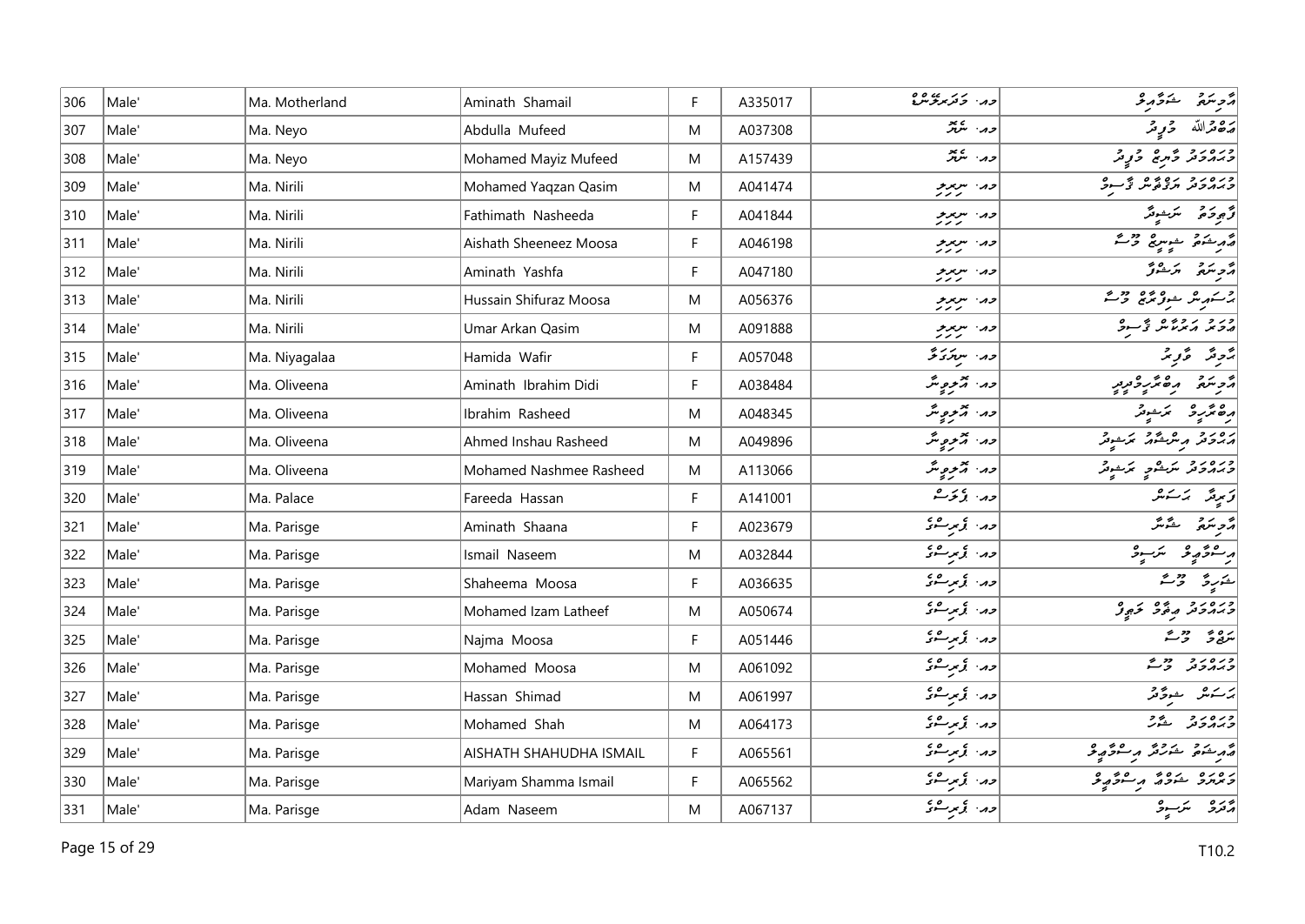| 306 | Male' | Ma. Motherland | Aminath Shamail         | F           | A335017 | وړ٠ و تر <i>پروه</i> وه   | أأدمته فكأرو                                                                                                                                                                                                                                                                                                                                                                                                                    |
|-----|-------|----------------|-------------------------|-------------|---------|---------------------------|---------------------------------------------------------------------------------------------------------------------------------------------------------------------------------------------------------------------------------------------------------------------------------------------------------------------------------------------------------------------------------------------------------------------------------|
| 307 | Male' | Ma. Neyo       | Abdulla Mufeed          | M           | A037308 | وړ. سرچ                   | پره ترالله څوپه                                                                                                                                                                                                                                                                                                                                                                                                                 |
| 308 | Male' | Ma. Neyo       | Mohamed Mayiz Mufeed    | M           | A157439 | ود. سرچ                   | כגם גב ביתי בקבל                                                                                                                                                                                                                                                                                                                                                                                                                |
| 309 | Male' | Ma. Nirili     | Mohamed Yaqzan Qasim    | M           | A041474 | وړ سربرنو<br>د ر          | ورەر د رەپرە گەر                                                                                                                                                                                                                                                                                                                                                                                                                |
| 310 | Male' | Ma. Nirili     | Fathimath Nasheeda      | F           | A041844 | وړ، سربر د<br>ر           | ترجوخا متشوش                                                                                                                                                                                                                                                                                                                                                                                                                    |
| 311 | Male' | Ma. Nirili     | Aishath Sheeneez Moosa  | $\mathsf F$ | A046198 | وړ سربر د<br>ر            | و<br>وگرځمو خوسرچ وخک                                                                                                                                                                                                                                                                                                                                                                                                           |
| 312 | Male' | Ma. Nirili     | Aminath Yashfa          | F           | A047180 | وړ سربر د<br>در           | أروبته المشرقر                                                                                                                                                                                                                                                                                                                                                                                                                  |
| 313 | Male' | Ma. Nirili     | Hussain Shifuraz Moosa  | M           | A056376 | وړ سربر د                 | ج سے مر شہر شروع ہے۔<br>بر سے مر شور برنج مر ش                                                                                                                                                                                                                                                                                                                                                                                  |
| 314 | Male' | Ma. Nirili     | Umar Arkan Qasim        | M           | A091888 | وړ سربرنو<br>د ر          |                                                                                                                                                                                                                                                                                                                                                                                                                                 |
| 315 | Male' | Ma. Niyagalaa  | Hamida Wafir            | F           | A057048 | בו. ייטבציב               | پژونژ قروبژ                                                                                                                                                                                                                                                                                                                                                                                                                     |
| 316 | Male' | Ma. Oliveena   | Aminath Ibrahim Didi    | F           | A038484 | حەر بە ئىمرە بىر<br>مەنبە | أأوسم وكالأروبر                                                                                                                                                                                                                                                                                                                                                                                                                 |
| 317 | Male' | Ma. Oliveena   | Ibrahim Rasheed         | M           | A048345 | دە. ئېزوپىگە              | رە ئرىر ئىسىم                                                                                                                                                                                                                                                                                                                                                                                                                   |
| 318 | Male' | Ma. Oliveena   | Ahmed Inshau Rasheed    | M           | A049896 | در. مجموع مگر             | رەرد مەشقەر كەنبەتە                                                                                                                                                                                                                                                                                                                                                                                                             |
| 319 | Male' | Ma. Oliveena   | Mohamed Nashmee Rasheed | M           | A113066 | در به معروبتر             | ورەرو تركىمى تركىد                                                                                                                                                                                                                                                                                                                                                                                                              |
| 320 | Male' | Ma. Palace     | Fareeda Hassan          | F           | A141001 | وړ کوکړے                  | أَوَ مِرْمَدٌ مَرَ سَرُمْرٌ                                                                                                                                                                                                                                                                                                                                                                                                     |
| 321 | Male' | Ma. Parisge    | Aminath Shaana          | F           | A023679 | دړ. کوبېر هغو             | ړٌ پر سَرَ پَر شَر                                                                                                                                                                                                                                                                                                                                                                                                              |
| 322 | Male' | Ma. Parisge    | Ismail Naseem           | M           | A032844 | دړ. کو پر شو ځ            | ر جۇرچە سىردە                                                                                                                                                                                                                                                                                                                                                                                                                   |
| 323 | Male' | Ma. Parisge    | Shaheema Moosa          | F           | A036635 | دەر، ئۇمرىشى              | $\begin{array}{ccccc}\n\mathbf{2} & \mathbf{3} & \mathbf{2} & \mathbf{2} & \mathbf{2} & \mathbf{2} & \mathbf{2} & \mathbf{2} & \mathbf{2} & \mathbf{2} & \mathbf{2} & \mathbf{2} & \mathbf{2} & \mathbf{2} & \mathbf{2} & \mathbf{2} & \mathbf{2} & \mathbf{2} & \mathbf{2} & \mathbf{2} & \mathbf{2} & \mathbf{2} & \mathbf{2} & \mathbf{2} & \mathbf{2} & \mathbf{2} & \mathbf{2} & \mathbf{2} & \mathbf{2} & \mathbf{2} & \$ |
| 324 | Male' | Ma. Parisge    | Mohamed Izam Latheef    | M           | A050674 | در. بی بر ۹۵              | ورەرد مەڭ كېرگى                                                                                                                                                                                                                                                                                                                                                                                                                 |
| 325 | Male' | Ma. Parisge    | Najma Moosa             | $\mathsf F$ | A051446 | ور. بۇ برىشى              | ىرە بەر بىر                                                                                                                                                                                                                                                                                                                                                                                                                     |
| 326 | Male' | Ma. Parisge    | Mohamed Moosa           | M           | A061092 | دە. ئىرىشى                | وره دو دور                                                                                                                                                                                                                                                                                                                                                                                                                      |
| 327 | Male' | Ma. Parisge    | Hassan Shimad           | M           | A061997 | دړ. کو پر هغ              | پرسەنلەر سوڭەتىر                                                                                                                                                                                                                                                                                                                                                                                                                |
| 328 | Male' | Ma. Parisge    | Mohamed Shah            | M           | A064173 | دە.، ئۇ بىر شۇ            | ورەر دەر                                                                                                                                                                                                                                                                                                                                                                                                                        |
| 329 | Male' | Ma. Parisge    | AISHATH SHAHUDHA ISMAIL | $\mathsf F$ | A065561 | دە. ئۇ بىرىشى             | و من المسلم و المسلم المسلم المسلم المسلم المسلم و المسلم المسلم و المسلم المسلم المسلم الله الله ال                                                                                                                                                                                                                                                                                                                            |
| 330 | Male' | Ma. Parisge    | Mariyam Shamma Ismail   | F           | A065562 | دە. ئىبرىقمۇ              |                                                                                                                                                                                                                                                                                                                                                                                                                                 |
| 331 | Male' | Ma. Parisge    | Adam Naseem             | M           | A067137 | دړ. کې پر ۹۷ ک            | و دره سرب و                                                                                                                                                                                                                                                                                                                                                                                                                     |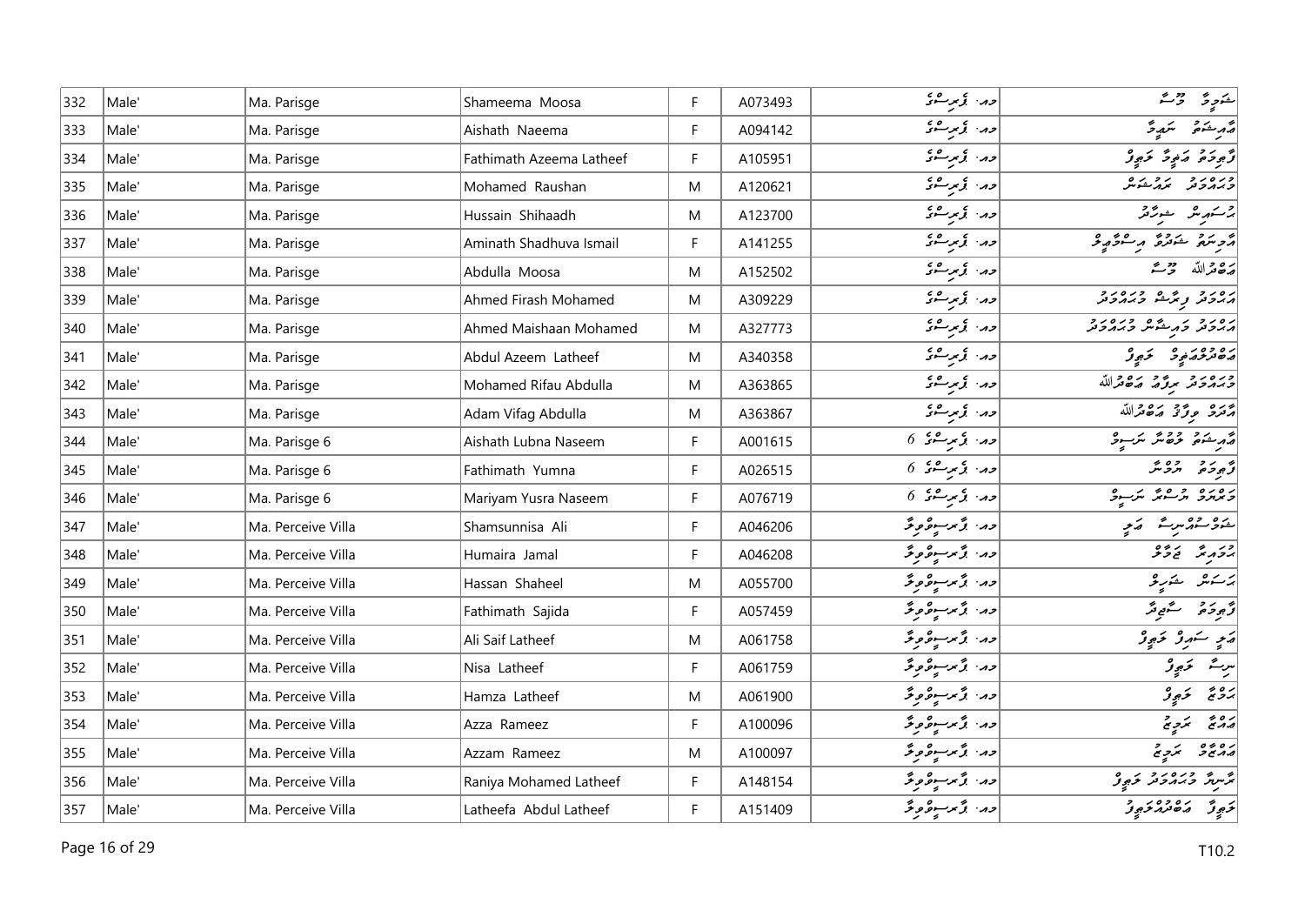| 332 | Male' | Ma. Parisge        | Shameema Moosa           | F         | A073493 | دە بۇ ئەرگ                   | شَرَوْرٌ رَحْمَتُ                                                                                                                                                                                                               |
|-----|-------|--------------------|--------------------------|-----------|---------|------------------------------|---------------------------------------------------------------------------------------------------------------------------------------------------------------------------------------------------------------------------------|
| 333 | Male' | Ma. Parisge        | Aishath Naeema           | F         | A094142 | دەر، ئۇمرىشى                 | مەر شەق سىمەت                                                                                                                                                                                                                   |
| 334 | Male' | Ma. Parisge        | Fathimath Azeema Latheef | F.        | A105951 | دە. ئۇ بىرىشى                | توجوجو مكفوخ تحجو                                                                                                                                                                                                               |
| 335 | Male' | Ma. Parisge        | Mohamed Raushan          | M         | A120621 | دە. ئۇمرىقى                  | ورەرو روپە                                                                                                                                                                                                                      |
| 336 | Male' | Ma. Parisge        | Hussain Shihaadh         | M         | A123700 | دە. ئۇ برىشى                 | چرىكىرى <i>گە</i> ھوڭ <sup>ت</sup> ر                                                                                                                                                                                            |
| 337 | Male' | Ma. Parisge        | Aminath Shadhuva Ismail  | F         | A141255 | دەر، ئۇمرىشى                 | و دو دوو ره وه د                                                                                                                                                                                                                |
| 338 | Male' | Ma. Parisge        | Abdulla Moosa            | M         | A152502 | دە. ئىرىشى                   | مَدْهِ قَرْاللّه حَرْثَة                                                                                                                                                                                                        |
| 339 | Male' | Ma. Parisge        | Ahmed Firash Mohamed     | ${\sf M}$ | A309229 | دە. ئۇمرىشى                  | ره رو و پژه وره رو                                                                                                                                                                                                              |
| 340 | Male' | Ma. Parisge        | Ahmed Maishaan Mohamed   | M         | A327773 | در. بی مرضی                  | ره رو نه شوه وره رو<br>مهروند نه شوش وبرمروند                                                                                                                                                                                   |
| 341 | Male' | Ma. Parisge        | Abdul Azeem Latheef      | M         | A340358 | دە. ئۇ بىرىشى                | رەپرورى ئەبۇ                                                                                                                                                                                                                    |
| 342 | Male' | Ma. Parisge        | Mohamed Rifau Abdulla    | M         | A363865 | در. بی مرضی                  | وره رو بروو ره و الله                                                                                                                                                                                                           |
| 343 | Male' | Ma. Parisge        | Adam Vifag Abdulla       | M         | A363867 | دە. ئۇ بىرىشى                | أرتدى ورتمز وكامرالله                                                                                                                                                                                                           |
| 344 | Male' | Ma. Parisge 6      | Aishath Lubna Naseem     | F         | A001615 | در. بؤبر هنگی 6              | وأرسكني وهاش للرسود                                                                                                                                                                                                             |
| 345 | Male' | Ma. Parisge 6      | Fathimath Yumna          | F         | A026515 | دە. بۇ برىشى 6               | ژ <sub>بو د</sub> ه دوند                                                                                                                                                                                                        |
| 346 | Male' | Ma. Parisge 6      | Mariyam Yusra Naseem     | F         | A076719 | $6\,$ لاه، بۇ برىشى $\bigg $ | رەرە دەپرىترىر                                                                                                                                                                                                                  |
| 347 | Male' | Ma. Perceive Villa | Shamsunnisa Ali          | F         | A046206 | دەر، بۇ ئەسپەھ بوڭر          | شرو حومبرگ كريم                                                                                                                                                                                                                 |
| 348 | Male' | Ma. Perceive Villa | Humaira Jamal            | F         | A046208 | دە بۇ ئەسوھ بوڭر             | جزیر پر تو تو تو                                                                                                                                                                                                                |
| 349 | Male' | Ma. Perceive Villa | Hassan Shaheel           | M         | A055700 | دەر، بۇ ئەسبەھ بوڭر          | ير سكر مسكر مصر على السكر السكر السكر السكر السكر السكر السكر السكر السكر السكر السكر السكر السكر السكر السكر<br>السكر السكر السكر السكر السكر السكر السكر السكر السكر السكر السكر السكر السكر السكر السكر السكر السكر السكر ال |
| 350 | Male' | Ma. Perceive Villa | Fathimath Sajida         | F         | A057459 | دەر، بۇ ئەسپەھ بوڭر          | ۇي <sub>م</sub> وڭ <sub>ۇر</sub> سە <sub>قىر</sub> ىگر                                                                                                                                                                          |
| 351 | Male' | Ma. Perceive Villa | Ali Saif Latheef         | M         | A061758 | دە. بۇ ئەسوھ بۇ              | پر په سکه دی ترجي و                                                                                                                                                                                                             |
| 352 | Male' | Ma. Perceive Villa | Nisa Latheef             | F         | A061759 | دە. . ئەسرە ئەر              | سرت - ځېږو                                                                                                                                                                                                                      |
| 353 | Male' | Ma. Perceive Villa | Hamza Latheef            | M         | A061900 | دە. . ئەسرەھ بۇ              | رەپج خېرو                                                                                                                                                                                                                       |
| 354 | Male' | Ma. Perceive Villa | Azza Rameez              | F         | A100096 | دە.، بۇ ئەسپەھ بوڭ           | رە ئە<br>بترجيح                                                                                                                                                                                                                 |
| 355 | Male' | Ma. Perceive Villa | Azzam Rameez             | M         | A100097 | حەر، بۇ ئەسپەھ بوڭ           | גם בם הבבי                                                                                                                                                                                                                      |
| 356 | Male' | Ma. Perceive Villa | Raniya Mohamed Latheef   | F.        | A148154 | دە بۇ ئەسپەھ بوڭر            | برّسر ورود و و                                                                                                                                                                                                                  |
| 357 | Male' | Ma. Perceive Villa | Latheefa Abdul Latheef   | F         | A151409 | دە. بۇ ئەسوھ بۇ              | تَهُوِرٌ   مَا مَعْهُمْ تَهْوِرٌ                                                                                                                                                                                                |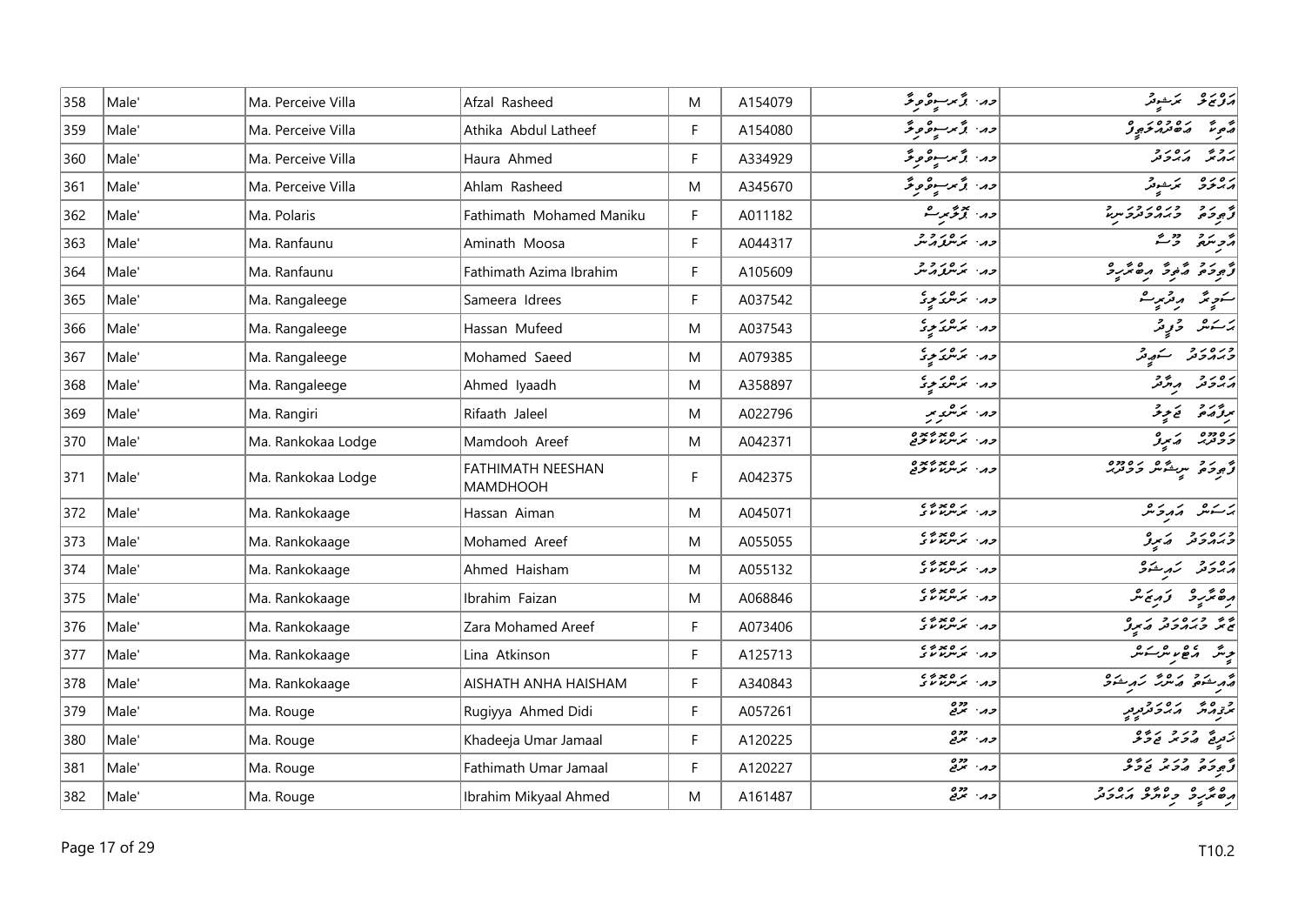| 358 | Male' | Ma. Perceive Villa | Afzal Rasheed                        | M  | A154079 | رە. بۇ برسوە بوڭر                                    | رەرى<br>مەرىخ ئىر                               |
|-----|-------|--------------------|--------------------------------------|----|---------|------------------------------------------------------|-------------------------------------------------|
| 359 | Male' | Ma. Perceive Villa | Athika Abdul Latheef                 | F  | A154080 | دە. بۇ ئەسوھ بوڭ                                     | בית הסנת בפנ                                    |
| 360 | Male' | Ma. Perceive Villa | Haura Ahmed                          | F  | A334929 | دە. بۇ ئەسوھ <i>ھ</i> وڭر                            | $5.001$ $2.00$                                  |
| 361 | Male' | Ma. Perceive Villa | Ahlam Rasheed                        | M  | A345670 | دە. بۇ ئەسوھ بوڭر                                    | أرورو بمشوش                                     |
| 362 | Male' | Ma. Polaris        | Fathimath Mohamed Maniku             | F  | A011182 | دە.، بۇ ئۇبرىشە                                      | وره رور<br>د <i>ډېر</i> ونرو سرپا<br>وَّجوحَ حَ |
| 363 | Male' | Ma. Ranfaunu       | Aminath Moosa                        | F  | A044317 | ور. ئەسمەردىر                                        | ە ئە بە ئىتى<br>حر مشتر                         |
| 364 | Male' | Ma. Ranfaunu       | Fathimath Azima Ibrahim              | F  | A105609 | ور. برعزد بر                                         | ژّودَهُ مُفردٌ مڤتربرد                          |
| 365 | Male' | Ma. Rangaleege     | Sameera Idrees                       | F  | A037542 | وړ برچر په                                           | سكويتش ويقرمون                                  |
| 366 | Male' | Ma. Rangaleege     | Hassan Mufeed                        | M  | A037543 | وړ بر شرور پ                                         | پرستمبر وړيد                                    |
| 367 | Male' | Ma. Rangaleege     | Mohamed Saeed                        | M  | A079385 | وړ کرمړي پره                                         | ورەر دېم سكھەتر                                 |
| 368 | Male' | Ma. Rangaleege     | Ahmed Iyaadh                         | M  | A358897 | دړ· نرگرېږي<br>در· نرگرې                             | أرور والمحمد                                    |
| 369 | Male' | Ma. Rangiri        | Rifaath Jaleel                       | M  | A022796 | ۔<br>احمد ممبر محمد س                                | بروٌ مَمَّ وَيَحْرِثُو                          |
| 370 | Male' | Ma. Rankokaa Lodge | Mamdooh Areef                        | M  | A042371 | כו <i>גי המיק</i> מיקים<br>כו <i>גי האיינט ע</i> יכה | ر ه دوه به بر ره<br>احاد ترد بر انگرېز          |
| 371 | Male' | Ma. Rankokaa Lodge | FATHIMATH NEESHAN<br><b>MAMDHOOH</b> | F  | A042375 | כ מי המיני מיני ס<br>כ מי האייני מיני מיני           | و مرد سرشگر دوروه<br>و مردم سرشگر دولار         |
| 372 | Male' | Ma. Rankokaage     | Hassan Aiman                         | M  | A045071 | ג פי ביבי<br>כגי יבייקט עיצ                          | يز کاش مزمر شر                                  |
| 373 | Male' | Ma. Rankokaage     | Mohamed Areef                        | M  | A055055 | ג ס מיט גי<br><i>ב</i> וגי "מיט ע"ב                  | ورەرو كەيدۇ                                     |
| 374 | Male' | Ma. Rankokaage     | Ahmed Haisham                        | M  | A055132 | ג 20 ביבי 2<br>כגי יביינט עיצ                        | رەرد ئەينو                                      |
| 375 | Male' | Ma. Rankokaage     | Ibrahim Faizan                       | M  | A068846 | ג 20 ביבי<br>כגי הבייקט ע                            | مەھترىر تەم ئە                                  |
| 376 | Male' | Ma. Rankokaage     | Zara Mohamed Areef                   | F. | A073406 | ג 20 ביבי 2<br>כגי יביינט עיצ                        | י כנסנד גם                                      |
| 377 | Male' | Ma. Rankokaage     | Lina Atkinson                        | F  | A125713 |                                                      | ويتر المقام مركب مر                             |
| 378 | Male' | Ma. Rankokaage     | AISHATH ANHA HAISHAM                 | F  | A340843 | ג 20 ביבי 2<br>כגי יביינט עיצ                        | مەر شىمى مەسرىگ كەر شىكى                        |
| 379 | Male' | Ma. Rouge          | Rugiyya Ahmed Didi                   | F. | A057261 | و د.<br>و د. نوبح                                    | حروم مدومرمرمر                                  |
| 380 | Male' | Ma. Rouge          | Khadeeja Umar Jamaal                 | F  | A120225 | و د.<br>و د. نوبح                                    | أرَسٍ فَمَرَّدٍ وَمَرَّدٍ وَمَرَّزَ             |
| 381 | Male' | Ma. Rouge          | Fathimath Umar Jamaal                | F  | A120227 | و د.<br>د د. نوبح                                    | و دو ورو روه                                    |
| 382 | Male' | Ma. Rouge          | Ibrahim Mikyaal Ahmed                | M  | A161487 | و د.<br>و د. نوبح                                    | رە ئرىر دىمەر مەدد                              |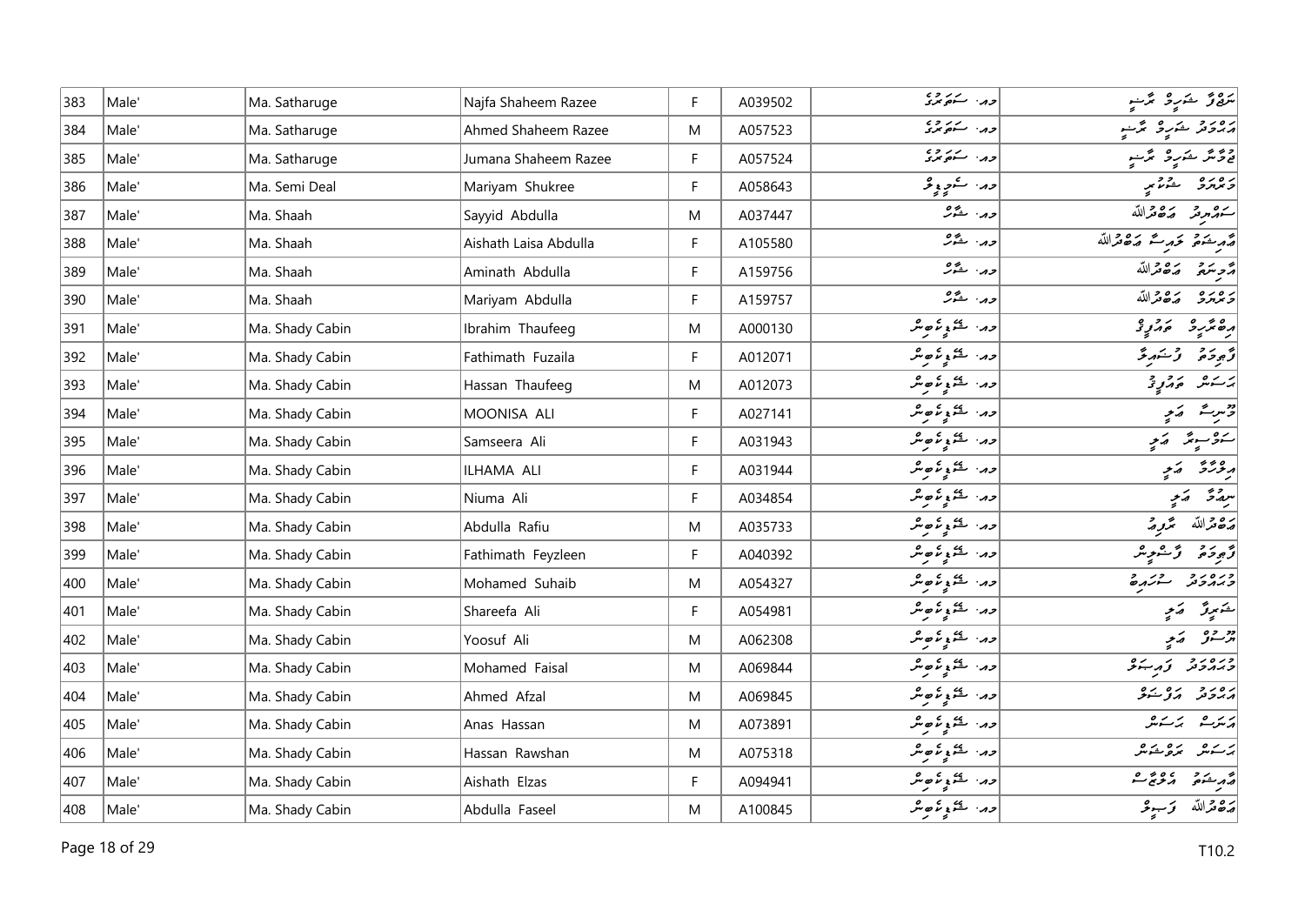| 383 | Male' | Ma. Satharuge   | Najfa Shaheem Razee   | $\mathsf F$ | A039502 | وړ٠ ستهڅ بر د                    | شھۇ خېرى ئۇپ                                              |
|-----|-------|-----------------|-----------------------|-------------|---------|----------------------------------|-----------------------------------------------------------|
| 384 | Male' | Ma. Satharuge   | Ahmed Shaheem Razee   | M           | A057523 | وړ٠ ستهڅ تر د                    | أرور والمحرور المحمد                                      |
| 385 | Male' | Ma. Satharuge   | Jumana Shaheem Razee  | F           | A057524 | ود شهر د ،<br>در شهر             | ە ئەنگە ئەر <i>ەڭ ب</i> ۇلىيا                             |
| 386 | Male' | Ma. Semi Deal   | Mariyam Shukree       | F           | A058643 | در. سگو دیگر                     | د ه د د و د و د بر<br>  د بربرو مشور مير                  |
| 387 | Male' | Ma. Shaah       | Sayyid Abdulla        | M           | A037447 | وە شەر                           | سور مرد مردورالله                                         |
| 388 | Male' | Ma. Shaah       | Aishath Laisa Abdulla | F           | A105580 | وە شەر                           | قدر مندة وترت وكافرالله                                   |
| 389 | Male' | Ma. Shaah       | Aminath Abdulla       | $\mathsf F$ | A159756 | وە شەر                           | مجرستير مكافرالله                                         |
| 390 | Male' | Ma. Shaah       | Mariyam Abdulla       | F           | A159757 | ود. شرٌ و                        | رەرە رەقراللە                                             |
| 391 | Male' | Ma. Shady Cabin | Ibrahim Thaufeeg      | M           | A000130 | در. گ <sub>ش</sub> ونومبر<br>در  | رە ئرىر ئەرر ئ                                            |
| 392 | Male' | Ma. Shady Cabin | Fathimath Fuzaila     | F           | A012071 | در. گئرو ناھ ش                   | وتجوحا والمتمريح                                          |
| 393 | Male' | Ma. Shady Cabin | Hassan Thaufeeg       | M           | A012073 | در. گۇي <sub>ۇ</sub> ئومىر       | ر ساده موړي د د                                           |
| 394 | Male' | Ma. Shady Cabin | MOONISA ALI           | $\mathsf F$ | A027141 | در. گ <sub>ش</sub> ونومبر<br>در  |                                                           |
| 395 | Male' | Ma. Shady Cabin | Samseera Ali          | $\mathsf F$ | A031943 |                                  | ومرت <sub>مک</sub> ر<br>وس <sup>ع</sup> مکر<br>سکوسیڈ مکر |
| 396 | Male' | Ma. Shady Cabin | ILHAMA ALI            | F           | A031944 | در. گؤې ئومبر                    | روژڈ پی                                                   |
| 397 | Male' | Ma. Shady Cabin | Niuma Ali             | F           | A034854 | در. گڏي ئومبر                    | سرچينې تمه                                                |
| 398 | Male' | Ma. Shady Cabin | Abdulla Rafiu         | M           | A035733 |                                  | بره والله گروه                                            |
| 399 | Male' | Ma. Shady Cabin | Fathimath Feyzleen    | $\mathsf F$ | A040392 | در. گ <sub>ش</sub> ور موسر<br>در | ۇي <sub>ر</sub> ىز ۋىئېرىر                                |
| 400 | Male' | Ma. Shady Cabin | Mohamed Suhaib        | M           | A054327 | در. ڪ <sub>ئو</sub> پڙھ ش        | وره دو در در                                              |
| 401 | Male' | Ma. Shady Cabin | Shareefa Ali          | F           | A054981 | $9944$<br>$-1994$                | ڪيرڙ کي                                                   |
| 402 | Male' | Ma. Shady Cabin | Yoosuf Ali            | M           | A062308 | در. ڪوپيءَ صر                    | در ده در<br>ارسو در                                       |
| 403 | Male' | Ma. Shady Cabin | Mohamed Faisal        | M           | A069844 | در. ڪئي ئاھ ش                    | כנים בי צונה ב                                            |
| 404 | Male' | Ma. Shady Cabin | Ahmed Afzal           | M           | A069845 | در. گۇيۇ ئەھ                     | رەرد روت                                                  |
| 405 | Male' | Ma. Shady Cabin | Anas Hassan           | M           | A073891 |                                  | كالكرس الكاسكانس                                          |
| 406 | Male' | Ma. Shady Cabin | Hassan Rawshan        | M           | A075318 |                                  | ىز سەش بىرە ئەش                                           |
| 407 | Male' | Ma. Shady Cabin | Aishath Elzas         | F           | A094941 | در. گۇيۇ ئەھ                     | ۇرىشى ھۆتى                                                |
| 408 | Male' | Ma. Shady Cabin | Abdulla Faseel        | M           | A100845 | در. گ <sub>ش</sub> ور موسر       | 50 مقرالله قرجو                                           |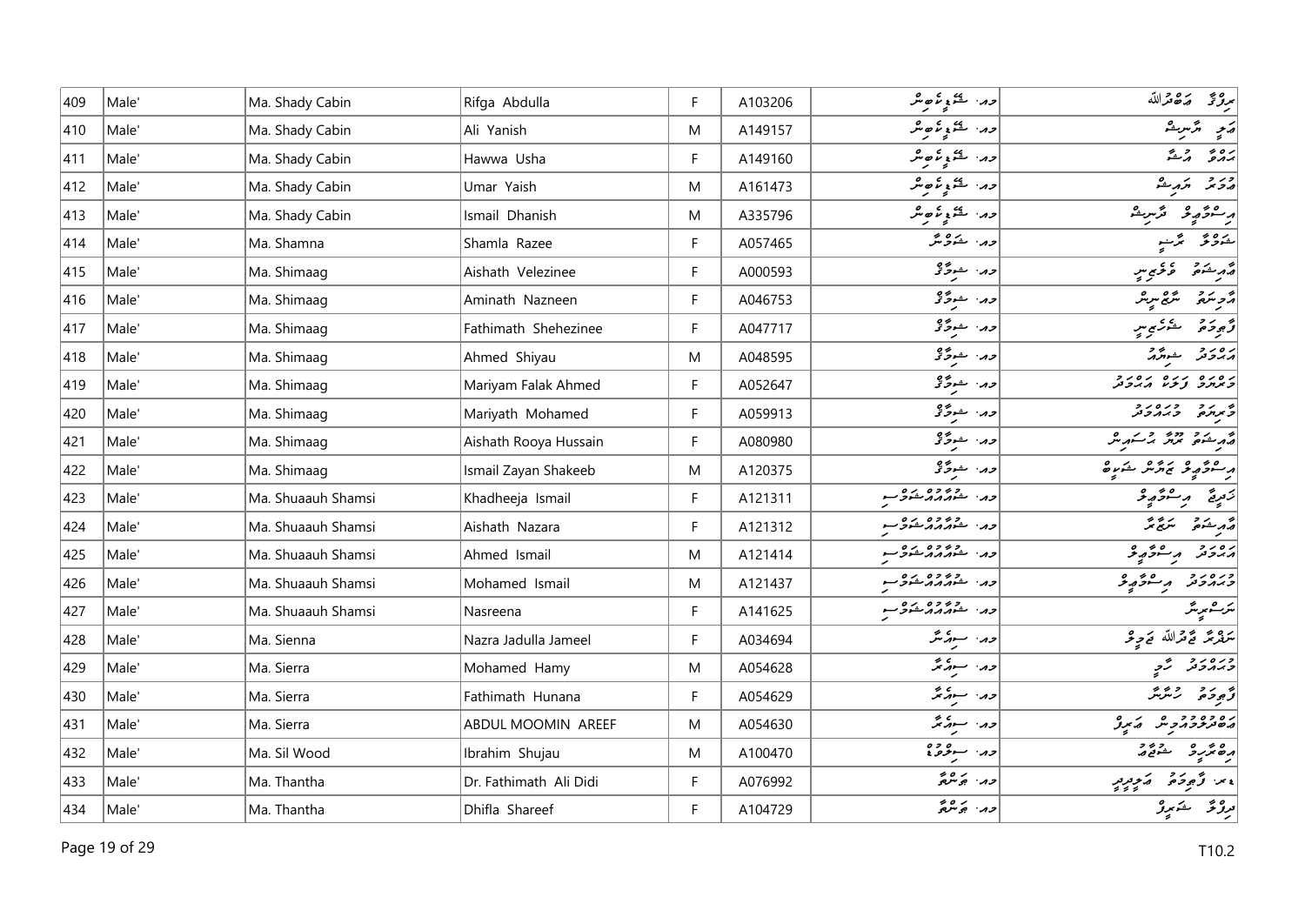| 409 | Male' | Ma. Shady Cabin    | Rifga Abdulla          | F         | A103206 | در. گڏي گھر                      | مروتج صكائلة<br>مستقل الملاحق               |
|-----|-------|--------------------|------------------------|-----------|---------|----------------------------------|---------------------------------------------|
| 410 | Male' | Ma. Shady Cabin    | Ali Yanish             | M         | A149157 | در. گۇي ئەھ                      | ر<br>ماجا المسرحين                          |
| 411 | Male' | Ma. Shady Cabin    | Hawwa Usha             | F         | A149160 | در. ڪ <sub>و</sub> يو ۽ ھ        | رەپە جەنئە                                  |
| 412 | Male' | Ma. Shady Cabin    | Umar Yaish             | M         | A161473 | حەر، ئىشمۇ ئەھ بىر               | وزر و مرد ش                                 |
| 413 | Male' | Ma. Shady Cabin    | Ismail Dhanish         | ${\sf M}$ | A335796 | در. ڪ <sub>و</sub> ير موس        | ړ شرگړي تر تر پر                            |
| 414 | Male' | Ma. Shamna         | Shamla Razee           | F         | A057465 | ور. خۇڭرىگە                      | شۇقۇ مۇپ                                    |
| 415 | Male' | Ma. Shimaag        | Aishath Velezinee      | F         | A000593 | وړ. خونځ تو                      | و ديده دي.<br>د کار شوه د مخر د پر          |
| 416 | Male' | Ma. Shimaag        | Aminath Nazneen        | F         | A046753 | وړ٠ خوترنځ                       | أأترسكم الشياسيات                           |
| 417 | Male' | Ma. Shimaag        | Fathimath Shehezinee   | F         | A047717 | ور. خودٌ تح                      | أرموخي مشرعي                                |
| 418 | Male' | Ma. Shimaaq        | Ahmed Shiyau           | M         | A048595 | وړ٠ خوترنځ                       | أرور ومشرور                                 |
| 419 | Male' | Ma. Shimaag        | Mariyam Falak Ahmed    | F         | A052647 | وړ. خوڅ تخ                       | גם גם גגם גםגב<br>בינו <i>נים צבע הגב</i> ע |
| 420 | Male' | Ma. Shimaag        | Mariyath Mohamed       | F         | A059913 | ور. خودٌ تح                      | ومردو وره رو                                |
| 421 | Male' | Ma. Shimaag        | Aishath Rooya Hussain  | F         | A080980 | وړ خوڅ تو                        | התשים יות געתית                             |
| 422 | Male' | Ma. Shimaag        | Ismail Zayan Shakeeb   | ${\sf M}$ | A120375 | وړ٠ خوڅ تو                       | ر قۇمۇ يۈر شىرە                             |
| 423 | Male' | Ma. Shuaauh Shamsi | Khadheeja Ismail       | F         | A121311 | ور. شوده ده ده ب                 | تَسِيعٌ مِ سُوَّمٍ وُ                       |
| 424 | Male' | Ma. Shuaauh Shamsi | Aishath Nazara         | F         | A121312 | $5 - 2020 - 200$                 | قەرشۇق سېتىم                                |
| 425 | Male' | Ma. Shuaauh Shamsi | Ahmed Ismail           | M         | A121414 | وړ. شوه ده ده<br>در شوه ده شوو پ | رەرد رەشگەر                                 |
| 426 | Male' | Ma. Shuaauh Shamsi | Mohamed Ismail         | M         | A121437 | $-320000$<br>$-300000$           | ورەرو بەسىۋېرو                              |
| 427 | Male' | Ma. Shuaauh Shamsi | Nasreena               | F         | A141625 | ور. شورد ده شور.                 | ىئرىشمېرىتر                                 |
| 428 | Male' | Ma. Sienna         | Nazra Jadulla Jameel   | F         | A034694 | دە. سەئەتتر                      | بَرْهِ عَبْرَ اللَّهُ ۖ يَوْ يَوْ           |
| 429 | Male' | Ma. Sierra         | Mohamed Hamy           | ${\sf M}$ | A054628 | $56 - 12$                        | ورەرو رقمي                                  |
| 430 | Male' | Ma. Sierra         | Fathimath Hunana       | F         | A054629 | وړ. سوړنځه                       | ۇي <sub>ۇ</sub> رۇ رىگەگ                    |
| 431 | Male' | Ma. Sierra         | ABDUL MOOMIN AREEF     | ${\sf M}$ | A054630 | ور. سوړنگر                       | גם כם כבר כיל ה' מל                         |
| 432 | Male' | Ma. Sil Wood       | Ibrahim Shujau         | M         | A100470 | وړ سووړ                          |                                             |
| 433 | Male' | Ma. Thantha        | Dr. Fathimath Ali Didi | F         | A076992 | ور. بوسره                        |                                             |
| 434 | Male' | Ma. Thantha        | Dhifla Shareef         | F         | A104729 | ג ם יי<br>כו <i>ג</i> י הצייטה   | مروٌ حُمَ رِدُ                              |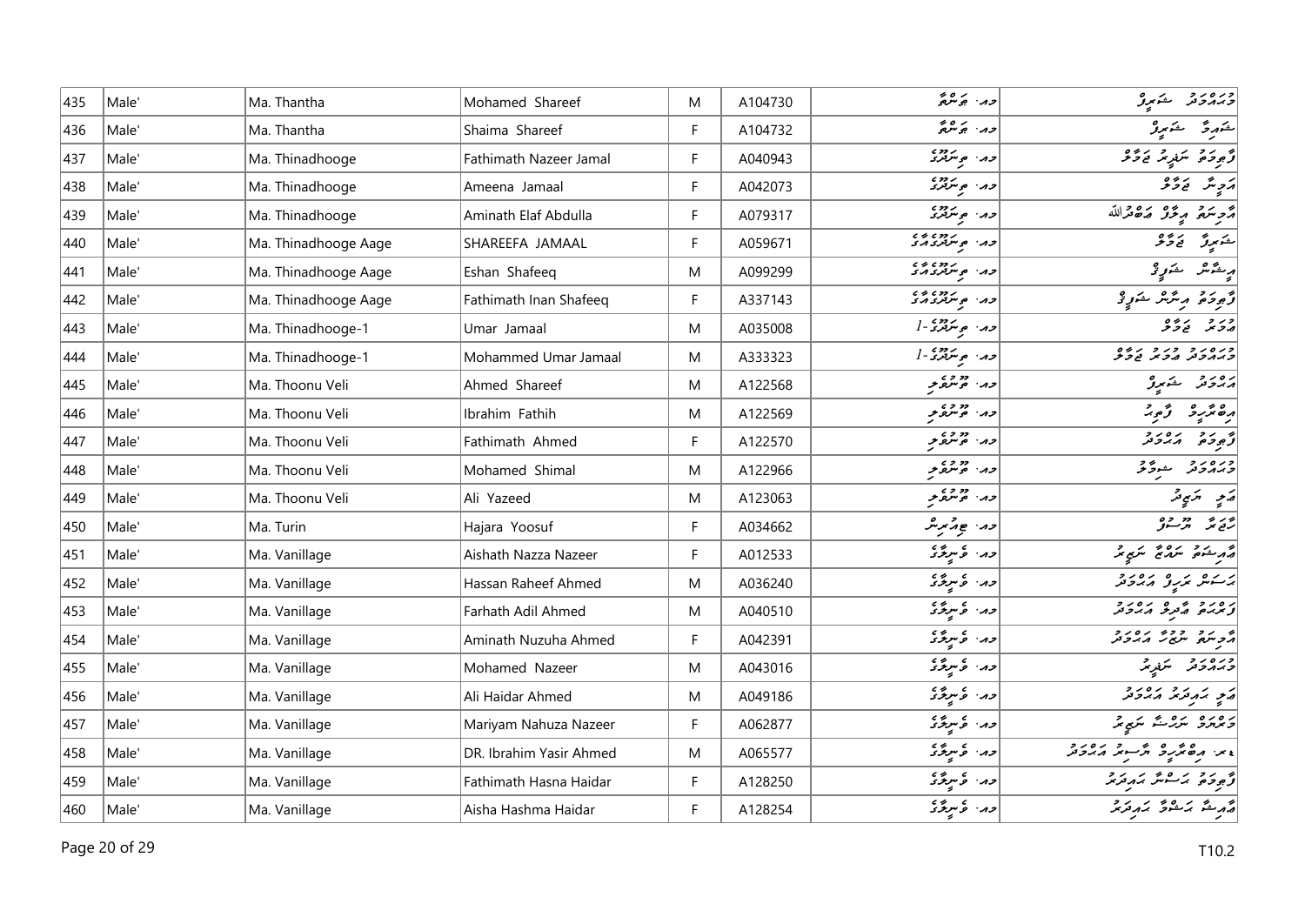| 435 | Male' | Ma. Thantha          | Mohamed Shareef         | M  | A104730 | ور. بوسيج                                     | ورەرو خىرۇ                                             |
|-----|-------|----------------------|-------------------------|----|---------|-----------------------------------------------|--------------------------------------------------------|
| 436 | Male' | Ma. Thantha          | Shaima Shareef          | F. | A104732 | وړ٠ پوسره                                     | أخكرة الحكمور                                          |
| 437 | Male' | Ma. Thinadhooge      | Fathimath Nazeer Jamal  | F  | A040943 | ا <i>و در دو ج</i><br>او پر سرچر <sub>ي</sub> | تزودة شرير فالحم                                       |
| 438 | Male' | Ma. Thinadhooge      | Ameena Jamaal           | F  | A042073 | وړ٠ <sub>جو</sub> سربرو                       | أرَوِيثَرَ الْمَاوَوْ                                  |
| 439 | Male' | Ma. Thinadhooge      | Aminath Elaf Abdulla    | F  | A079317 | وړ٠ <sub>جو</sub> سربرو                       | محر يتمع ويحرق وكافد الله                              |
| 440 | Male' | Ma. Thinadhooge Aage | SHAREEFA JAMAAL         | F  | A059671 | در موسر دوه و د<br>در موسر در در              | شەرۇ ئەۋى                                              |
| 441 | Male' | Ma. Thinadhooge Aage | Eshan Shafeeq           | M  | A099299 | קבי זה ביטורי<br>דורי קייטנקצירג              | ر شەش سەرپى                                            |
| 442 | Male' | Ma. Thinadhooge Aage | Fathimath Inan Shafeeq  | F  | A337143 | ر دو د ه د د<br>د ۱۸ ه موفرد ار د             | ق پر ته د مرکز خوړ په                                  |
| 443 | Male' | Ma. Thinadhooge-1    | Umar Jamaal             | M  | A035008 | حەر. ئەسكەرى-]                                | در د روه<br>  پرتر نوترنو                              |
| 444 | Male' | Ma. Thinadhooge-1    | Mohammed Umar Jamaal    | M  | A333323 | ور. و سردوی - [                               | כנסני כני נגם<br><i>כג</i> ונים ובית <mark>ב</mark> כי |
| 445 | Male' | Ma. Thoonu Veli      | Ahmed Shareef           | M  | A122568 | ورب ودوء و                                    | پرورو شمیرو                                            |
| 446 | Male' | Ma. Thoonu Veli      | Ibrahim Fathih          | M  | A122569 | ورب ودوع                                      | وەترىر ۋە                                              |
| 447 | Male' | Ma. Thoonu Veli      | Fathimath Ahmed         | F  | A122570 | ورب ودوء کو                                   | و ده ده ده.                                            |
| 448 | Male' | Ma. Thoonu Veli      | Mohamed Shimal          | M  | A122966 | در ودوء<br>در مستفر                           | ورەرو ئىدۇنۇ                                           |
| 449 | Male' | Ma. Thoonu Veli      | Ali Yazeed              | M  | A123063 | ورب ودوء و                                    | أەسمجە سىمتى تىر                                       |
| 450 | Male' | Ma. Turin            | Hajara Yoosuf           | F  | A034662 | در و دربر                                     | مجرے میں دور وہ<br>رکھنے میں مرکب دی                   |
| 451 | Male' | Ma. Vanillage        | Aishath Nazza Nazeer    | F  | A012533 | دە.، ئۇسىۋى                                   | ה הליכל הפי הלי                                        |
| 452 | Male' | Ma. Vanillage        | Hassan Raheef Ahmed     | M  | A036240 | دە.، ئۇسىۋى                                   |                                                        |
| 453 | Male' | Ma. Vanillage        | Farhath Adil Ahmed      | M  | A040510 | دە.، ئۈسرىدى                                  | و ورځ ځېږو کړرونه                                      |
| 454 | Male' | Ma. Vanillage        | Aminath Nuzuha Ahmed    | F  | A042391 | دە. ئۇسرگرى                                   | أثر مرد دود در در د                                    |
| 455 | Male' | Ma. Vanillage        | Mohamed Nazeer          | M  | A043016 | وړ٠ ؤسرگرگ                                    | ورەرو شۆر                                              |
| 456 | Male' | Ma. Vanillage        | Ali Haidar Ahmed        | M  | A049186 | وړ٠ ؤسرگر <i>گ</i>                            | أزو برمرمز مهاجم                                       |
| 457 | Male' | Ma. Vanillage        | Mariyam Nahuza Nazeer   | F  | A062877 | دە. ئۇسىۋى                                    | رەرە بروڭ سَرَمٍ تَر                                   |
| 458 | Male' | Ma. Vanillage        | DR. Ibrahim Yasir Ahmed | M  | A065577 | دە.، ئۈسرىگە                                  |                                                        |
| 459 | Male' | Ma. Vanillage        | Fathimath Hasna Haidar  | F  | A128250 | دە. ئۇس <sub>ر</sub> ىرى                      | ۋە ئەڭ ئەسەنگە ئەر ئەر                                 |
| 460 | Male' | Ma. Vanillage        | Aisha Hashma Haidar     | F  | A128254 | دە.، ئۇسرچە ئ                                 | أقهر مشكل متحدث المتهاجم                               |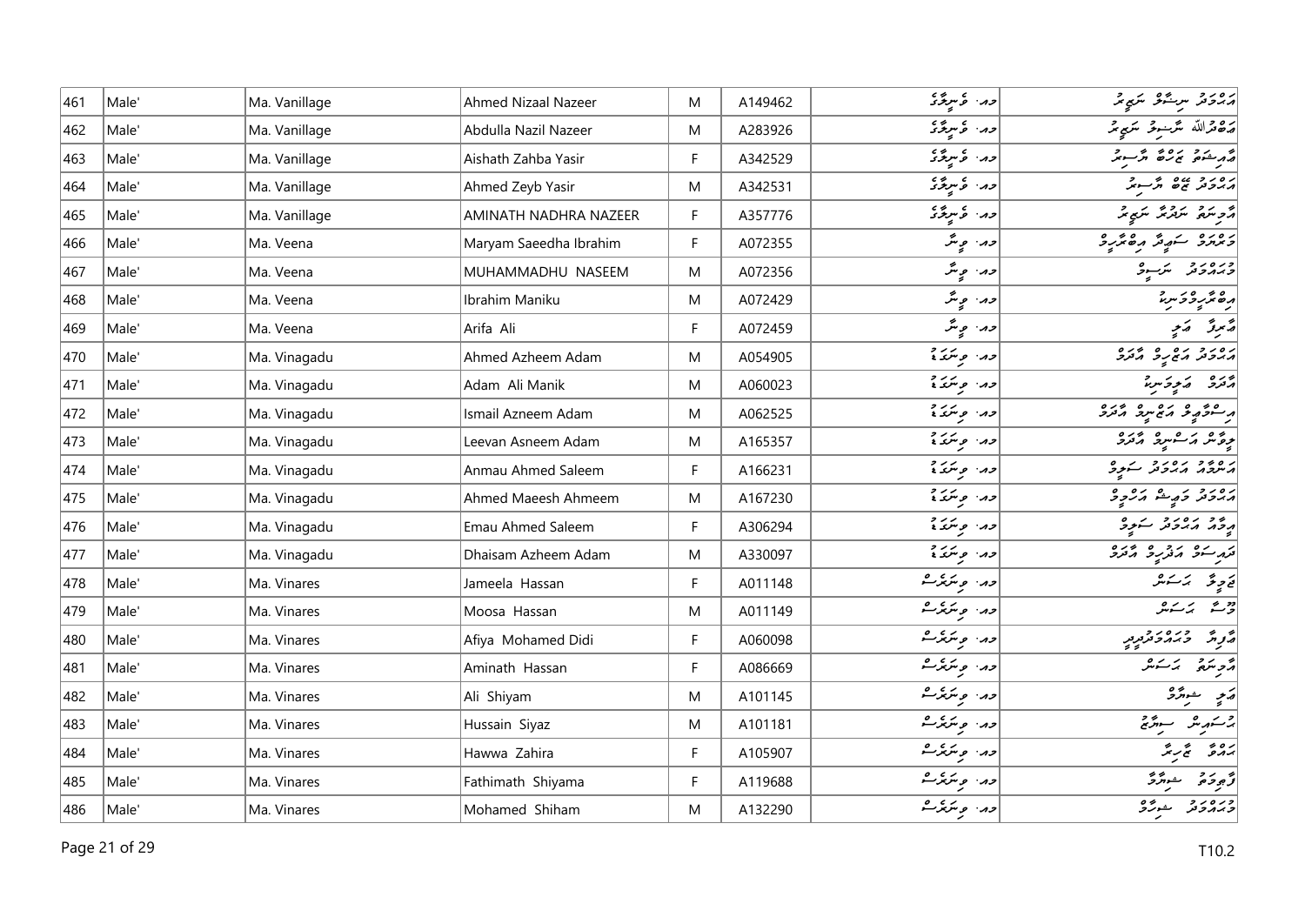| 461 | Male' | Ma. Vanillage | <b>Ahmed Nizaal Nazeer</b> | M           | A149462 | دە.، ئۈسپۇتى                     | رُکِرْدَ سِنَدُّدْ سَيِيْرَ                                                                                                                                                                                                     |
|-----|-------|---------------|----------------------------|-------------|---------|----------------------------------|---------------------------------------------------------------------------------------------------------------------------------------------------------------------------------------------------------------------------------|
| 462 | Male' | Ma. Vanillage | Abdulla Nazil Nazeer       | M           | A283926 | دە.، ئۇسرىۋى                     | رەئ <sub>م</sub> اللە م <sup>ى</sup> رىنوقر سَرىپچىر                                                                                                                                                                            |
| 463 | Male' | Ma. Vanillage | Aishath Zahba Yasir        | F           | A342529 | دە. بۇ ئىرگە ك                   | و مشور ده ده و سرد                                                                                                                                                                                                              |
| 464 | Male' | Ma. Vanillage | Ahmed Zeyb Yasir           | M           | A342531 | دە.، ئۇس <sub>ر</sub> ىۋى        | ג 2 ג 2 ג 2 2 .<br>ג ג 3 ב ג م 2 . ת سومر                                                                                                                                                                                       |
| 465 | Male' | Ma. Vanillage | AMINATH NADHRA NAZEER      | F           | A357776 | رە. ئ <sub>ەس</sub> ر <i>ۇ</i> ، | أدويتم يتروثر يتولد                                                                                                                                                                                                             |
| 466 | Male' | Ma. Veena     | Maryam Saeedha Ibrahim     | F           | A072355 | وړ ، وٍ سٌ                       | دەرە سەپىر مەمرىي                                                                                                                                                                                                               |
| 467 | Male' | Ma. Veena     | MUHAMMADHU NASEEM          | M           | A072356 |                                  | ورەرو شرىدۇ                                                                                                                                                                                                                     |
| 468 | Male' | Ma. Veena     | Ibrahim Maniku             | M           | A072429 | اور. <sub>عب</sub> ر             |                                                                                                                                                                                                                                 |
| 469 | Male' | Ma. Veena     | Arifa Ali                  | F           | A072459 | دە. مەنگە                        | ۇ بىرق كەم                                                                                                                                                                                                                      |
| 470 | Male' | Ma. Vinagadu  | Ahmed Azheem Adam          | M           | A054905 | ور، ویترد و                      | גם גם גם הם הגם<br>גגבת גם גב געב                                                                                                                                                                                               |
| 471 | Male' | Ma. Vinagadu  | Adam Ali Manik             | M           | A060023 | وړ٠ و سری د                      | أأروه أأوجد المردم                                                                                                                                                                                                              |
| 472 | Male' | Ma. Vinagadu  | Ismail Azneem Adam         | M           | A062525 | در ویترد                         |                                                                                                                                                                                                                                 |
| 473 | Male' | Ma. Vinagadu  | Leevan Asneem Adam         | M           | A165357 | وړ ، وسره د                      | و و در ۱۳۵۵ وره در ۱۶                                                                                                                                                                                                           |
| 474 | Male' | Ma. Vinagadu  | Anmau Ahmed Saleem         | F.          | A166231 | وړ و سره د                       | י 2000 ים ידי התפ                                                                                                                                                                                                               |
| 475 | Male' | Ma. Vinagadu  | Ahmed Maeesh Ahmeem        | M           | A167230 | ورسم سردد                        | ړه د د کړې کرکړو                                                                                                                                                                                                                |
| 476 | Male' | Ma. Vinagadu  | <b>Emau Ahmed Saleem</b>   | $\mathsf F$ | A306294 | دړ٠ و سره د                      | ړه د پروته خوږ                                                                                                                                                                                                                  |
| 477 | Male' | Ma. Vinagadu  | Dhaisam Azheem Adam        | M           | A330097 | وړ٠ و سری د                      | ترمر شنز " הבקב" והבקב                                                                                                                                                                                                          |
| 478 | Male' | Ma. Vinares   | Jameela Hassan             | F           | A011148 | در. ، مِتَرَبَّر ه               | ق حرٍ قد سک شکس                                                                                                                                                                                                                 |
| 479 | Male' | Ma. Vinares   | Moosa Hassan               | M           | A011149 | در و سرگر شه                     | وحرثته الإسكانكر                                                                                                                                                                                                                |
| 480 | Male' | Ma. Vinares   | Afiya Mohamed Didi         | F           | A060098 | ور. وِسَرَيْرُ ک                 | 1994 - 1995 - 1995<br>1996 - 1997 - 1996 - 1996                                                                                                                                                                                 |
| 481 | Male' | Ma. Vinares   | Aminath Hassan             | F           | A086669 | در و سربر ۹                      | أأدخر المراكب                                                                                                                                                                                                                   |
| 482 | Male' | Ma. Vinares   | Ali Shiyam                 | M           | A101145 | در و سرگرگ                       | أرشح المشرور                                                                                                                                                                                                                    |
| 483 | Male' | Ma. Vinares   | Hussain Siyaz              | M           | A101181 | در. ، مِتَرَبَّر ه               | جر کے مرکز کے مرکز کے مرکز کے ان کے ان کے ان کے ان کے مرکز کے ان کے ان کے ان کے مرکز کے لیے جات کے لیے جات کے<br>مرکز کے مرکز کے مرکز کے مرکز کے مرکز کے مرکز کے مرکز کے مرکز کے مرکز کے مرکز کے مرکز کے مرکز کے مرکز کے مرکز ک |
| 484 | Male' | Ma. Vinares   | Hawwa Zahira               | F           | A105907 | ور. ويتربر ع                     | برەۋ ئېرىتى                                                                                                                                                                                                                     |
| 485 | Male' | Ma. Vinares   | Fathimath Shiyama          | F           | A119688 | در. ویترگر شه                    | و ده شورد.<br>در شورد                                                                                                                                                                                                           |
| 486 | Male' | Ma. Vinares   | Mohamed Shiham             | M           | A132290 | در. ویرتگرگ                      | ورەرو ئىدۇۋ                                                                                                                                                                                                                     |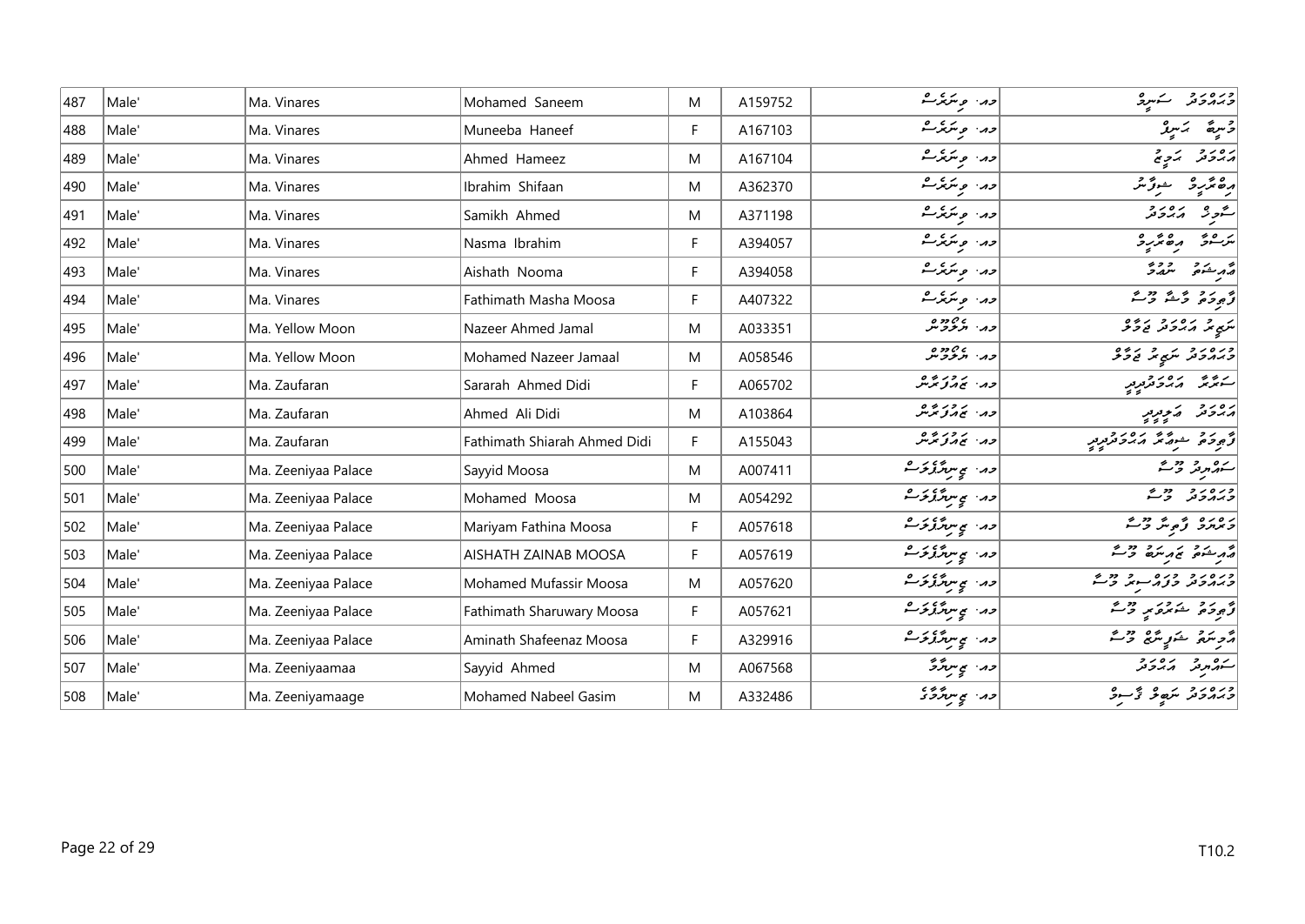| 487 | Male' | Ma. Vinares         | Mohamed Saneem               | M  | A159752 | ورس و سرپژے                               | و ره د د<br>د برگرونر<br>سەسرى    |
|-----|-------|---------------------|------------------------------|----|---------|-------------------------------------------|-----------------------------------|
| 488 | Male' | Ma. Vinares         | Muneeba Haneef               | F  | A167103 | ادر و مترکز ک                             | ح سرچٌ<br>ح<br>برسره              |
| 489 | Male' | Ma. Vinares         | Ahmed Hameez                 | M  | A167104 | ور. ويترتزعه                              | پر ژبخه تر<br>برَدِج              |
| 490 | Male' | Ma. Vinares         | Ibrahim Shifaan              | M  | A362370 | ور ، و سَرَ پَرْ ک                        | رەئ <sup>ى</sup> ر ئە<br>ے وگر سر |
| 491 | Male' | Ma. Vinares         | Samikh Ahmed                 | M  | A371198 | ور ، و سَرَ پَرْ ک                        | شور° - بره د و                    |
| 492 | Male' | Ma. Vinares         | Nasma Ibrahim                | F  | A394057 | ور. ويترتزعه                              | ىئەت-2<br>برە ئۆرۈ                |
| 493 | Male' | Ma. Vinares         | Aishath Nooma                | F. | A394058 | وړ٠ و سرچر ک                              | ۇ مەشكەمى<br>مەم سىسكەمى<br>سردر  |
| 494 | Male' | Ma. Vinares         | Fathimath Masha Moosa        | F. | A407322 | ور. ويترتزعه                              | توجده وحش وحد                     |
| 495 | Male' | Ma. Yellow Moon     | Nazeer Ahmed Jamal           | M  | A033351 | ה המכבית<br><i>ב</i> וגי ו <i>תיב</i> כית | سكبي يمر وركبوه وركبوه            |
| 496 | Male' | Ma. Yellow Moon     | Mohamed Nazeer Jamaal        | M  | A058546 | הם בפים.<br>כני וקיבבית                   | ورورو تربې پر ډوکو                |
| 497 | Male' | Ma. Zaufaran        | Sararah Ahmed Didi           | F  | A065702 | ر در په در پر پر<br>در ۱۰ مخ برگ          | سەئدىر مەدە ترىرىر                |
| 498 | Male' | Ma. Zaufaran        | Ahmed Ali Didi               | M  | A103864 | <i>حەر، ئەقرىر شە</i> ر                   | رەر ئەرىرىر<br>مەددىم كەرىرى      |
| 499 | Male' | Ma. Zaufaran        | Fathimath Shiarah Ahmed Didi | F. | A155043 | ر در په در ده.<br>در پارونرس              | و و د و شور پور د د در د بر       |
| 500 | Male' | Ma. Zeeniyaa Palace | Sayyid Moosa                 | M  | A007411 |                                           | سەھەر تەسىم                       |
| 501 | Male' | Ma. Zeeniyaa Palace | Mohamed Moosa                | M  | A054292 | ادە. ، سپەر قرىز ئەر<br>—                 | ورەرو دور                         |
| 502 | Male' | Ma. Zeeniyaa Palace | Mariyam Fathina Moosa        | F  | A057618 | ادە. ، سپەر قرىز ئەرگە<br>—               | د وړه ژ <sub>مو</sub> ند د مه     |
| 503 | Male' | Ma. Zeeniyaa Palace | <b>AISHATH ZAINAB MOOSA</b>  | F. | A057619 | ادە ، سپەر تەرىخ<br>__                    | أقهر يشمره بمرسكة وحريم           |
| 504 | Male' | Ma. Zeeniyaa Palace | Mohamed Mufassir Moosa       | M  | A057620 | احەر، سى سەر ئەكرىك قىلىدار قىل           | כנים ג'ב כנים הביר ביה"           |
| 505 | Male' | Ma. Zeeniyaa Palace | Fathimath Sharuwary Moosa    | F. | A057621 | احەر ، سپەر تەركى<br>ئەسسە سېر تەركىسى    | قُهْدِدَةٌ حُمْدَةٌ مِنْ قُرْحٌ   |
| 506 | Male' | Ma. Zeeniyaa Palace | Aminath Shafeenaz Moosa      | F. | A329916 | احەر، سى سەرتمۇ ئۆرگ<br>ئىستار سى         | دَّەپ ئۇ ئۇ ئۆز ئۆز ئۆز ئۆز       |
| 507 | Male' | Ma. Zeeniyaamaa     | Sayyid Ahmed                 | M  | A067568 | حەر سى سە <i>مدە</i> ئە                   | המתבר המכבר                       |
| 508 | Male' | Ma. Zeeniyamaage    | <b>Mohamed Nabeel Gasim</b>  | M  | A332486 | וכני משתפי                                | ورەرو رەپۇ ئىسر                   |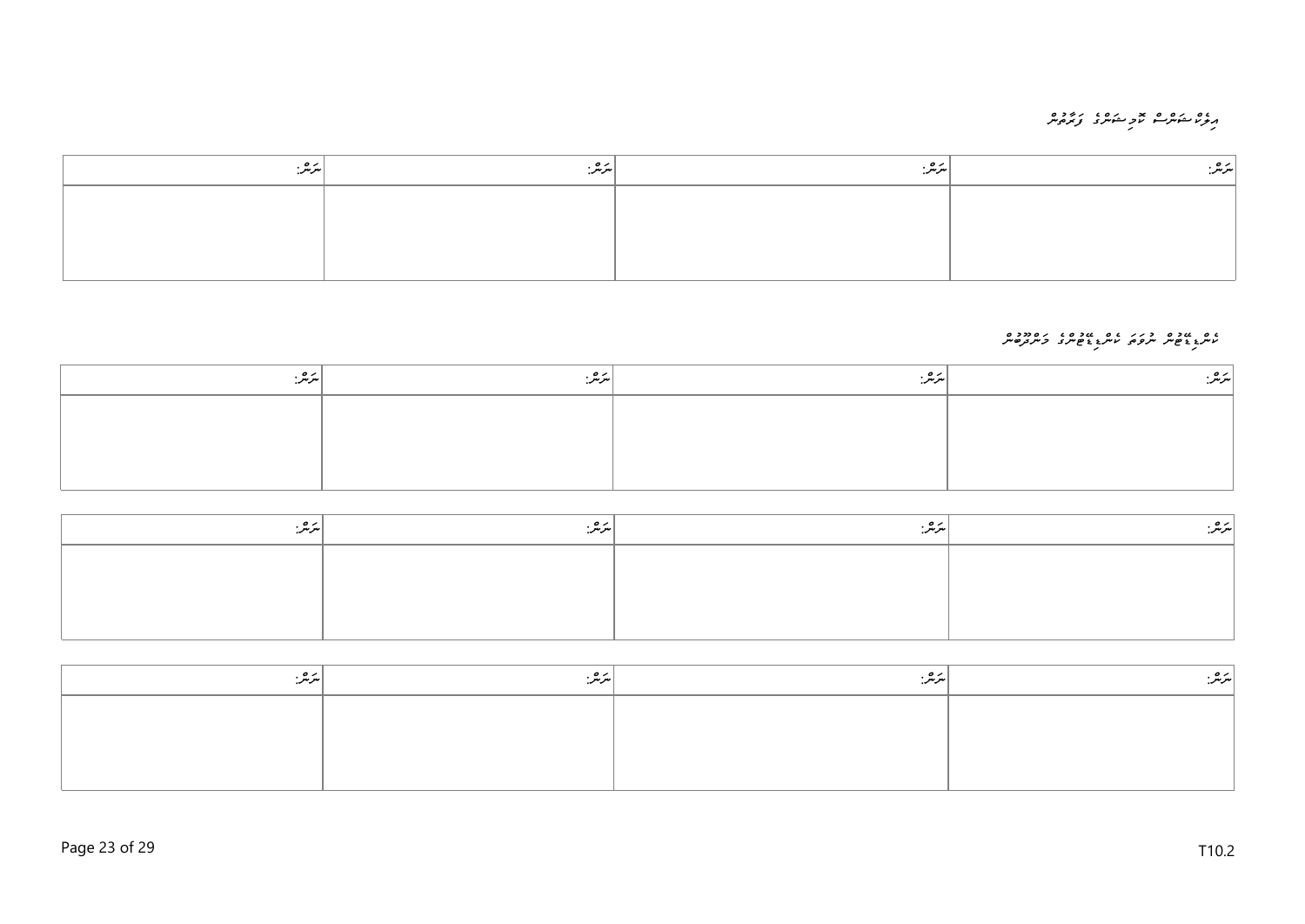## *w7qAn8m? sCw7mRo>u; wEw7mRw;sBo<*

| ' مرمر | 'يئرىثر: |
|--------|----------|
|        |          |
|        |          |
|        |          |

## *w7q9r@w7m> sCw7qHtFoFw7s; mAm=q7 w7qHtFoFw7s;*

| ىر تە | $\mathcal{O} \times$<br>$\sim$ | $\sim$<br>. . | لترنثر |
|-------|--------------------------------|---------------|--------|
|       |                                |               |        |
|       |                                |               |        |
|       |                                |               |        |

| انترنثر: | $^{\circ}$ | يبرهر | $^{\circ}$<br>سرسر |
|----------|------------|-------|--------------------|
|          |            |       |                    |
|          |            |       |                    |
|          |            |       |                    |

| ' ئىرتىر: | سر سر |  |
|-----------|-------|--|
|           |       |  |
|           |       |  |
|           |       |  |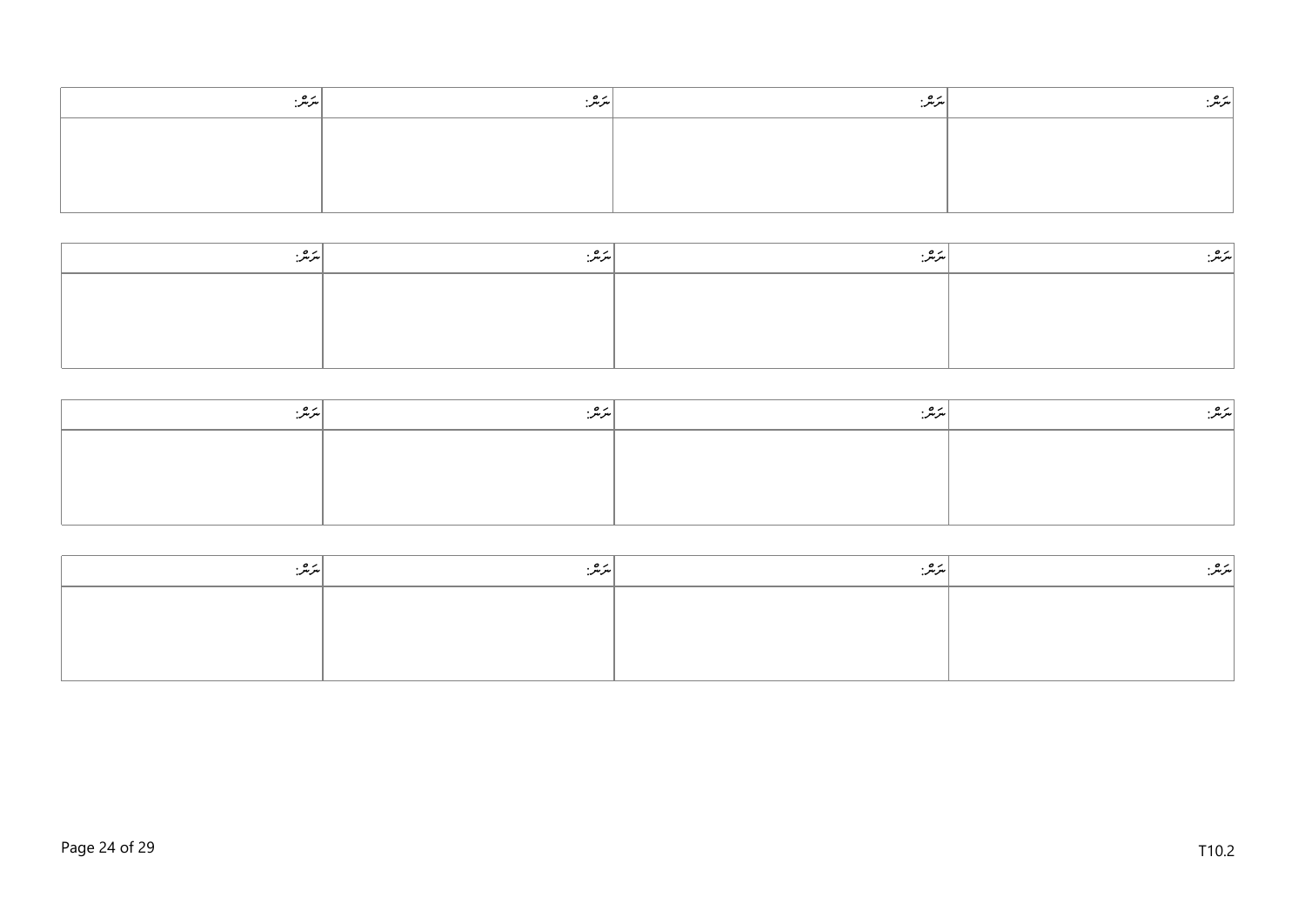| يزهر | $\mathcal{\mathcal{L}}$ | ىئرىتر: |  |
|------|-------------------------|---------|--|
|      |                         |         |  |
|      |                         |         |  |
|      |                         |         |  |

| <sup>.</sup> سرسر. |  |
|--------------------|--|
|                    |  |
|                    |  |
|                    |  |

| ىئرىتر. | $\sim$ | ا بر هه. | لىرىش |
|---------|--------|----------|-------|
|         |        |          |       |
|         |        |          |       |
|         |        |          |       |

| 。<br>مرس. | $\overline{\phantom{a}}$<br>مر مىر | يتريثر |
|-----------|------------------------------------|--------|
|           |                                    |        |
|           |                                    |        |
|           |                                    |        |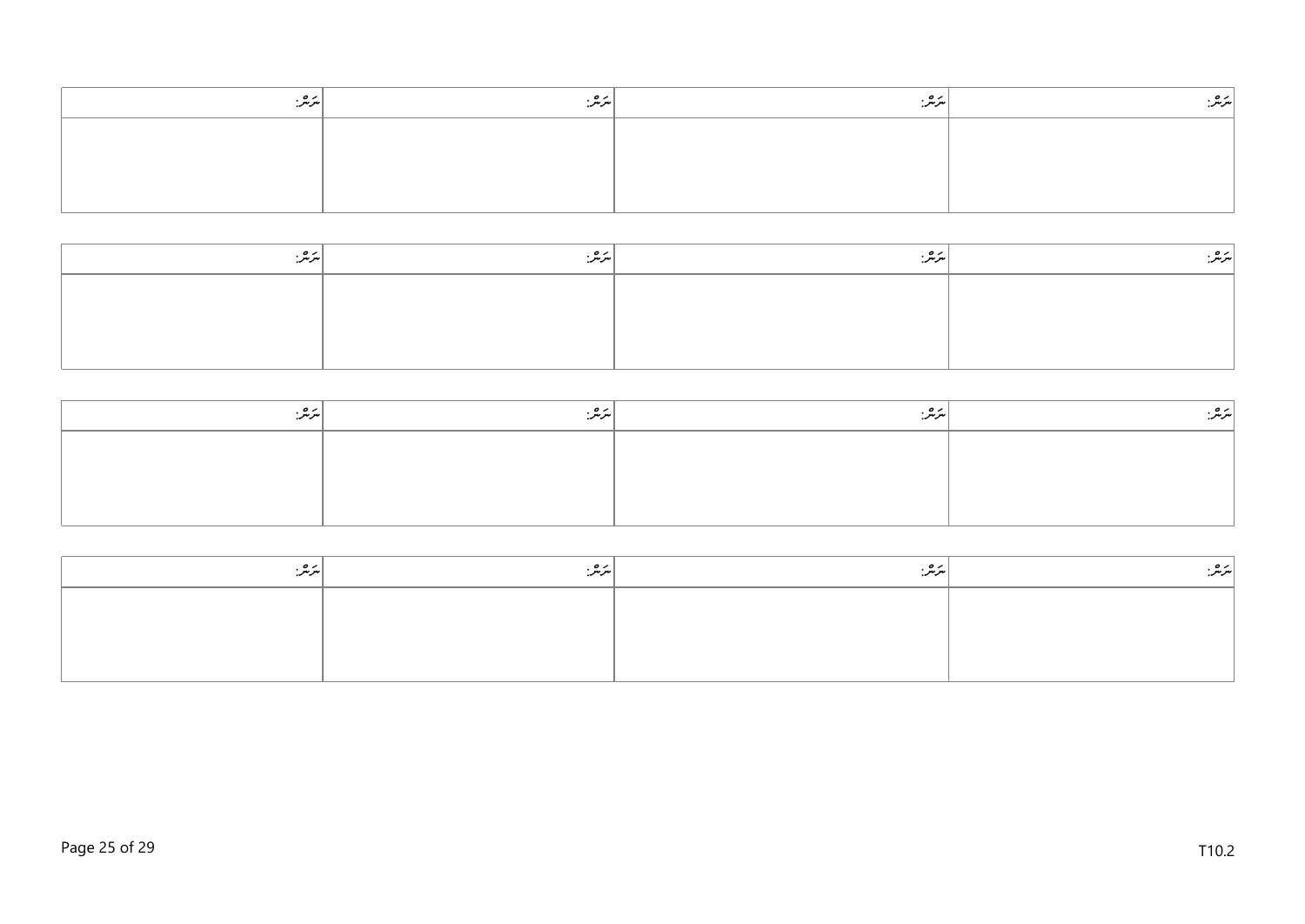| ير هو . | $\overline{\phantom{a}}$ | يرمر | اير هنه. |
|---------|--------------------------|------|----------|
|         |                          |      |          |
|         |                          |      |          |
|         |                          |      |          |

| ىر تىر: | $\circ$ $\sim$<br>" سرسر . | يبرحه | o . |
|---------|----------------------------|-------|-----|
|         |                            |       |     |
|         |                            |       |     |
|         |                            |       |     |

| الترنثر: | ' مرتكز: | الترنثر: | .,<br>سرسر. |
|----------|----------|----------|-------------|
|          |          |          |             |
|          |          |          |             |
|          |          |          |             |

| 。 |  |  |
|---|--|--|
|   |  |  |
|   |  |  |
|   |  |  |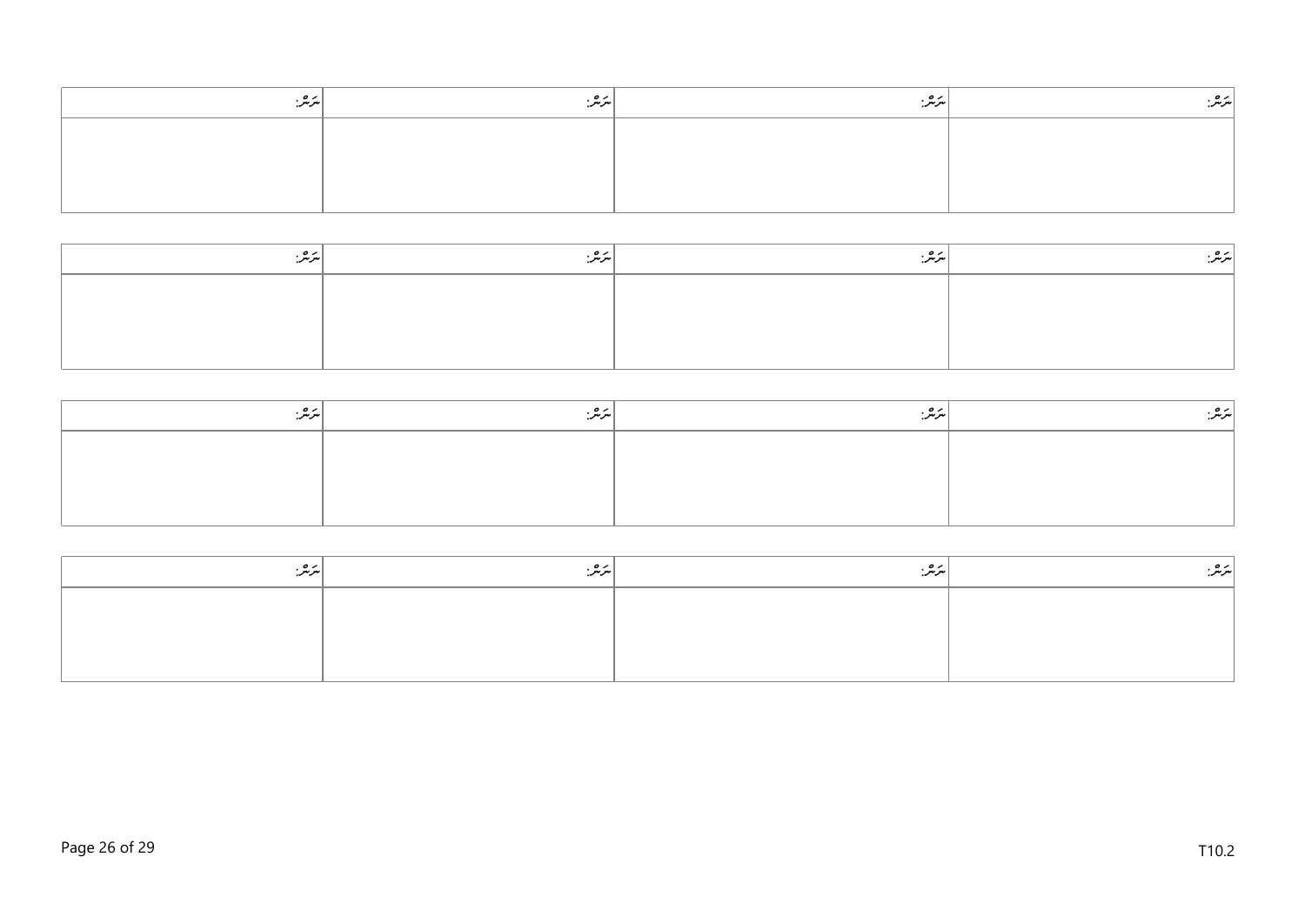| ير هو . | $\overline{\phantom{a}}$ | يرمر | اير هنه. |
|---------|--------------------------|------|----------|
|         |                          |      |          |
|         |                          |      |          |
|         |                          |      |          |

| ىر تىر: | $\circ$ $\sim$<br>" سرسر . | يبرحه | o . |
|---------|----------------------------|-------|-----|
|         |                            |       |     |
|         |                            |       |     |
|         |                            |       |     |

| كترنثر: | 。 | 。<br>سرسر. | o <i>~</i> |
|---------|---|------------|------------|
|         |   |            |            |
|         |   |            |            |
|         |   |            |            |

|  | . ه |
|--|-----|
|  |     |
|  |     |
|  |     |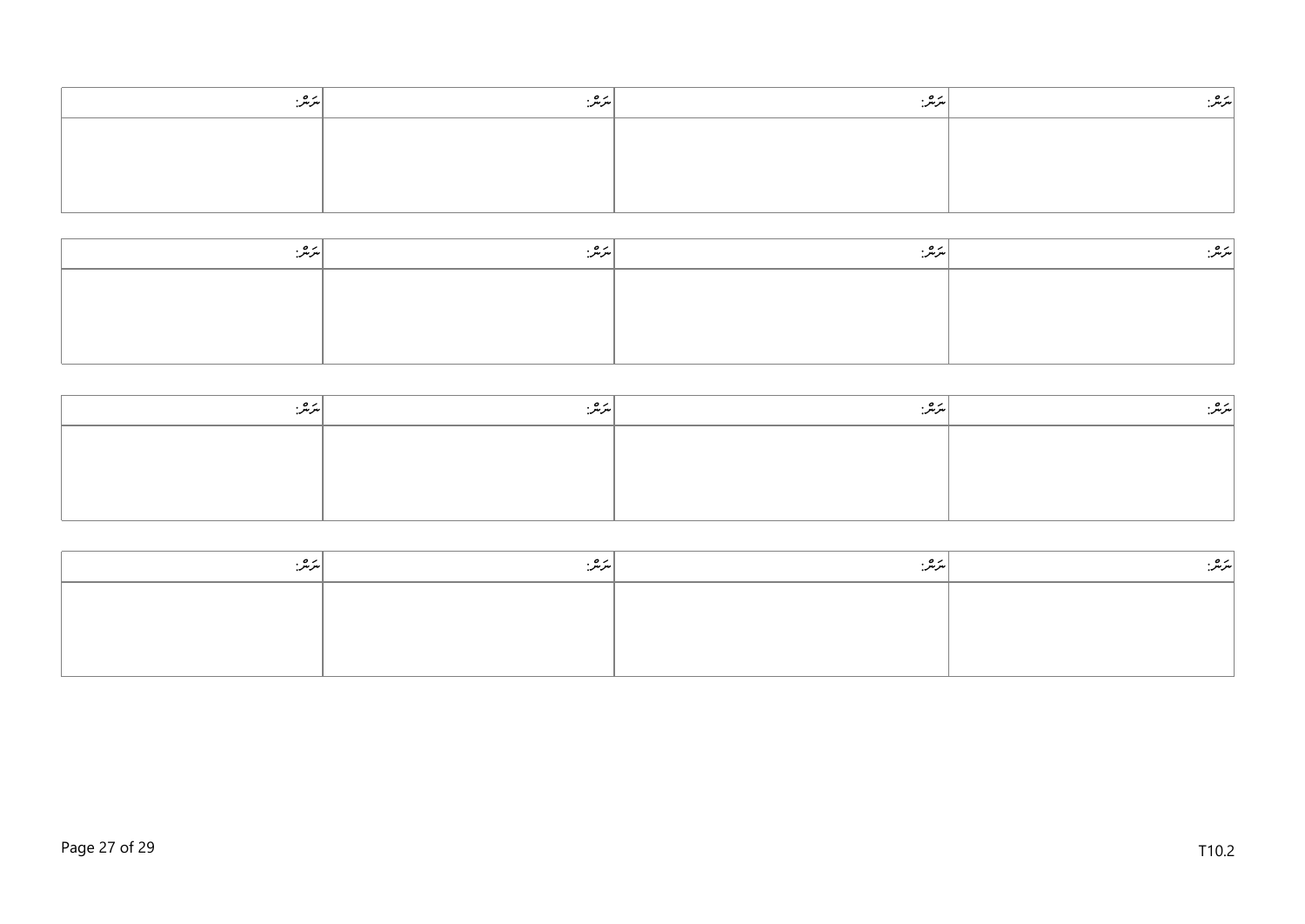| $\cdot$ | ο. | $\frac{\circ}{\cdot}$ | $\sim$<br>سرسر |
|---------|----|-----------------------|----------------|
|         |    |                       |                |
|         |    |                       |                |
|         |    |                       |                |

| ايرعر: | ر ه<br>. . |  |
|--------|------------|--|
|        |            |  |
|        |            |  |
|        |            |  |

| بر ه | 。 | $\sim$<br>َ سومس. |  |
|------|---|-------------------|--|
|      |   |                   |  |
|      |   |                   |  |
|      |   |                   |  |

| 。<br>. س | ىرىىر |  |
|----------|-------|--|
|          |       |  |
|          |       |  |
|          |       |  |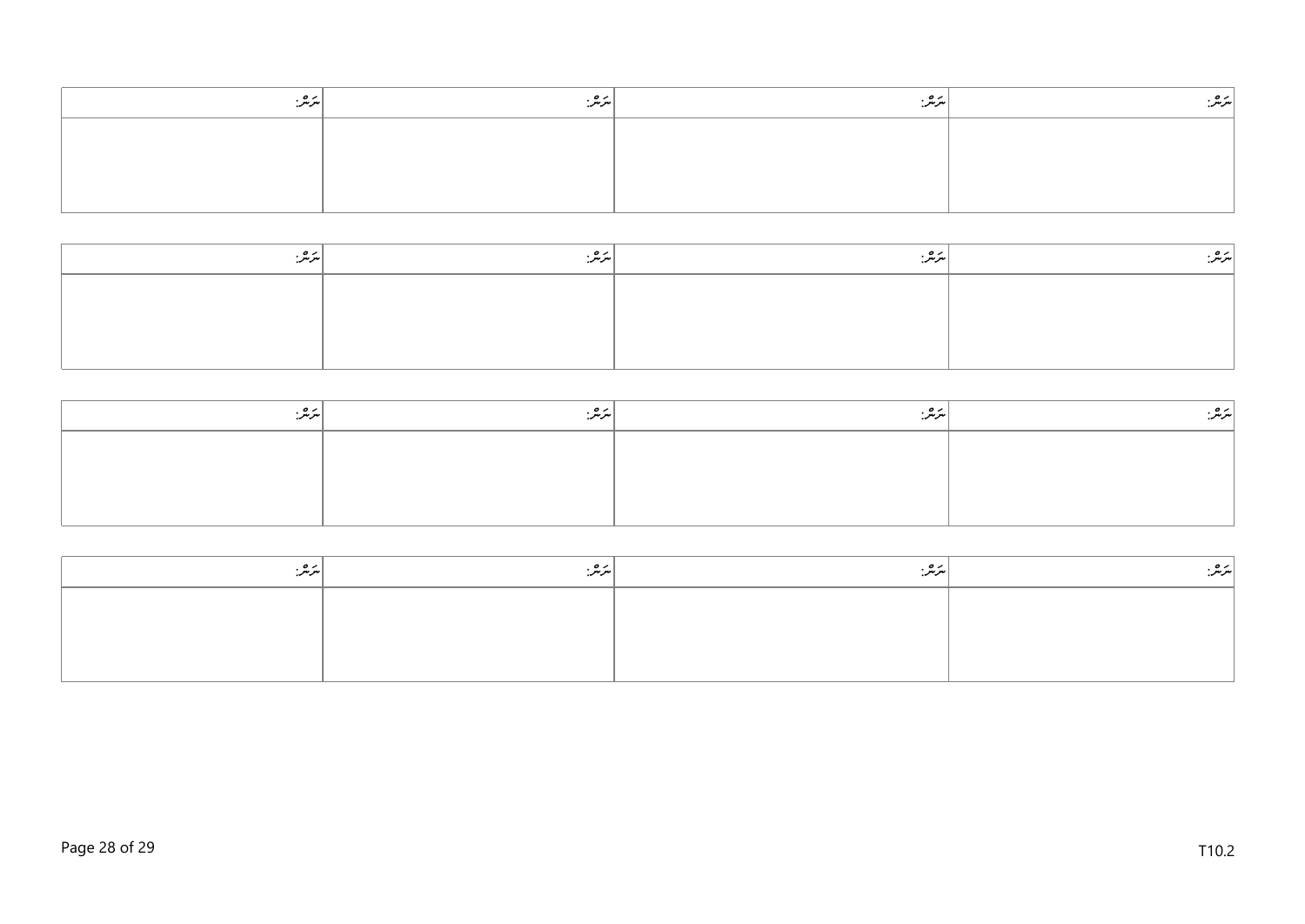| ير هو . | $\overline{\phantom{a}}$ | يرمر | لتزمثن |
|---------|--------------------------|------|--------|
|         |                          |      |        |
|         |                          |      |        |
|         |                          |      |        |

| ئىرتىر: | $\sim$<br>ا سرسر . | يئرمثر | o . |
|---------|--------------------|--------|-----|
|         |                    |        |     |
|         |                    |        |     |
|         |                    |        |     |

| الترنثر: | ' مرتكز: | الترنثر: | .,<br>سرسر. |
|----------|----------|----------|-------------|
|          |          |          |             |
|          |          |          |             |
|          |          |          |             |

|  | . ه |
|--|-----|
|  |     |
|  |     |
|  |     |